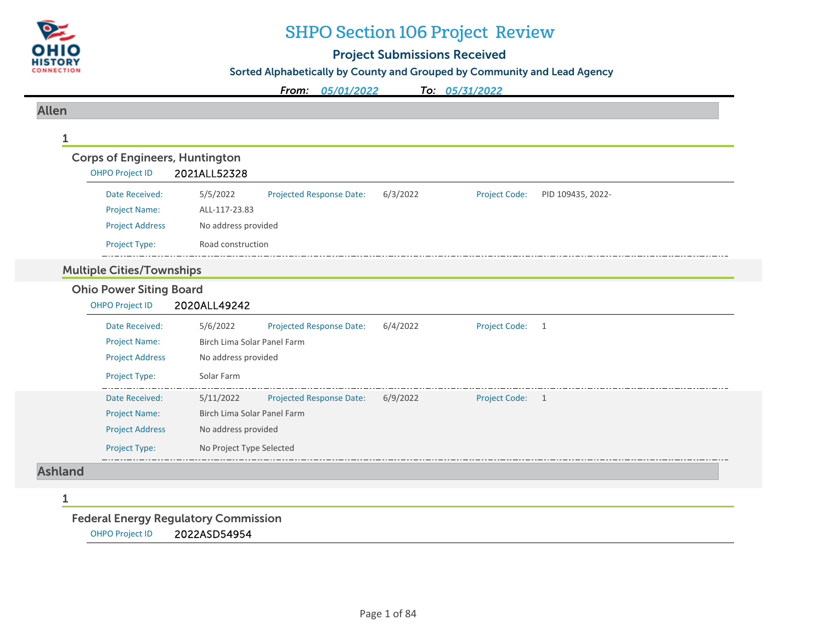

# SHPO Section 106 Project Review

# Project Submissions Received

Sorted Alphabetically by County and Grouped by Community and Lead Agency

*From: 05/01/2022To: 05/31/2022*

#### Allen

| <b>OHPO Project ID</b>           | 2021ALL52328                                 |          |                      |                   |
|----------------------------------|----------------------------------------------|----------|----------------------|-------------------|
| Date Received:                   | 5/5/2022<br>Projected Response Date:         | 6/3/2022 | <b>Project Code:</b> | PID 109435, 2022- |
| <b>Project Name:</b>             | ALL-117-23.83                                |          |                      |                   |
| <b>Project Address</b>           | No address provided                          |          |                      |                   |
| <b>Project Type:</b>             | Road construction                            |          |                      |                   |
| <b>Multiple Cities/Townships</b> |                                              |          |                      |                   |
| <b>Ohio Power Siting Board</b>   |                                              |          |                      |                   |
| <b>OHPO Project ID</b>           | 2020ALL49242                                 |          |                      |                   |
| Date Received:                   | 5/6/2022<br>Projected Response Date:         | 6/4/2022 | <b>Project Code:</b> | 1                 |
| <b>Project Name:</b>             | Birch Lima Solar Panel Farm                  |          |                      |                   |
| <b>Project Address</b>           | No address provided                          |          |                      |                   |
| Project Type:                    | Solar Farm                                   |          |                      |                   |
| Date Received:                   | <b>Projected Response Date:</b><br>5/11/2022 | 6/9/2022 | Project Code: 1      |                   |
| <b>Project Name:</b>             | Birch Lima Solar Panel Farm                  |          |                      |                   |
| <b>Project Address</b>           | No address provided                          |          |                      |                   |
| Project Type:                    | No Project Type Selected                     |          |                      |                   |

1

Federal Energy Regulatory Commission

OHPO Project ID 2022ASD54954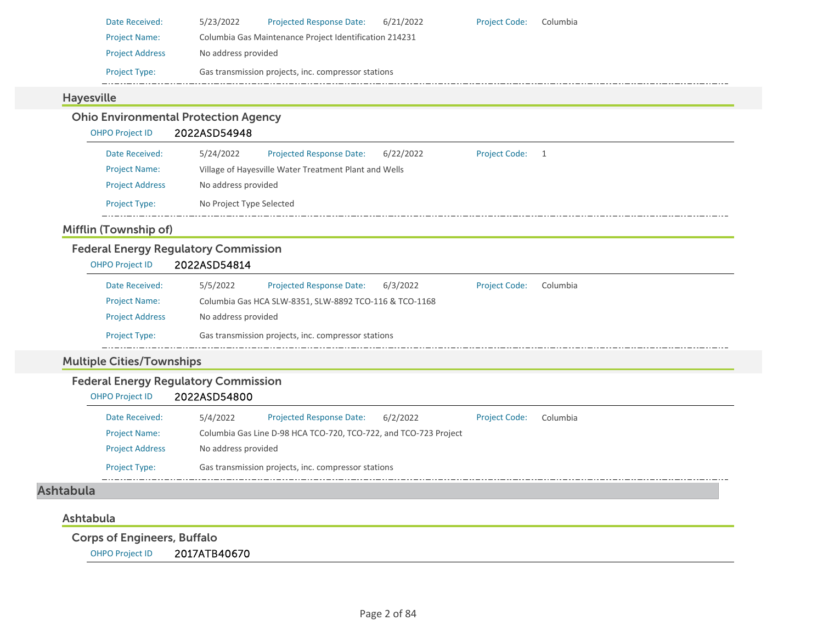| Date Received:         | 5/23/2022           | <b>Projected Response Date:</b>                        | 6/21/2022 | <b>Project Code:</b> | Columbia |  |  |  |  |
|------------------------|---------------------|--------------------------------------------------------|-----------|----------------------|----------|--|--|--|--|
| <b>Project Name:</b>   |                     | Columbia Gas Maintenance Project Identification 214231 |           |                      |          |  |  |  |  |
| <b>Project Address</b> | No address provided |                                                        |           |                      |          |  |  |  |  |
| <b>Project Type:</b>   |                     | Gas transmission projects, inc. compressor stations    |           |                      |          |  |  |  |  |

#### Hayesville

#### Ohio Environmental Protection Agency OHPO Project ID 2022ASD54948 Projected Response Date: 6/22/2022 Date Received: 5/24/2022 Project Code: 1 Project Name: Village of Hayesville Water Treatment Plant and Wells Project Address No address provided Project Type: No Project Type Selected  $\frac{1}{2}$  . . . . .

#### Mifflin (Township of)

## Federal Energy Regulatory Commission

| <b>OHPO Project ID</b> | 2022ASD54814 |
|------------------------|--------------|
|                        |              |

| Date Received:         | 5/5/2022            | <b>Projected Response Date:</b>                        | 6/3/2022 | <b>Project Code:</b> | Columbia |  |
|------------------------|---------------------|--------------------------------------------------------|----------|----------------------|----------|--|
| <b>Project Name:</b>   |                     | Columbia Gas HCA SLW-8351, SLW-8892 TCO-116 & TCO-1168 |          |                      |          |  |
| <b>Project Address</b> | No address provided |                                                        |          |                      |          |  |
| <b>Project Type:</b>   |                     | Gas transmission projects, inc. compressor stations    |          |                      |          |  |

## Multiple Cities/Townships

#### Federal Energy Regulatory Commission

OHPO Project ID 2022ASD54800

| Date Received:         | 5/4/2022            | <b>Projected Response Date:</b>                                  | 6/2/2022 | <b>Project Code:</b> | Columbia |
|------------------------|---------------------|------------------------------------------------------------------|----------|----------------------|----------|
| <b>Project Name:</b>   |                     | Columbia Gas Line D-98 HCA TCO-720, TCO-722, and TCO-723 Project |          |                      |          |
| <b>Project Address</b> | No address provided |                                                                  |          |                      |          |
| <b>Project Type:</b>   |                     | Gas transmission projects, inc. compressor stations              |          |                      |          |

# Ashtabula

#### Ashtabula

Corps of Engineers, Buffalo

OHPO Project ID 2017ATB40670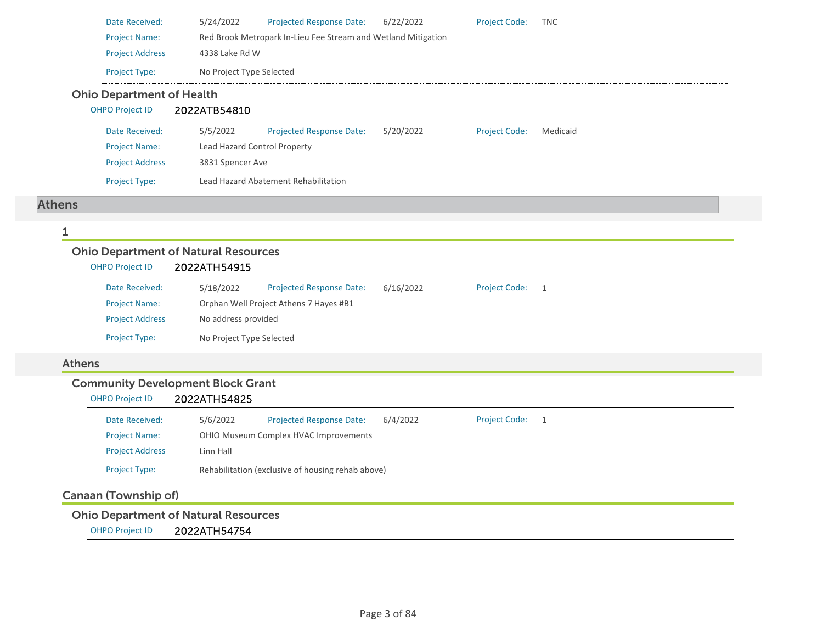| Date Received:                   | 5/24/2022                           | <b>Projected Response Date:</b>                               | 6/22/2022 | <b>Project Code:</b> | <b>TNC</b> |  |  |
|----------------------------------|-------------------------------------|---------------------------------------------------------------|-----------|----------------------|------------|--|--|
| <b>Project Name:</b>             |                                     | Red Brook Metropark In-Lieu Fee Stream and Wetland Mitigation |           |                      |            |  |  |
| <b>Project Address</b>           | 4338 Lake Rd W                      |                                                               |           |                      |            |  |  |
| <b>Project Type:</b>             | No Project Type Selected            |                                                               |           |                      |            |  |  |
| <b>Ohio Department of Health</b> |                                     |                                                               |           |                      |            |  |  |
| <b>OHPO Project ID</b>           | 2022ATB54810                        |                                                               |           |                      |            |  |  |
| Date Received:                   | 5/5/2022                            | <b>Projected Response Date:</b>                               | 5/20/2022 | <b>Project Code:</b> | Medicaid   |  |  |
| <b>Project Name:</b>             | <b>Lead Hazard Control Property</b> |                                                               |           |                      |            |  |  |

| <b>Project Address</b> | 3831 Spencer Ave                     |
|------------------------|--------------------------------------|
| <b>Project Type:</b>   | Lead Hazard Abatement Rehabilitation |

#### Athens

#### 1

## Ohio Department of Natural Resources

| <b>OHPO Project ID</b> | 2022ATH54915             |                                        |           |                      |  |
|------------------------|--------------------------|----------------------------------------|-----------|----------------------|--|
| Date Received:         | 5/18/2022                | <b>Projected Response Date:</b>        | 6/16/2022 | <b>Project Code:</b> |  |
| <b>Project Name:</b>   |                          | Orphan Well Project Athens 7 Hayes #B1 |           |                      |  |
| <b>Project Address</b> | No address provided      |                                        |           |                      |  |
| <b>Project Type:</b>   | No Project Type Selected |                                        |           |                      |  |

#### Athens

# Community Development Block Grant

| <b>OHPO Project ID</b> | 2022ATH54825 |                                                   |          |                      |     |
|------------------------|--------------|---------------------------------------------------|----------|----------------------|-----|
| Date Received:         | 5/6/2022     | <b>Projected Response Date:</b>                   | 6/4/2022 | <b>Project Code:</b> | - 1 |
| <b>Project Name:</b>   |              | OHIO Museum Complex HVAC Improvements             |          |                      |     |
| <b>Project Address</b> | Linn Hall    |                                                   |          |                      |     |
| <b>Project Type:</b>   |              | Rehabilitation (exclusive of housing rehab above) |          |                      |     |
|                        |              |                                                   |          |                      |     |

## Canaan (Township of)

## Ohio Department of Natural Resources

OHPO Project ID 2022ATH54754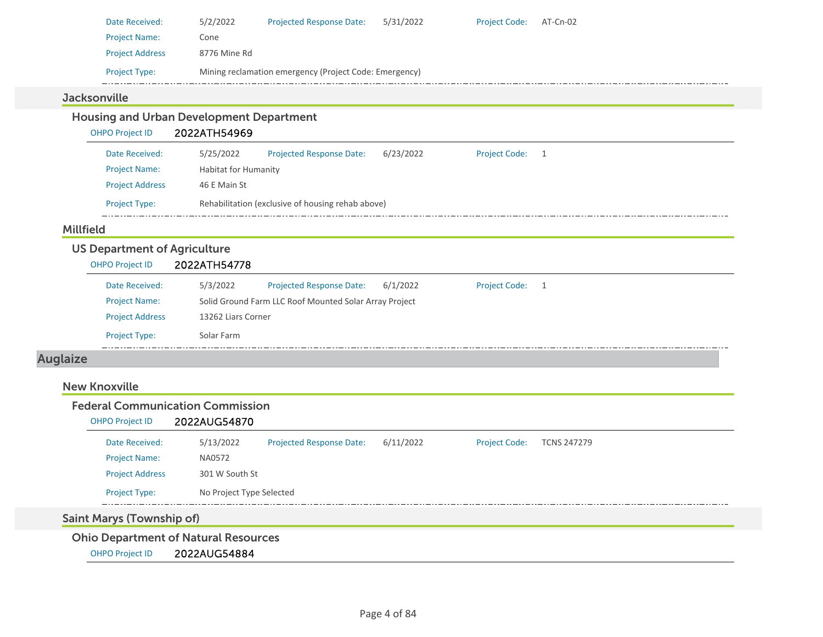| Date Received:         | 5/2/2022     | <b>Projected Response Date:</b>                        | 5/31/2022 | <b>Project Code:</b> | AT-Cn-02 |
|------------------------|--------------|--------------------------------------------------------|-----------|----------------------|----------|
| <b>Project Name:</b>   | Cone         |                                                        |           |                      |          |
| <b>Project Address</b> | 8776 Mine Rd |                                                        |           |                      |          |
| <b>Project Type:</b>   |              | Mining reclamation emergency (Project Code: Emergency) |           |                      |          |

#### **Jacksonville**

| <b>OHPO Project ID</b>                                        | 2022ATH54969                |                                                        |           |                      |                |  |
|---------------------------------------------------------------|-----------------------------|--------------------------------------------------------|-----------|----------------------|----------------|--|
| Date Received:                                                | 5/25/2022                   | <b>Projected Response Date:</b>                        | 6/23/2022 | <b>Project Code:</b> | -1             |  |
| <b>Project Name:</b>                                          | <b>Habitat for Humanity</b> |                                                        |           |                      |                |  |
| <b>Project Address</b>                                        | 46 E Main St                |                                                        |           |                      |                |  |
| <b>Project Type:</b>                                          |                             | Rehabilitation (exclusive of housing rehab above)      |           |                      |                |  |
| <b>Millfield</b>                                              |                             |                                                        |           |                      |                |  |
|                                                               |                             |                                                        |           |                      |                |  |
| <b>US Department of Agriculture</b><br><b>OHPO Project ID</b> | 2022ATH54778                |                                                        |           |                      |                |  |
| Date Received:                                                | 5/3/2022                    | <b>Projected Response Date:</b>                        | 6/1/2022  | <b>Project Code:</b> | $\overline{1}$ |  |
| <b>Project Name:</b>                                          |                             | Solid Ground Farm LLC Roof Mounted Solar Array Project |           |                      |                |  |
| <b>Project Address</b>                                        | 13262 Liars Corner          |                                                        |           |                      |                |  |

# Auglaize

#### New Knoxville

#### Federal Communication Commission

#### OHPO Project ID 2022AUG54870

| Date Received:         | 5/13/2022                | <b>Projected Response Date:</b> | 6/11/2022 | <b>Project Code:</b> | TCNS 247279 |
|------------------------|--------------------------|---------------------------------|-----------|----------------------|-------------|
| <b>Project Name:</b>   | NA0572                   |                                 |           |                      |             |
| <b>Project Address</b> | 301 W South St           |                                 |           |                      |             |
| <b>Project Type:</b>   | No Project Type Selected |                                 |           |                      |             |
|                        |                          |                                 |           |                      |             |

# Saint Marys (Township of)

Ohio Department of Natural Resources

OHPO Project ID 2022AUG54884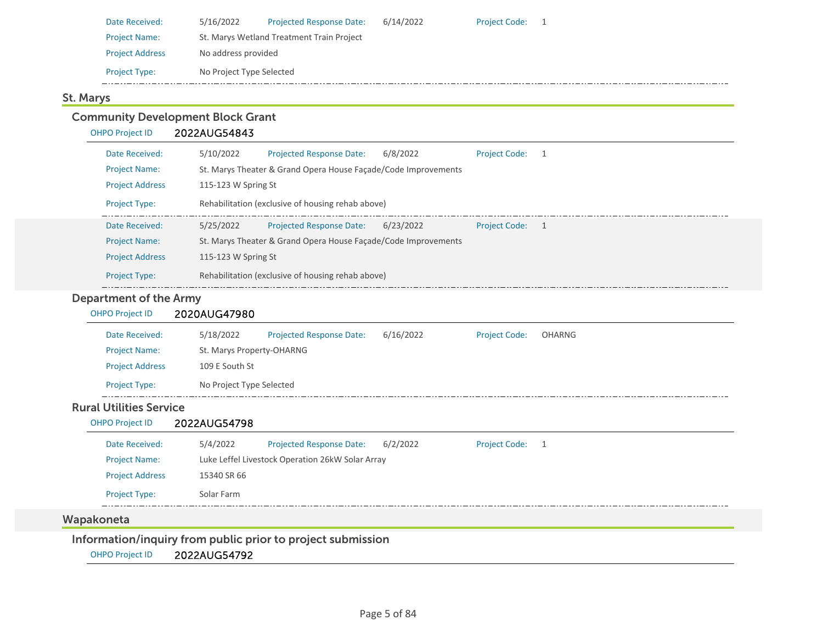| Date Received:         | 5/16/2022                                 | <b>Projected Response Date:</b> | 6/14/2022 | <b>Project Code:</b> |  |
|------------------------|-------------------------------------------|---------------------------------|-----------|----------------------|--|
| <b>Project Name:</b>   | St. Marys Wetland Treatment Train Project |                                 |           |                      |  |
| <b>Project Address</b> | No address provided                       |                                 |           |                      |  |
| <b>Project Type:</b>   | No Project Type Selected                  |                                 |           |                      |  |

#### St. Marys

#### Community Development Block Grant OHPO Project ID 2022AUG54843 Date Received: 5/10/2022 Project Name: St. Marys Theater & Grand Opera House Façade/Code Improvements Projected Response Date: 6/8/2022 Project Address 115-123 W Spring St Project Type: Rehabilitation (exclusive of housing rehab above) Project Code: 1 Date Received: 5/25/2022 Project Name: St. Marys Theater & Grand Opera House Façade/Code Improvements Projected Response Date: 6/23/2022 Project Address 115-123 W Spring St Project Type: Rehabilitation (exclusive of housing rehab above) Project Code: 1 Department of the Army OHPO Project ID 2020AUG47980 Date Received: 5/18/2022 Project Name: St. Marys Property‐OHARNG Projected Response Date: 6/16/2022 Project Address 109 E South St Project Type: No Project Type Selected Project Code: OHARNG Rural Utilities ServiceOHPO Project ID 2022AUG54798 Date Received: 5/4/2022 Project Name: Luke Leffel Livestock Operation 26kW Solar Array Projected Response Date: 6/2/2022 Project Address 15340 SR 66 Project Type: Solar Farm Project Code: 1 Wapakoneta Information/inquiry from public prior to project submission

OHPO Project ID 2022AUG54792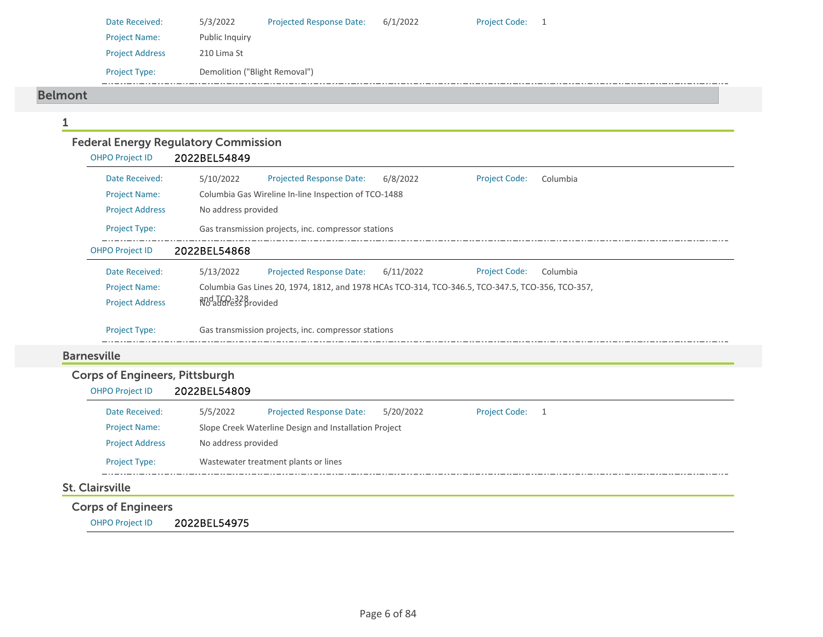| Date Received:         | 5/3/2022                      | <b>Projected Response Date:</b> | 6/1/2022 | Project Code: 1 |  |
|------------------------|-------------------------------|---------------------------------|----------|-----------------|--|
| <b>Project Name:</b>   | Public Inquiry                |                                 |          |                 |  |
| <b>Project Address</b> | 210 Lima St                   |                                 |          |                 |  |
| <b>Project Type:</b>   | Demolition ("Blight Removal") |                                 |          |                 |  |

#### Belmont

| <b>OHPO Project ID</b> | <b>Federal Energy Regulatory Commission</b><br>2022BEL54849                                       |
|------------------------|---------------------------------------------------------------------------------------------------|
| Date Received:         | 5/10/2022<br><b>Projected Response Date:</b><br>6/8/2022<br><b>Project Code:</b><br>Columbia      |
| <b>Project Name:</b>   | Columbia Gas Wireline In-line Inspection of TCO-1488                                              |
| <b>Project Address</b> | No address provided                                                                               |
| <b>Project Type:</b>   | Gas transmission projects, inc. compressor stations                                               |
| <b>OHPO Project ID</b> | 2022BEL54868                                                                                      |
| Date Received:         | 5/13/2022<br>Projected Response Date:<br>6/11/2022<br><b>Project Code:</b><br>Columbia            |
| <b>Project Name:</b>   | Columbia Gas Lines 20, 1974, 1812, and 1978 HCAs TCO-314, TCO-346.5, TCO-347.5, TCO-356, TCO-357, |
| <b>Project Address</b> | and TCO-328<br>No address provided                                                                |
| Project Type:          | Gas transmission projects, inc. compressor stations                                               |
| <b>Barnesville</b>     |                                                                                                   |

| <b>OHPO Project ID</b>    | 2022BEL54809        |                                                       |           |                 |  |  |
|---------------------------|---------------------|-------------------------------------------------------|-----------|-----------------|--|--|
| Date Received:            | 5/5/2022            | <b>Projected Response Date:</b>                       | 5/20/2022 | Project Code: 1 |  |  |
| <b>Project Name:</b>      |                     | Slope Creek Waterline Design and Installation Project |           |                 |  |  |
| <b>Project Address</b>    | No address provided |                                                       |           |                 |  |  |
| <b>Project Type:</b>      |                     | Wastewater treatment plants or lines                  |           |                 |  |  |
| <b>St. Clairsville</b>    |                     |                                                       |           |                 |  |  |
| <b>Corps of Engineers</b> |                     |                                                       |           |                 |  |  |

OHPO Project ID 2022BEL54975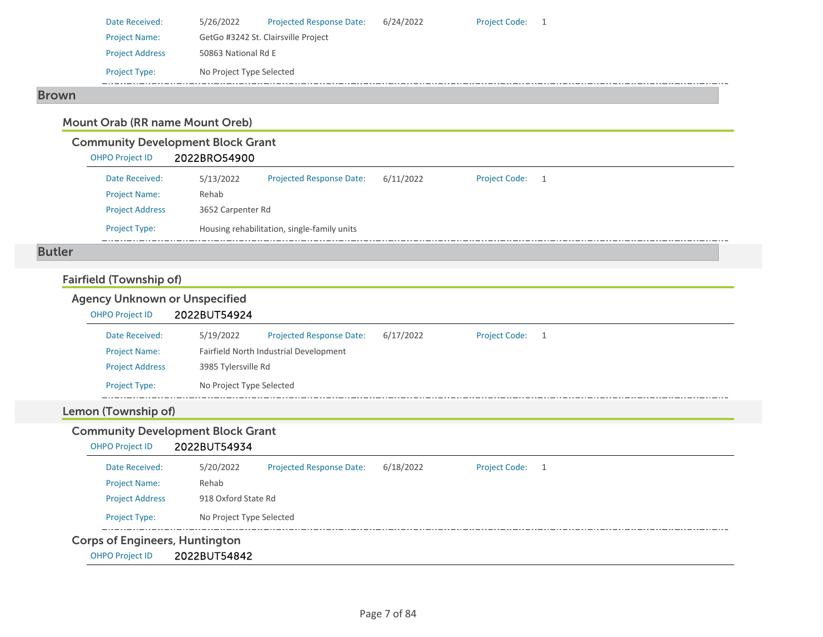| Date Received:         | 5/26/2022                | <b>Projected Response Date:</b>     | 6/24/2022 | <b>Project Code:</b> |  |
|------------------------|--------------------------|-------------------------------------|-----------|----------------------|--|
| <b>Project Name:</b>   |                          | GetGo #3242 St. Clairsville Project |           |                      |  |
| <b>Project Address</b> | 50863 National Rd E      |                                     |           |                      |  |
| <b>Project Type:</b>   | No Project Type Selected |                                     |           |                      |  |
|                        |                          |                                     |           |                      |  |

#### Brown

## Mount Orab (RR name Mount Oreb)

## Community Development Block Grant

| <b>OHPO Project ID</b> | 2022BRO54900 |
|------------------------|--------------|
|                        |              |

| Date Received:         | 5/13/2022 | <b>Projected Response Date:</b>             | 6/11/2022 | <b>Project Code:</b> |  |  |
|------------------------|-----------|---------------------------------------------|-----------|----------------------|--|--|
| <b>Project Name:</b>   | Rehab     |                                             |           |                      |  |  |
| <b>Project Address</b> |           | 3652 Carpenter Rd                           |           |                      |  |  |
| <b>Project Type:</b>   |           | Housing rehabilitation, single-family units |           |                      |  |  |

#### Butler

## Fairfield (Township of)

# Agency Unknown or Unspecified

#### OHPO Project ID 2022BUT54924

| Date Received:         | 5/19/2022                | <b>Projected Response Date:</b>        | 6/17/2022 | <b>Project Code:</b> |  |
|------------------------|--------------------------|----------------------------------------|-----------|----------------------|--|
| <b>Project Name:</b>   |                          | Fairfield North Industrial Development |           |                      |  |
| <b>Project Address</b> |                          | 3985 Tylersville Rd                    |           |                      |  |
| <b>Project Type:</b>   | No Project Type Selected |                                        |           |                      |  |

#### Lemon (Township of)

## Community Development Block Grant

#### OHPO Project ID 2022BUT54934

| <b>Corps of Engineers, Huntington</b> |                          |                                 |           |                      |                |
|---------------------------------------|--------------------------|---------------------------------|-----------|----------------------|----------------|
| <b>Project Type:</b>                  | No Project Type Selected |                                 |           |                      |                |
| <b>Project Address</b>                | 918 Oxford State Rd      |                                 |           |                      |                |
| <b>Project Name:</b>                  | Rehab                    |                                 |           |                      |                |
| Date Received:                        | 5/20/2022                | <b>Projected Response Date:</b> | 6/18/2022 | <b>Project Code:</b> | $\overline{1}$ |
|                                       |                          |                                 |           |                      |                |

OHPO Project ID 2022BUT54842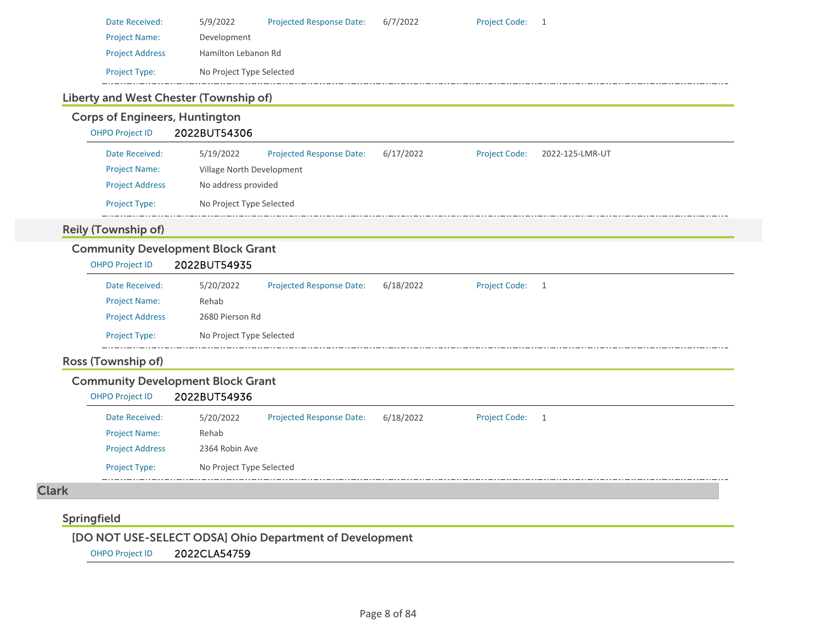| Date Received:         | 5/9/2022                 | <b>Projected Response Date:</b> | 6/7/2022 | Project Code: 1 |  |
|------------------------|--------------------------|---------------------------------|----------|-----------------|--|
| <b>Project Name:</b>   | Development              |                                 |          |                 |  |
| <b>Project Address</b> | Hamilton Lebanon Rd      |                                 |          |                 |  |
| <b>Project Type:</b>   | No Project Type Selected |                                 |          |                 |  |
|                        |                          |                                 |          |                 |  |

#### Liberty and West Chester (Township of)

## Corps of Engineers, Huntington

OHPO Project ID 2022BUT54306

| Date Received:         | 5/19/2022                | <b>Projected Response Date:</b> | 6/17/2022 | <b>Project Code:</b> | 2022-125-LMR-UT |  |
|------------------------|--------------------------|---------------------------------|-----------|----------------------|-----------------|--|
| <b>Project Name:</b>   |                          | Village North Development       |           |                      |                 |  |
| <b>Project Address</b> |                          | No address provided             |           |                      |                 |  |
| <b>Project Type:</b>   | No Project Type Selected |                                 |           |                      |                 |  |

# Reily (Township of)

## Community Development Block Grant

| <b>OHPO Project ID</b> | 2022BUT54935 |  |
|------------------------|--------------|--|
|                        |              |  |

| Date Received:         | 5/20/2022                | <b>Projected Response Date:</b> | 6/18/2022 | <b>Project Code:</b> |  |
|------------------------|--------------------------|---------------------------------|-----------|----------------------|--|
| <b>Project Name:</b>   | Rehab                    |                                 |           |                      |  |
| <b>Project Address</b> | 2680 Pierson Rd          |                                 |           |                      |  |
| <b>Project Type:</b>   | No Project Type Selected |                                 |           |                      |  |

## Ross (Township of)

#### Community Development Block Grant

#### OHPO Project ID 2022BUT54936

| Date Received:         | 5/20/2022                | <b>Projected Response Date:</b> | 6/18/2022 | <b>Project Code:</b> |  |
|------------------------|--------------------------|---------------------------------|-----------|----------------------|--|
| <b>Project Name:</b>   | Rehab                    |                                 |           |                      |  |
| <b>Project Address</b> | 2364 Robin Ave           |                                 |           |                      |  |
| <b>Project Type:</b>   | No Project Type Selected |                                 |           |                      |  |

# Clark

## Springfield

[DO NOT USE-SELECT ODSA] Ohio Department of Development

OHPO Project ID 2022CLA54759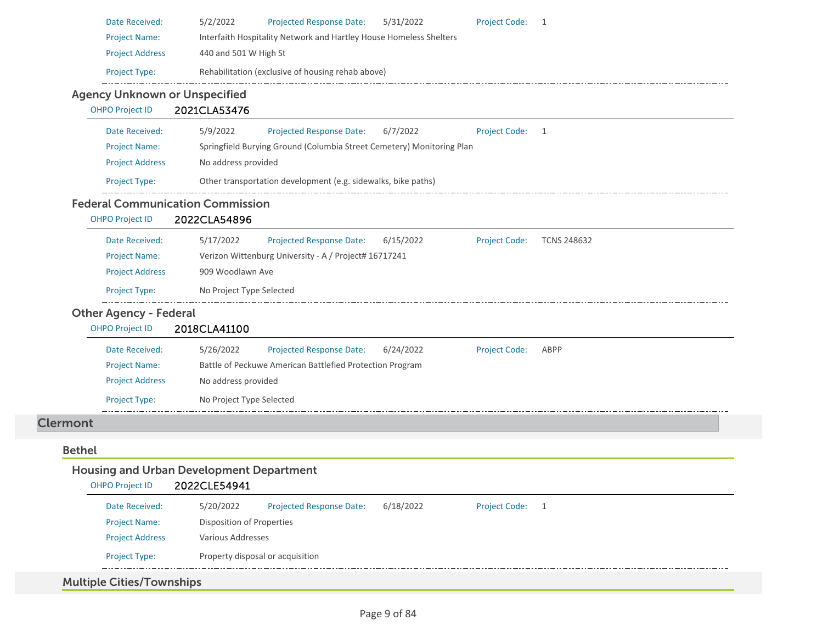| Date Received:                          | <b>Projected Response Date:</b><br>5/31/2022<br><b>Project Code:</b><br>5/2/2022<br>$\overline{\mathbf{1}}$ |
|-----------------------------------------|-------------------------------------------------------------------------------------------------------------|
| <b>Project Name:</b>                    | Interfaith Hospitality Network and Hartley House Homeless Shelters                                          |
| <b>Project Address</b>                  | 440 and 501 W High St                                                                                       |
| Project Type:                           | Rehabilitation (exclusive of housing rehab above)                                                           |
| <b>Agency Unknown or Unspecified</b>    |                                                                                                             |
| <b>OHPO Project ID</b>                  | 2021CLA53476                                                                                                |
| Date Received:                          | 5/9/2022<br><b>Projected Response Date:</b><br>6/7/2022<br><b>Project Code:</b><br>$\overline{1}$           |
| <b>Project Name:</b>                    | Springfield Burying Ground (Columbia Street Cemetery) Monitoring Plan                                       |
| <b>Project Address</b>                  | No address provided                                                                                         |
| Project Type:                           | Other transportation development (e.g. sidewalks, bike paths)                                               |
| <b>Federal Communication Commission</b> |                                                                                                             |
| <b>OHPO Project ID</b>                  | 2022CLA54896                                                                                                |
| Date Received:                          | 5/17/2022<br><b>Projected Response Date:</b><br>6/15/2022<br><b>Project Code:</b><br><b>TCNS 248632</b>     |
| <b>Project Name:</b>                    | Verizon Wittenburg University - A / Project# 16717241                                                       |
| <b>Project Address</b>                  | 909 Woodlawn Ave                                                                                            |
| Project Type:                           | No Project Type Selected                                                                                    |
| <b>Other Agency - Federal</b>           |                                                                                                             |
| <b>OHPO Project ID</b>                  | 2018CLA41100                                                                                                |
|                                         | <b>Projected Response Date:</b><br>5/26/2022<br>6/24/2022<br><b>Project Code:</b><br>ABPP                   |
| Date Received:                          |                                                                                                             |
| <b>Project Name:</b>                    | Battle of Peckuwe American Battlefied Protection Program                                                    |
| <b>Project Address</b>                  | No address provided                                                                                         |
| Project Type:                           | No Project Type Selected                                                                                    |
| <b>Clermont</b>                         |                                                                                                             |
|                                         |                                                                                                             |
| <b>Bethel</b>                           |                                                                                                             |
|                                         | <b>Housing and Urban Development Department</b>                                                             |
| OHPO Project ID 2022CLE54941            |                                                                                                             |
| Date Received:                          | 5/20/2022<br>Projected Response Date:<br>6/18/2022<br><b>Project Code:</b><br>$\overline{1}$                |
| <b>Project Name:</b>                    | Disposition of Properties                                                                                   |
| <b>Project Address</b>                  | Various Addresses                                                                                           |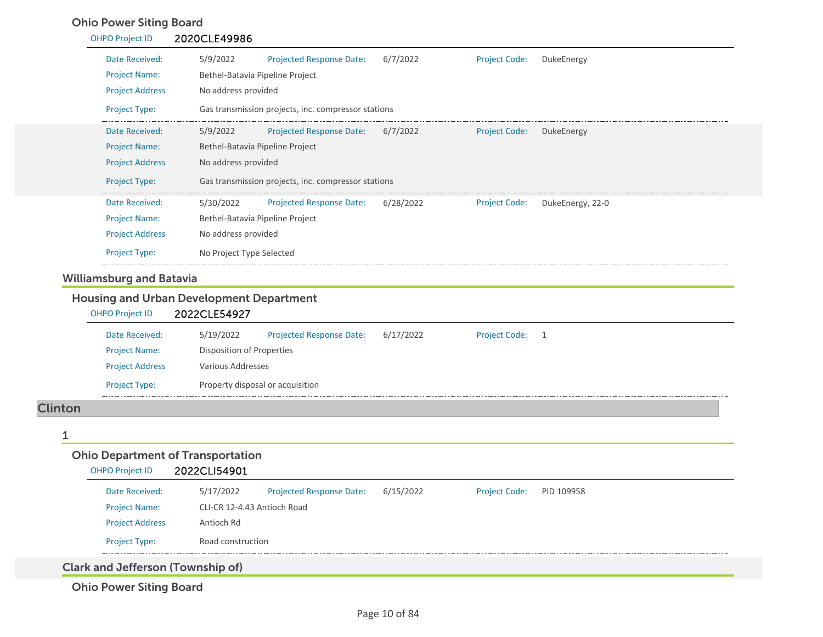# Ohio Power Siting Board

| <b>OHPO Project ID</b>          | 2020CLE49986                                                                                        |
|---------------------------------|-----------------------------------------------------------------------------------------------------|
| Date Received:                  | 5/9/2022<br>6/7/2022<br><b>Projected Response Date:</b><br><b>Project Code:</b><br>DukeEnergy       |
| <b>Project Name:</b>            | Bethel-Batavia Pipeline Project                                                                     |
| <b>Project Address</b>          | No address provided                                                                                 |
| Project Type:                   | Gas transmission projects, inc. compressor stations                                                 |
| Date Received:                  | 5/9/2022 Projected Response Date: 6/7/2022<br><b>Project Code:</b><br>DukeEnergy                    |
| <b>Project Name:</b>            | Bethel-Batavia Pipeline Project                                                                     |
| <b>Project Address</b>          | No address provided                                                                                 |
| Project Type:                   | Gas transmission projects, inc. compressor stations                                                 |
| Date Received:                  | Projected Response Date: 6/28/2022<br><b>Project Code:</b><br>DukeEnergy, 22-0<br>5/30/2022         |
| <b>Project Name:</b>            | Bethel-Batavia Pipeline Project                                                                     |
| <b>Project Address</b>          | No address provided                                                                                 |
| <b>Project Type:</b>            | No Project Type Selected                                                                            |
| <b>Williamsburg and Batavia</b> |                                                                                                     |
|                                 | <b>Housing and Urban Development Department</b>                                                     |
| <b>OHPO Project ID</b>          | 2022CLE54927                                                                                        |
| Date Received:                  | 5/19/2022<br>6/17/2022<br><b>Projected Response Date:</b><br><b>Project Code:</b><br>$\overline{1}$ |
| <b>Project Name:</b>            | <b>Disposition of Properties</b>                                                                    |
| <b>Project Address</b>          | Various Addresses                                                                                   |
|                                 |                                                                                                     |

#### Clinton

 $-$  - -

|                                          | <b>Ohio Department of Transportation</b> |                                 |           |                      |            |  |
|------------------------------------------|------------------------------------------|---------------------------------|-----------|----------------------|------------|--|
| <b>OHPO Project ID</b>                   | 2022CLI54901                             |                                 |           |                      |            |  |
| Date Received:                           | 5/17/2022                                | <b>Projected Response Date:</b> | 6/15/2022 | <b>Project Code:</b> | PID 109958 |  |
| <b>Project Name:</b>                     | CLI-CR 12-4.43 Antioch Road              |                                 |           |                      |            |  |
| <b>Project Address</b>                   | Antioch Rd                               |                                 |           |                      |            |  |
| <b>Project Type:</b>                     | Road construction                        |                                 |           |                      |            |  |
| <b>Clark and Jefferson (Township of)</b> |                                          |                                 |           |                      |            |  |

. . . . . . . . . . . . . . . . . . . .

Ohio Power Siting Board

Project Type: Property disposal or acquisition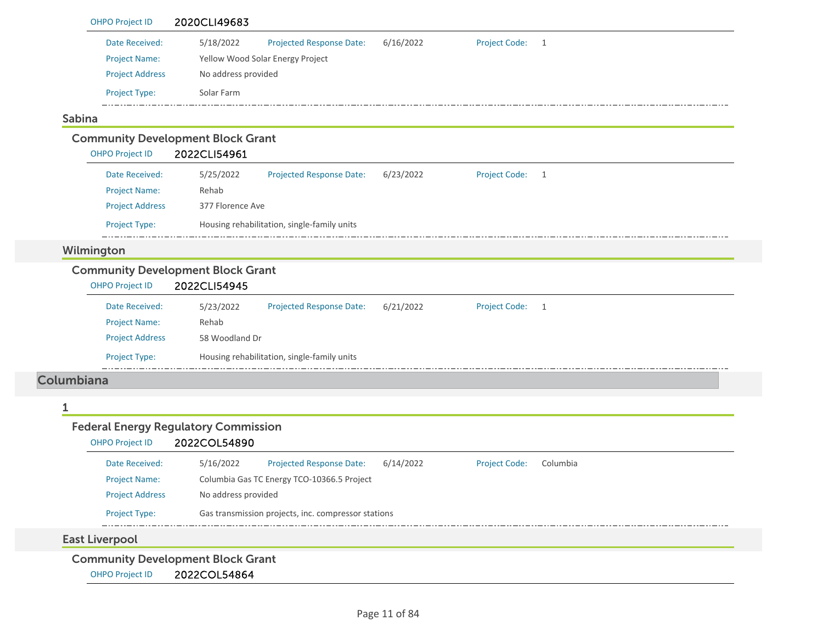|               | <b>OHPO Project ID</b>                      | 2020CLI49683                             |                                                     |           |                      |                |  |
|---------------|---------------------------------------------|------------------------------------------|-----------------------------------------------------|-----------|----------------------|----------------|--|
|               | Date Received:                              | 5/18/2022                                | Projected Response Date:                            | 6/16/2022 | <b>Project Code:</b> | $\overline{1}$ |  |
|               | <b>Project Name:</b>                        |                                          | Yellow Wood Solar Energy Project                    |           |                      |                |  |
|               | <b>Project Address</b>                      | No address provided                      |                                                     |           |                      |                |  |
|               | Project Type:                               | Solar Farm                               |                                                     |           |                      |                |  |
| <b>Sabina</b> |                                             |                                          |                                                     |           |                      |                |  |
|               | <b>Community Development Block Grant</b>    |                                          |                                                     |           |                      |                |  |
|               | <b>OHPO Project ID</b>                      | 2022CLI54961                             |                                                     |           |                      |                |  |
|               | Date Received:                              | 5/25/2022                                | Projected Response Date:                            | 6/23/2022 | <b>Project Code:</b> | $\overline{1}$ |  |
|               | <b>Project Name:</b>                        | Rehab                                    |                                                     |           |                      |                |  |
|               | <b>Project Address</b>                      | 377 Florence Ave                         |                                                     |           |                      |                |  |
|               | Project Type:                               |                                          | Housing rehabilitation, single-family units         |           |                      |                |  |
|               | Wilmington                                  |                                          |                                                     |           |                      |                |  |
|               |                                             | <b>Community Development Block Grant</b> |                                                     |           |                      |                |  |
|               |                                             |                                          |                                                     |           |                      |                |  |
|               | OHPO Project ID                             | 2022CLI54945                             |                                                     |           |                      |                |  |
|               | Date Received:                              | 5/23/2022                                | Projected Response Date:                            | 6/21/2022 | <b>Project Code:</b> | $\overline{1}$ |  |
|               | <b>Project Name:</b>                        | Rehab                                    |                                                     |           |                      |                |  |
|               | <b>Project Address</b>                      | 58 Woodland Dr                           |                                                     |           |                      |                |  |
|               | Project Type:                               |                                          | Housing rehabilitation, single-family units         |           |                      |                |  |
| Columbiana    |                                             |                                          |                                                     |           |                      |                |  |
| 1             |                                             |                                          |                                                     |           |                      |                |  |
|               | <b>Federal Energy Regulatory Commission</b> |                                          |                                                     |           |                      |                |  |
|               | <b>OHPO Project ID</b>                      | 2022COL54890                             |                                                     |           |                      |                |  |
|               | Date Received:                              | 5/16/2022                                | <b>Projected Response Date:</b>                     | 6/14/2022 | <b>Project Code:</b> | Columbia       |  |
|               | <b>Project Name:</b>                        |                                          | Columbia Gas TC Energy TCO-10366.5 Project          |           |                      |                |  |
|               | <b>Project Address</b>                      | No address provided                      |                                                     |           |                      |                |  |
|               | Project Type:                               |                                          | Gas transmission projects, inc. compressor stations |           |                      |                |  |
|               | <b>East Liverpool</b>                       |                                          |                                                     |           |                      |                |  |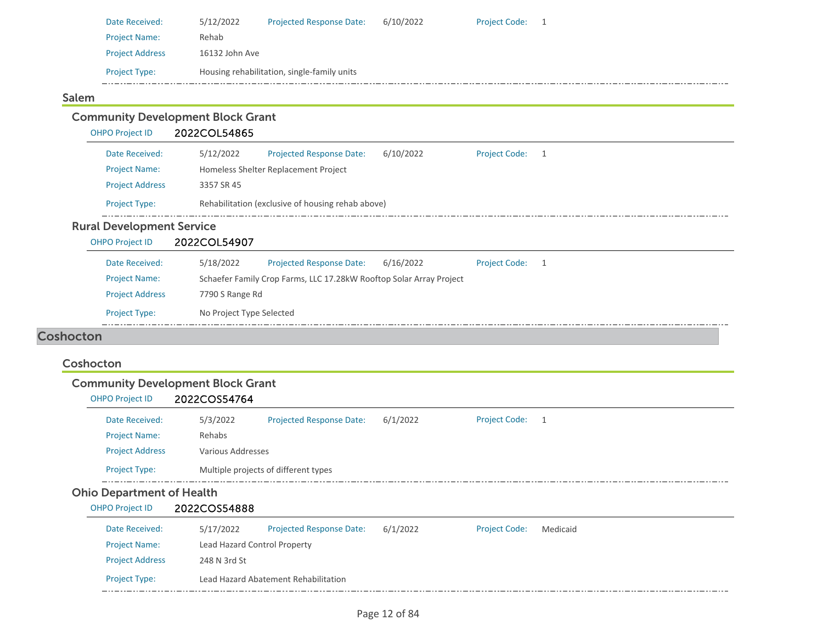| Date Received:         | 5/12/2022      | <b>Projected Response Date:</b>             | 6/10/2022 | <b>Project Code:</b> |  |
|------------------------|----------------|---------------------------------------------|-----------|----------------------|--|
| <b>Project Name:</b>   | Rehab          |                                             |           |                      |  |
| <b>Project Address</b> | 16132 John Ave |                                             |           |                      |  |
| <b>Project Type:</b>   |                | Housing rehabilitation, single-family units |           |                      |  |
|                        |                |                                             |           |                      |  |

## Salem

Project Address 248 N 3rd St

Project Type: Lead Hazard Abatement Rehabilitation

| <b>Community Development Block Grant</b><br><b>OHPO Project ID</b> | 2022COL54865                 |                                                                     |           |                      |                |
|--------------------------------------------------------------------|------------------------------|---------------------------------------------------------------------|-----------|----------------------|----------------|
| Date Received:<br><b>Project Name:</b><br><b>Project Address</b>   | 5/12/2022<br>3357 SR 45      | Projected Response Date:<br>Homeless Shelter Replacement Project    | 6/10/2022 | <b>Project Code:</b> | $\overline{1}$ |
| Project Type:                                                      |                              | Rehabilitation (exclusive of housing rehab above)                   |           |                      |                |
| <b>Rural Development Service</b>                                   |                              |                                                                     |           |                      |                |
| <b>OHPO Project ID</b>                                             | 2022COL54907                 |                                                                     |           |                      |                |
| Date Received:                                                     | 5/18/2022                    | <b>Projected Response Date:</b>                                     | 6/16/2022 | <b>Project Code:</b> | $\overline{1}$ |
| <b>Project Name:</b>                                               |                              | Schaefer Family Crop Farms, LLC 17.28kW Rooftop Solar Array Project |           |                      |                |
| <b>Project Address</b>                                             | 7790 S Range Rd              |                                                                     |           |                      |                |
| Project Type:                                                      | No Project Type Selected     |                                                                     |           |                      |                |
| <b>Coshocton</b>                                                   |                              |                                                                     |           |                      |                |
| Coshocton                                                          |                              |                                                                     |           |                      |                |
| <b>Community Development Block Grant</b>                           |                              |                                                                     |           |                      |                |
| <b>OHPO Project ID</b>                                             | 2022COS54764                 |                                                                     |           |                      |                |
| Date Received:                                                     | 5/3/2022                     | <b>Projected Response Date:</b>                                     | 6/1/2022  | <b>Project Code:</b> | $\overline{1}$ |
| <b>Project Name:</b>                                               | Rehabs                       |                                                                     |           |                      |                |
| <b>Project Address</b>                                             | Various Addresses            |                                                                     |           |                      |                |
| <b>Project Type:</b>                                               |                              | Multiple projects of different types                                |           |                      |                |
| <b>Ohio Department of Health</b>                                   |                              |                                                                     |           |                      |                |
| <b>OHPO Project ID</b>                                             | 2022COS54888                 |                                                                     |           |                      |                |
| Date Received:                                                     | 5/17/2022                    | <b>Projected Response Date:</b>                                     | 6/1/2022  | <b>Project Code:</b> | Medicaid       |
| <b>Project Name:</b>                                               | Lead Hazard Control Property |                                                                     |           |                      |                |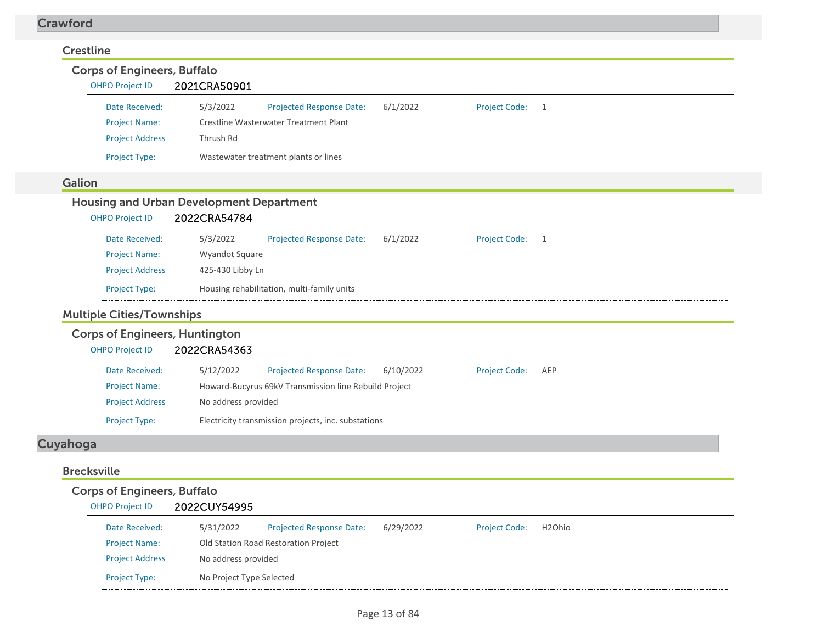#### Crawford

| <b>Crestline</b><br><b>Corps of Engineers, Buffalo</b><br><b>OHPO Project ID</b>                    | 2021CRA50901                                                                                                                                                                                                             |
|-----------------------------------------------------------------------------------------------------|--------------------------------------------------------------------------------------------------------------------------------------------------------------------------------------------------------------------------|
| Date Received:<br><b>Project Name:</b><br><b>Project Address</b>                                    | 5/3/2022<br>6/1/2022<br><b>Project Code:</b><br>Projected Response Date:<br>1<br>Crestline Wasterwater Treatment Plant<br>Thrush Rd                                                                                      |
| Project Type:                                                                                       | Wastewater treatment plants or lines                                                                                                                                                                                     |
| Galion                                                                                              |                                                                                                                                                                                                                          |
| <b>OHPO Project ID</b>                                                                              | <b>Housing and Urban Development Department</b><br>2022CRA54784                                                                                                                                                          |
| Date Received:<br><b>Project Name:</b><br><b>Project Address</b><br>Project Type:                   | 5/3/2022<br><b>Projected Response Date:</b><br>6/1/2022<br><b>Project Code:</b><br>$\overline{1}$<br>Wyandot Square<br>425-430 Libby Ln<br>Housing rehabilitation, multi-family units                                    |
| <b>Multiple Cities/Townships</b><br><b>Corps of Engineers, Huntington</b><br><b>OHPO Project ID</b> | 2022CRA54363                                                                                                                                                                                                             |
| Date Received:<br><b>Project Name:</b><br><b>Project Address</b><br>Project Type:                   | 5/12/2022<br>Projected Response Date:<br>6/10/2022<br><b>Project Code:</b><br>AEP<br>Howard-Bucyrus 69kV Transmission line Rebuild Project<br>No address provided<br>Electricity transmission projects, inc. substations |
| Cuyahoga                                                                                            |                                                                                                                                                                                                                          |
| <b>Brecksville</b>                                                                                  |                                                                                                                                                                                                                          |
| <b>Corps of Engineers, Buffalo</b><br><b>OHPO Project ID</b>                                        | 2022CUY54995                                                                                                                                                                                                             |
| Date Received:<br><b>Project Name:</b>                                                              | <b>Projected Response Date:</b><br>6/29/2022<br><b>Project Code:</b><br>H <sub>2</sub> Ohio<br>5/31/2022<br>Old Station Road Restoration Project                                                                         |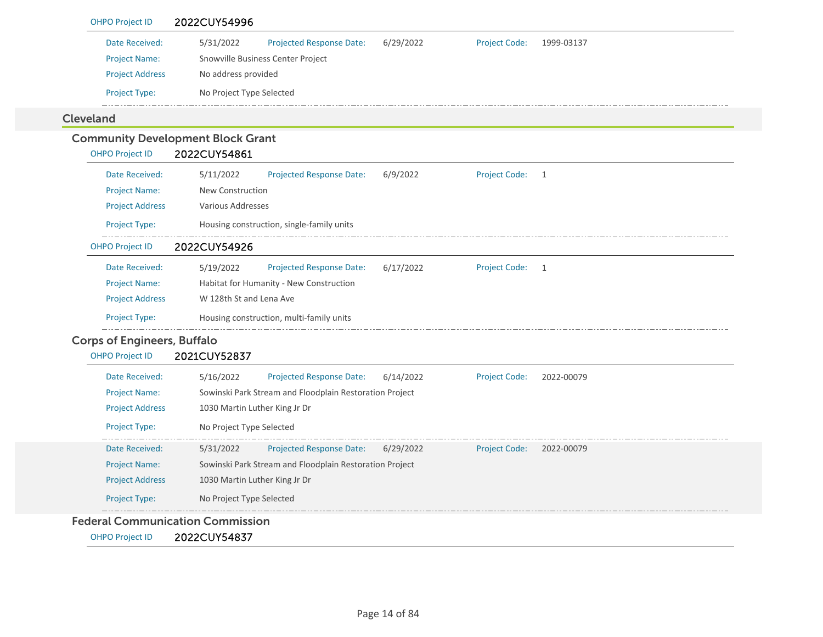| Date Received:                     | 5/31/2022                                                     | 6/29/2022 | <b>Project Code:</b> |              |
|------------------------------------|---------------------------------------------------------------|-----------|----------------------|--------------|
| <b>Project Name:</b>               | Projected Response Date:<br>Snowville Business Center Project |           |                      | 1999-03137   |
| <b>Project Address</b>             | No address provided                                           |           |                      |              |
|                                    |                                                               |           |                      |              |
| Project Type:                      | No Project Type Selected                                      |           |                      |              |
| <b>Cleveland</b>                   |                                                               |           |                      |              |
|                                    | <b>Community Development Block Grant</b>                      |           |                      |              |
| <b>OHPO Project ID</b>             | 2022CUY54861                                                  |           |                      |              |
| Date Received:                     | 5/11/2022<br>Projected Response Date:                         | 6/9/2022  | <b>Project Code:</b> | 1            |
| <b>Project Name:</b>               | New Construction                                              |           |                      |              |
| <b>Project Address</b>             | <b>Various Addresses</b>                                      |           |                      |              |
| Project Type:                      | Housing construction, single-family units                     |           |                      |              |
| <b>OHPO Project ID</b>             | 2022CUY54926                                                  |           |                      |              |
| Date Received:                     | 5/19/2022<br>Projected Response Date:                         | 6/17/2022 | <b>Project Code:</b> | $\mathbf{1}$ |
| <b>Project Name:</b>               | Habitat for Humanity - New Construction                       |           |                      |              |
| <b>Project Address</b>             | W 128th St and Lena Ave                                       |           |                      |              |
| Project Type:                      | Housing construction, multi-family units                      |           |                      |              |
| <b>Corps of Engineers, Buffalo</b> |                                                               |           |                      |              |
| <b>OHPO Project ID</b>             | 2021CUY52837                                                  |           |                      |              |
| Date Received:                     | 5/16/2022<br>Projected Response Date:                         | 6/14/2022 | <b>Project Code:</b> | 2022-00079   |
| <b>Project Name:</b>               | Sowinski Park Stream and Floodplain Restoration Project       |           |                      |              |
| <b>Project Address</b>             | 1030 Martin Luther King Jr Dr                                 |           |                      |              |
| Project Type:                      | No Project Type Selected                                      |           |                      |              |
| Date Received:                     | <b>Projected Response Date:</b><br>5/31/2022                  | 6/29/2022 | <b>Project Code:</b> | 2022-00079   |
| <b>Project Name:</b>               | Sowinski Park Stream and Floodplain Restoration Project       |           |                      |              |
| <b>Project Address</b>             | 1030 Martin Luther King Jr Dr                                 |           |                      |              |
| Project Type:                      | No Project Type Selected                                      |           |                      |              |

OHPO Project ID 2022CUY54837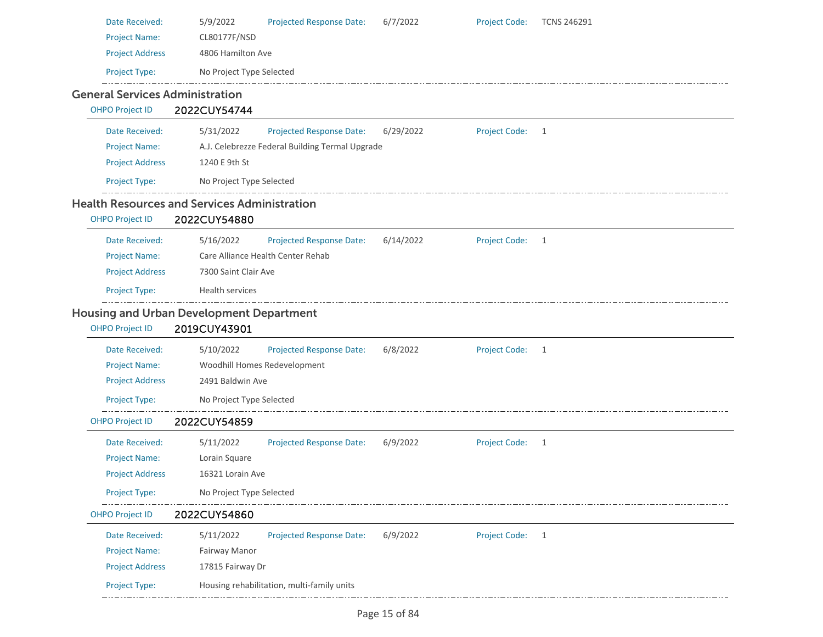| Date Received:                                      | 5/9/2022                 | Projected Response Date:                        | 6/7/2022  | <b>Project Code:</b> | <b>TCNS 246291</b> |
|-----------------------------------------------------|--------------------------|-------------------------------------------------|-----------|----------------------|--------------------|
| <b>Project Name:</b>                                | CL80177F/NSD             |                                                 |           |                      |                    |
| <b>Project Address</b>                              | 4806 Hamilton Ave        |                                                 |           |                      |                    |
| Project Type:                                       | No Project Type Selected |                                                 |           |                      |                    |
| <b>General Services Administration</b>              |                          |                                                 |           |                      |                    |
| <b>OHPO Project ID</b>                              | 2022CUY54744             |                                                 |           |                      |                    |
| Date Received:                                      | 5/31/2022                | Projected Response Date:                        | 6/29/2022 | <b>Project Code:</b> | $\mathbf{1}$       |
| <b>Project Name:</b>                                |                          | A.J. Celebrezze Federal Building Termal Upgrade |           |                      |                    |
| <b>Project Address</b>                              | 1240 E 9th St            |                                                 |           |                      |                    |
| Project Type:                                       | No Project Type Selected |                                                 |           |                      |                    |
| <b>Health Resources and Services Administration</b> |                          |                                                 |           |                      |                    |
| <b>OHPO Project ID</b>                              | 2022CUY54880             |                                                 |           |                      |                    |
| Date Received:                                      | 5/16/2022                | <b>Projected Response Date:</b>                 | 6/14/2022 | <b>Project Code:</b> | 1                  |
| <b>Project Name:</b>                                |                          | Care Alliance Health Center Rehab               |           |                      |                    |
| <b>Project Address</b>                              | 7300 Saint Clair Ave     |                                                 |           |                      |                    |
| Project Type:                                       | Health services          |                                                 |           |                      |                    |
| <b>Housing and Urban Development Department</b>     |                          |                                                 |           |                      |                    |
| <b>OHPO Project ID</b>                              | 2019CUY43901             |                                                 |           |                      |                    |
| Date Received:                                      | 5/10/2022                | <b>Projected Response Date:</b>                 | 6/8/2022  | <b>Project Code:</b> | $\mathbf{1}$       |
| <b>Project Name:</b>                                |                          | Woodhill Homes Redevelopment                    |           |                      |                    |
| <b>Project Address</b>                              | 2491 Baldwin Ave         |                                                 |           |                      |                    |
| Project Type:                                       | No Project Type Selected |                                                 |           |                      |                    |
| <b>OHPO Project ID</b>                              | 2022CUY54859             |                                                 |           |                      |                    |
| Date Received:                                      | 5/11/2022                | <b>Projected Response Date:</b>                 | 6/9/2022  | <b>Project Code:</b> | 1                  |
| <b>Project Name:</b>                                | Lorain Square            |                                                 |           |                      |                    |
| <b>Project Address</b>                              | 16321 Lorain Ave         |                                                 |           |                      |                    |
| Project Type:                                       | No Project Type Selected |                                                 |           |                      |                    |
| <b>OHPO Project ID</b>                              | 2022CUY54860             |                                                 |           |                      |                    |
| Date Received:                                      | 5/11/2022                | <b>Projected Response Date:</b>                 | 6/9/2022  | <b>Project Code:</b> | $\mathbf{1}$       |
| <b>Project Name:</b>                                | Fairway Manor            |                                                 |           |                      |                    |
| <b>Project Address</b>                              | 17815 Fairway Dr         |                                                 |           |                      |                    |
| Project Type:                                       |                          | Housing rehabilitation, multi-family units      |           |                      |                    |

\_\_\_\_\_\_\_\_\_\_\_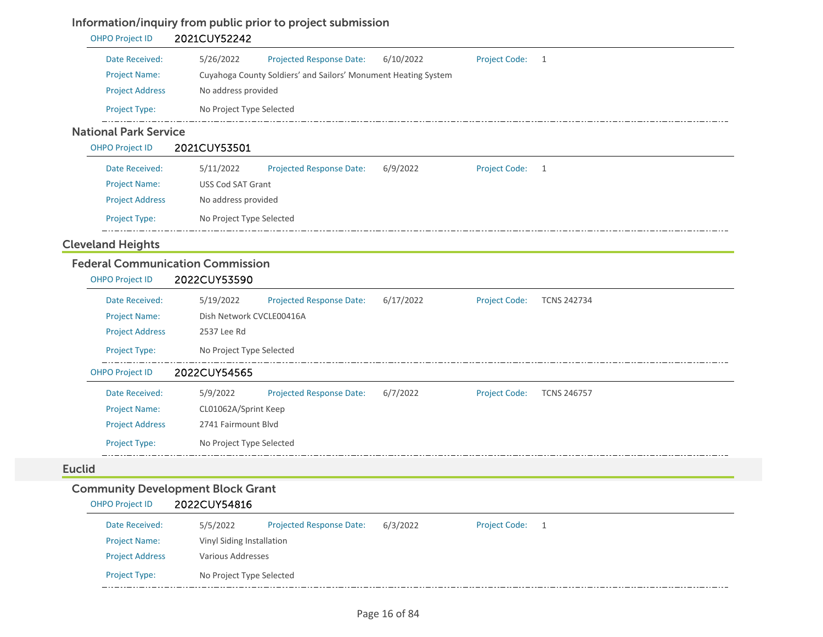## Information/inquiry from public prior to project submission

| <b>OHPO Project ID</b>       | 2021CUY52242             |                                                                |           |                      |     |  |
|------------------------------|--------------------------|----------------------------------------------------------------|-----------|----------------------|-----|--|
| Date Received:               | 5/26/2022                | <b>Projected Response Date:</b>                                | 6/10/2022 | <b>Project Code:</b> | - 1 |  |
| <b>Project Name:</b>         |                          | Cuyahoga County Soldiers' and Sailors' Monument Heating System |           |                      |     |  |
| <b>Project Address</b>       | No address provided      |                                                                |           |                      |     |  |
| <b>Project Type:</b>         | No Project Type Selected |                                                                |           |                      |     |  |
| <b>National Park Service</b> |                          |                                                                |           |                      |     |  |
| <b>OHPO Project ID</b>       | 2021CUY53501             |                                                                |           |                      |     |  |

| Date Received:         | 5/11/2022                | <b>Projected Response Date:</b> | 6/9/2022 | <b>Project Code:</b> |  |  |  |  |
|------------------------|--------------------------|---------------------------------|----------|----------------------|--|--|--|--|
| <b>Project Name:</b>   |                          | USS Cod SAT Grant               |          |                      |  |  |  |  |
| <b>Project Address</b> |                          | No address provided             |          |                      |  |  |  |  |
| <b>Project Type:</b>   | No Project Type Selected |                                 |          |                      |  |  |  |  |

## Cleveland Heights

## Federal Communication Commission

| <b>OHPO Project ID</b> | 2022CUY53590                                                                                            |  |  |  |  |  |  |
|------------------------|---------------------------------------------------------------------------------------------------------|--|--|--|--|--|--|
| Date Received:         | 5/19/2022<br>6/17/2022<br><b>Projected Response Date:</b><br><b>Project Code:</b><br><b>TCNS 242734</b> |  |  |  |  |  |  |
| <b>Project Name:</b>   | Dish Network CVCLE00416A                                                                                |  |  |  |  |  |  |
| <b>Project Address</b> | 2537 Lee Rd                                                                                             |  |  |  |  |  |  |
| <b>Project Type:</b>   | No Project Type Selected                                                                                |  |  |  |  |  |  |
| <b>OHPO Project ID</b> | 2022CUY54565                                                                                            |  |  |  |  |  |  |
| Date Received:         | 5/9/2022<br>6/7/2022<br><b>Projected Response Date:</b><br><b>Project Code:</b><br><b>TCNS 246757</b>   |  |  |  |  |  |  |
| <b>Project Name:</b>   | CL01062A/Sprint Keep                                                                                    |  |  |  |  |  |  |
| <b>Project Address</b> | 2741 Fairmount Blyd                                                                                     |  |  |  |  |  |  |
| <b>Project Type:</b>   | No Project Type Selected                                                                                |  |  |  |  |  |  |

#### Euclid

## Community Development Block Grant

#### OHPO Project ID 2022CUY54816

| Date Received:         | 5/5/2022                 | <b>Projected Response Date:</b> | 6/3/2022 | <b>Project Code:</b> |  |  |  |
|------------------------|--------------------------|---------------------------------|----------|----------------------|--|--|--|
| <b>Project Name:</b>   |                          | Vinyl Siding Installation       |          |                      |  |  |  |
| <b>Project Address</b> | Various Addresses        |                                 |          |                      |  |  |  |
| <b>Project Type:</b>   | No Project Type Selected |                                 |          |                      |  |  |  |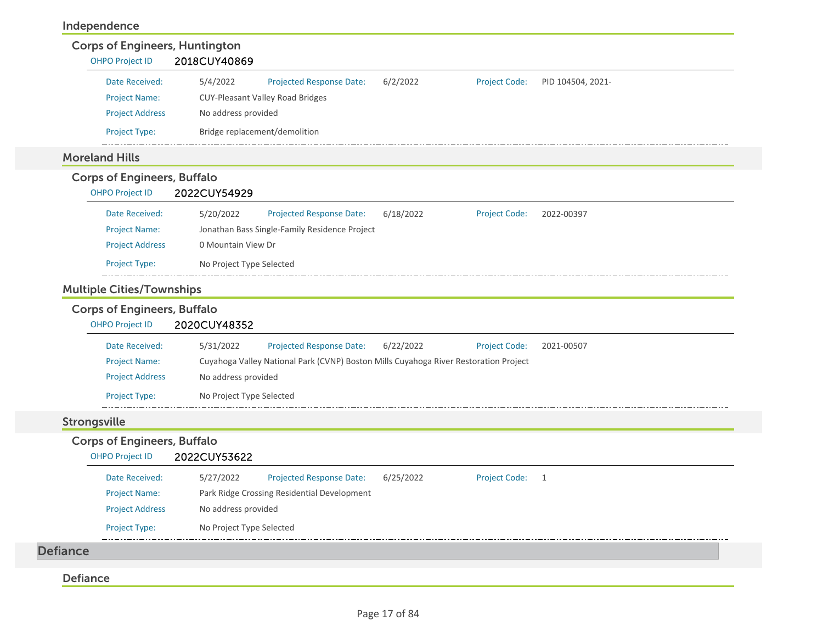#### Independence

| <b>OHPO Project ID</b>                                       | 2018CUY40869                                                                                    |
|--------------------------------------------------------------|-------------------------------------------------------------------------------------------------|
| Date Received:                                               | 5/4/2022<br>6/2/2022<br>Projected Response Date:<br><b>Project Code:</b><br>PID 104504, 2021-   |
| <b>Project Name:</b>                                         | <b>CUY-Pleasant Valley Road Bridges</b>                                                         |
| <b>Project Address</b>                                       | No address provided                                                                             |
| Project Type:                                                | Bridge replacement/demolition                                                                   |
| <b>Moreland Hills</b>                                        |                                                                                                 |
| <b>Corps of Engineers, Buffalo</b><br><b>OHPO Project ID</b> | 2022CUY54929                                                                                    |
| Date Received:                                               | 6/18/2022<br>5/20/2022<br><b>Projected Response Date:</b><br><b>Project Code:</b><br>2022-00397 |
| <b>Project Name:</b>                                         | Jonathan Bass Single-Family Residence Project                                                   |
| <b>Project Address</b>                                       | 0 Mountain View Dr                                                                              |
| Project Type:                                                | No Project Type Selected                                                                        |
|                                                              |                                                                                                 |
| <b>Multiple Cities/Townships</b>                             |                                                                                                 |
| <b>Corps of Engineers, Buffalo</b><br><b>OHPO Project ID</b> | 2020CUY48352                                                                                    |
| Date Received:                                               | 5/31/2022<br><b>Projected Response Date:</b><br>6/22/2022<br><b>Project Code:</b><br>2021-00507 |
| <b>Project Name:</b>                                         | Cuyahoga Valley National Park (CVNP) Boston Mills Cuyahoga River Restoration Project            |
| <b>Project Address</b>                                       | No address provided                                                                             |
| Project Type:                                                | No Project Type Selected                                                                        |
| <b>Strongsville</b>                                          |                                                                                                 |
| <b>Corps of Engineers, Buffalo</b><br><b>OHPO Project ID</b> | 2022CUY53622                                                                                    |
| Date Received:                                               | 5/27/2022<br><b>Projected Response Date:</b><br>6/25/2022<br><b>Project Code:</b><br>1          |
| <b>Project Name:</b>                                         | Park Ridge Crossing Residential Development                                                     |
| <b>Project Address</b>                                       | No address provided                                                                             |
| <b>Project Type:</b>                                         | No Project Type Selected                                                                        |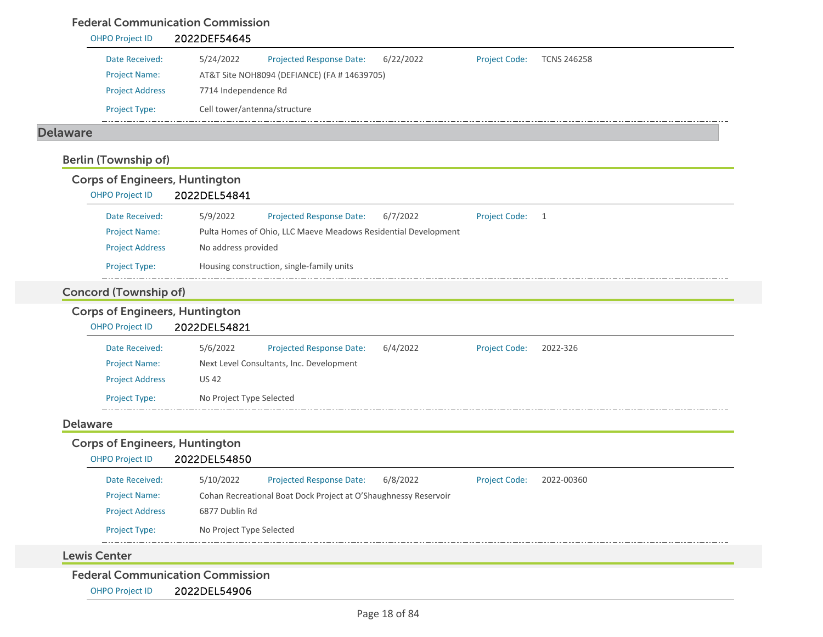#### Federal Communication Commission

| Date Received:                                                  | 5/24/2022<br>6/22/2022<br>Projected Response Date:              | <b>Project Code:</b> | <b>TCNS 246258</b> |
|-----------------------------------------------------------------|-----------------------------------------------------------------|----------------------|--------------------|
| <b>Project Name:</b>                                            | AT&T Site NOH8094 (DEFIANCE) (FA # 14639705)                    |                      |                    |
| <b>Project Address</b>                                          | 7714 Independence Rd                                            |                      |                    |
| Project Type:                                                   | Cell tower/antenna/structure                                    |                      |                    |
| <b>Delaware</b>                                                 |                                                                 |                      |                    |
| <b>Berlin (Township of)</b>                                     |                                                                 |                      |                    |
| <b>Corps of Engineers, Huntington</b><br><b>OHPO Project ID</b> | 2022DEL54841                                                    |                      |                    |
| Date Received:                                                  | 5/9/2022<br>Projected Response Date:<br>6/7/2022                | <b>Project Code:</b> | $\overline{1}$     |
| <b>Project Name:</b>                                            | Pulta Homes of Ohio, LLC Maeve Meadows Residential Development  |                      |                    |
| <b>Project Address</b>                                          | No address provided                                             |                      |                    |
| Project Type:                                                   | Housing construction, single-family units                       |                      |                    |
| <b>Concord (Township of)</b>                                    |                                                                 |                      |                    |
| <b>Corps of Engineers, Huntington</b>                           |                                                                 |                      |                    |
| <b>OHPO Project ID</b>                                          | 2022DEL54821                                                    |                      |                    |
| Date Received:                                                  | 5/6/2022<br>6/4/2022<br>Projected Response Date:                | <b>Project Code:</b> | 2022-326           |
| <b>Project Name:</b>                                            | Next Level Consultants, Inc. Development                        |                      |                    |
| <b>Project Address</b>                                          | <b>US 42</b>                                                    |                      |                    |
| Project Type:                                                   | No Project Type Selected                                        |                      |                    |
| <b>Delaware</b>                                                 |                                                                 |                      |                    |
| <b>Corps of Engineers, Huntington</b><br><b>OHPO Project ID</b> | 2022DEL54850                                                    |                      |                    |
| Date Received:                                                  | Projected Response Date:<br>5/10/2022<br>6/8/2022               | <b>Project Code:</b> | 2022-00360         |
|                                                                 |                                                                 |                      |                    |
| <b>Project Name:</b>                                            | Cohan Recreational Boat Dock Project at O'Shaughnessy Reservoir |                      |                    |
| <b>Project Address</b>                                          | 6877 Dublin Rd                                                  |                      |                    |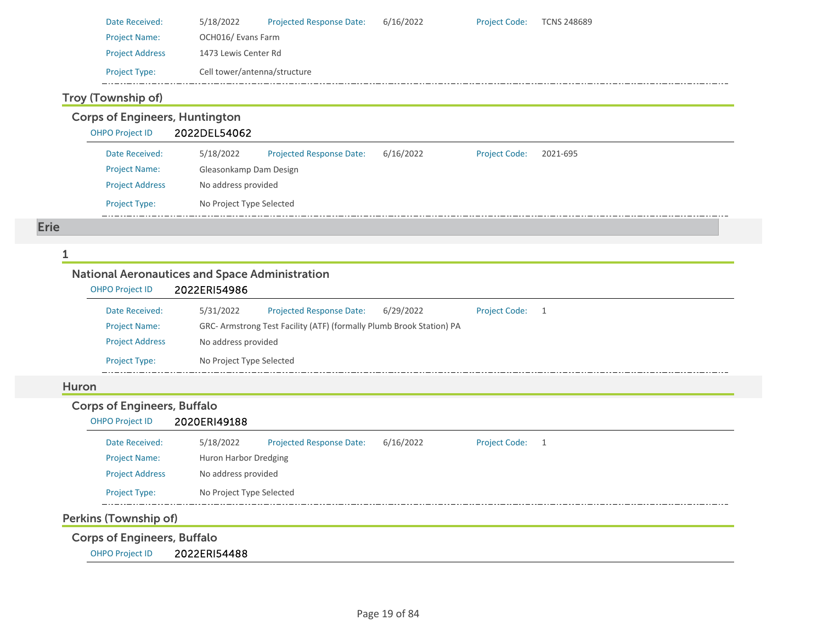| Date Received:         | 5/18/2022                    | <b>Projected Response Date:</b> | 6/16/2022 | <b>Project Code:</b> | TCNS 248689 |  |  |
|------------------------|------------------------------|---------------------------------|-----------|----------------------|-------------|--|--|
| <b>Project Name:</b>   | OCH016/ Evans Farm           |                                 |           |                      |             |  |  |
| <b>Project Address</b> | 1473 Lewis Center Rd         |                                 |           |                      |             |  |  |
| <b>Project Type:</b>   | Cell tower/antenna/structure |                                 |           |                      |             |  |  |

## Troy (Township of)

Corps of Engineers, Huntington

OHPO Project ID 2022DEL54062

| Date Received:         | 5/18/2022                | <b>Projected Response Date:</b> | 6/16/2022 | <b>Project Code:</b> | 2021-695 |  |  |
|------------------------|--------------------------|---------------------------------|-----------|----------------------|----------|--|--|
| <b>Project Name:</b>   | Gleasonkamp Dam Design   |                                 |           |                      |          |  |  |
| <b>Project Address</b> | No address provided      |                                 |           |                      |          |  |  |
| <b>Project Type:</b>   | No Project Type Selected |                                 |           |                      |          |  |  |

Erie

1

## National Aeronautices and Space Administration

| <b>OHPO Project ID</b> | 2022ERI54986             |                                                                      |           |                      |  |  |  |  |
|------------------------|--------------------------|----------------------------------------------------------------------|-----------|----------------------|--|--|--|--|
| Date Received:         | 5/31/2022                | <b>Projected Response Date:</b>                                      | 6/29/2022 | <b>Project Code:</b> |  |  |  |  |
| <b>Project Name:</b>   |                          | GRC- Armstrong Test Facility (ATF) (formally Plumb Brook Station) PA |           |                      |  |  |  |  |
| <b>Project Address</b> |                          | No address provided                                                  |           |                      |  |  |  |  |
| <b>Project Type:</b>   | No Project Type Selected |                                                                      |           |                      |  |  |  |  |

#### Huron

#### Corps of Engineers, Buffalo OHPO Project ID 2020ERI49188

| Date Received:         | 5/18/2022                | <b>Projected Response Date:</b> | 6/16/2022 | <b>Project Code:</b> |  |  |  |
|------------------------|--------------------------|---------------------------------|-----------|----------------------|--|--|--|
| <b>Project Name:</b>   | Huron Harbor Dredging    |                                 |           |                      |  |  |  |
| <b>Project Address</b> | No address provided      |                                 |           |                      |  |  |  |
| <b>Project Type:</b>   | No Project Type Selected |                                 |           |                      |  |  |  |
|                        |                          |                                 |           |                      |  |  |  |

## Perkins (Township of)

Corps of Engineers, Buffalo

OHPO Project ID 2022ERI54488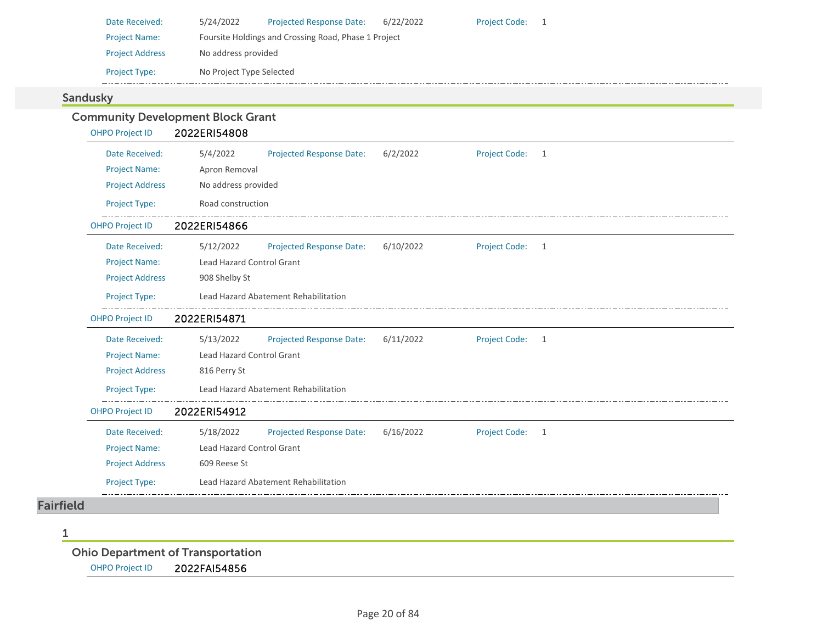| Date Received:         | 5/24/2022                                            | <b>Projected Response Date:</b> | 6/22/2022 | <b>Project Code:</b> |  |  |  |
|------------------------|------------------------------------------------------|---------------------------------|-----------|----------------------|--|--|--|
| <b>Project Name:</b>   | Foursite Holdings and Crossing Road, Phase 1 Project |                                 |           |                      |  |  |  |
| <b>Project Address</b> | No address provided                                  |                                 |           |                      |  |  |  |
| <b>Project Type:</b>   | No Project Type Selected                             |                                 |           |                      |  |  |  |

#### Sandusky

| <b>OHPO Project ID</b> | 2022ERI54808                     |                                      |           |                      |   |
|------------------------|----------------------------------|--------------------------------------|-----------|----------------------|---|
| Date Received:         | 5/4/2022                         | Projected Response Date:             | 6/2/2022  | <b>Project Code:</b> | 1 |
| <b>Project Name:</b>   | Apron Removal                    |                                      |           |                      |   |
| <b>Project Address</b> | No address provided              |                                      |           |                      |   |
| Project Type:          | Road construction                |                                      |           |                      |   |
| <b>OHPO Project ID</b> | 2022ERI54866                     |                                      |           |                      |   |
| Date Received:         | 5/12/2022                        | <b>Projected Response Date:</b>      | 6/10/2022 | <b>Project Code:</b> | 1 |
| <b>Project Name:</b>   | <b>Lead Hazard Control Grant</b> |                                      |           |                      |   |
| <b>Project Address</b> | 908 Shelby St                    |                                      |           |                      |   |
| Project Type:          |                                  | Lead Hazard Abatement Rehabilitation |           |                      |   |
| <b>OHPO Project ID</b> | 2022ERI54871                     |                                      |           |                      |   |
| Date Received:         | 5/13/2022                        | <b>Projected Response Date:</b>      | 6/11/2022 | <b>Project Code:</b> | 1 |
| <b>Project Name:</b>   | Lead Hazard Control Grant        |                                      |           |                      |   |
| <b>Project Address</b> | 816 Perry St                     |                                      |           |                      |   |
| <b>Project Type:</b>   |                                  | Lead Hazard Abatement Rehabilitation |           |                      |   |
| <b>OHPO Project ID</b> | 2022ERI54912                     |                                      |           |                      |   |
| Date Received:         | 5/18/2022                        | <b>Projected Response Date:</b>      | 6/16/2022 | Project Code: 1      |   |
| <b>Project Name:</b>   | Lead Hazard Control Grant        |                                      |           |                      |   |
| <b>Project Address</b> | 609 Reese St                     |                                      |           |                      |   |
| Project Type:          |                                  | Lead Hazard Abatement Rehabilitation |           |                      |   |

1

Ohio Department of Transportation OHPO Project ID 2022FAI54856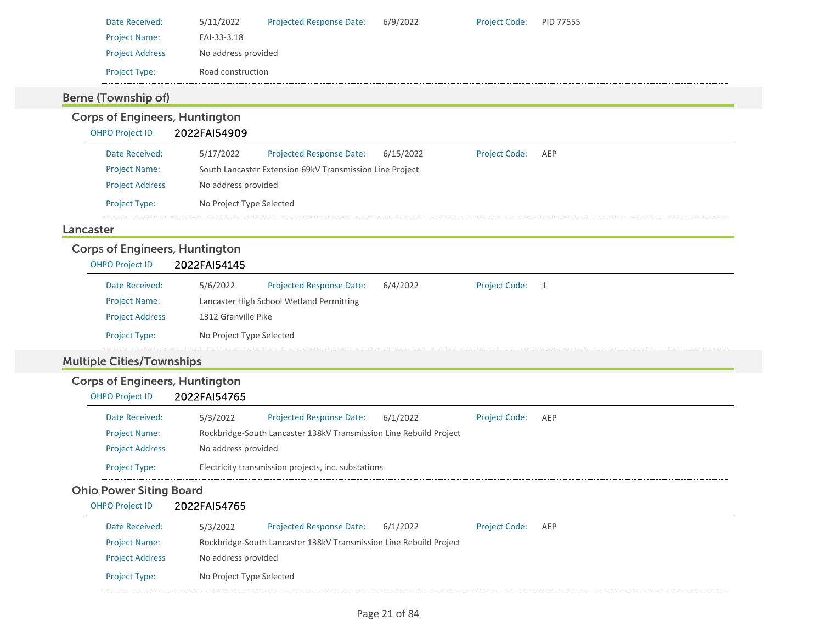| Date Received:         | 5/11/2022           | <b>Projected Response Date:</b> | 6/9/2022 | <b>Project Code:</b> | <b>PID 77555</b> |
|------------------------|---------------------|---------------------------------|----------|----------------------|------------------|
| <b>Project Name:</b>   | FAI-33-3.18         |                                 |          |                      |                  |
| <b>Project Address</b> | No address provided |                                 |          |                      |                  |
| <b>Project Type:</b>   | Road construction   |                                 |          |                      |                  |
|                        |                     |                                 |          |                      |                  |

#### Berne (Township of)

Corps of Engineers, Huntington OHPO Project ID 2022FAI54909 Date Received: 5/17/2022 Projected Response Date: 6/15/2022 Project Code: AEP Project Name: South Lancaster Extension 69kV Transmission Line Project Project Address No address provided Project Type: No Project Type Selected LancasterCorps of Engineers, Huntington OHPO Project ID 2022FAI54145 5/6/2022 Date Received:Projected Response Date: 6/4/2022 Project Code: 1 Project Name: Lancaster High School Wetland Permitting Project Address 1312 Granville Pike Project Type: No Project Type Selected  $-$ Multiple Cities/Townships Corps of Engineers, Huntington OHPO Project ID 2022FAI54765 Date Received: 5/3/2022 Projected Response Date: 6/1/2022 Project Code: AEP Project Name: Rockbridge‐South Lancaster 138kV Transmission Line Rebuild Project Project Address No address provided Project Type: Electricity transmission projects, inc. substations Ohio Power Siting Board OHPO Project ID 2022FAI54765

| Date Received:         | 5/3/2022                 | <b>Projected Response Date:</b>                                    | 6/1/2022 | <b>Project Code:</b> | AFP |
|------------------------|--------------------------|--------------------------------------------------------------------|----------|----------------------|-----|
| <b>Project Name:</b>   |                          | Rockbridge-South Lancaster 138kV Transmission Line Rebuild Project |          |                      |     |
| <b>Project Address</b> | No address provided      |                                                                    |          |                      |     |
| <b>Project Type:</b>   | No Project Type Selected |                                                                    |          |                      |     |
|                        |                          |                                                                    |          |                      |     |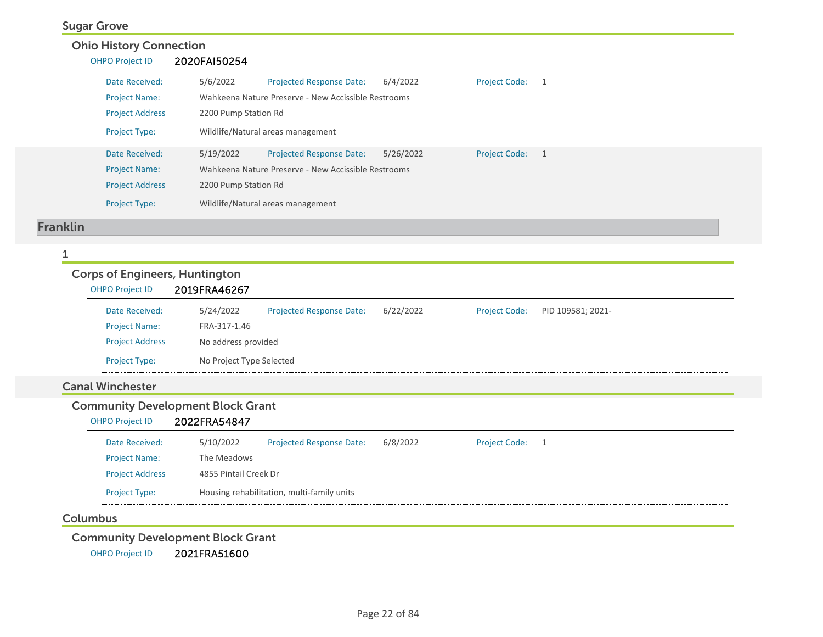#### Sugar Grove

| <b>Ohio History Connection</b><br><b>OHPO Project ID</b> | 2020FAI50254         |                                                     |           |                      |   |  |
|----------------------------------------------------------|----------------------|-----------------------------------------------------|-----------|----------------------|---|--|
| Date Received:                                           | 5/6/2022             | <b>Projected Response Date:</b>                     | 6/4/2022  | <b>Project Code:</b> | 1 |  |
| <b>Project Name:</b>                                     |                      | Wahkeena Nature Preserve - New Accissible Restrooms |           |                      |   |  |
| <b>Project Address</b>                                   | 2200 Pump Station Rd |                                                     |           |                      |   |  |
| <b>Project Type:</b>                                     |                      | Wildlife/Natural areas management                   |           |                      |   |  |
| Date Received:                                           | 5/19/2022            | <b>Projected Response Date:</b>                     | 5/26/2022 | Project Code: 1      |   |  |
| <b>Project Name:</b>                                     |                      | Wahkeena Nature Preserve - New Accissible Restrooms |           |                      |   |  |
| <b>Project Address</b>                                   | 2200 Pump Station Rd |                                                     |           |                      |   |  |
| <b>Project Type:</b>                                     |                      | Wildlife/Natural areas management                   |           |                      |   |  |

#### 1

# Corps of Engineers, Huntington

| <b>OHPO Project ID</b> | 2019FRA46267             |                          |           |                      |                   |  |  |
|------------------------|--------------------------|--------------------------|-----------|----------------------|-------------------|--|--|
| Date Received:         | 5/24/2022                | Projected Response Date: | 6/22/2022 | <b>Project Code:</b> | PID 109581; 2021- |  |  |
| <b>Project Name:</b>   | FRA-317-1.46             |                          |           |                      |                   |  |  |
| <b>Project Address</b> |                          | No address provided      |           |                      |                   |  |  |
| <b>Project Type:</b>   | No Project Type Selected |                          |           |                      |                   |  |  |

#### Canal Winchester

## Community Development Block Grant

| <b>OHPO Project ID</b> | 2022FRA54847 |
|------------------------|--------------|
|------------------------|--------------|

| Date Received:         | 5/10/2022                                  | <b>Projected Response Date:</b> | 6/8/2022 | <b>Project Code:</b> |  |  |
|------------------------|--------------------------------------------|---------------------------------|----------|----------------------|--|--|
| <b>Project Name:</b>   | The Meadows                                |                                 |          |                      |  |  |
| <b>Project Address</b> |                                            | 4855 Pintail Creek Dr           |          |                      |  |  |
| <b>Project Type:</b>   | Housing rehabilitation, multi-family units |                                 |          |                      |  |  |

#### Columbus

Community Development Block Grant

OHPO Project ID 2021FRA51600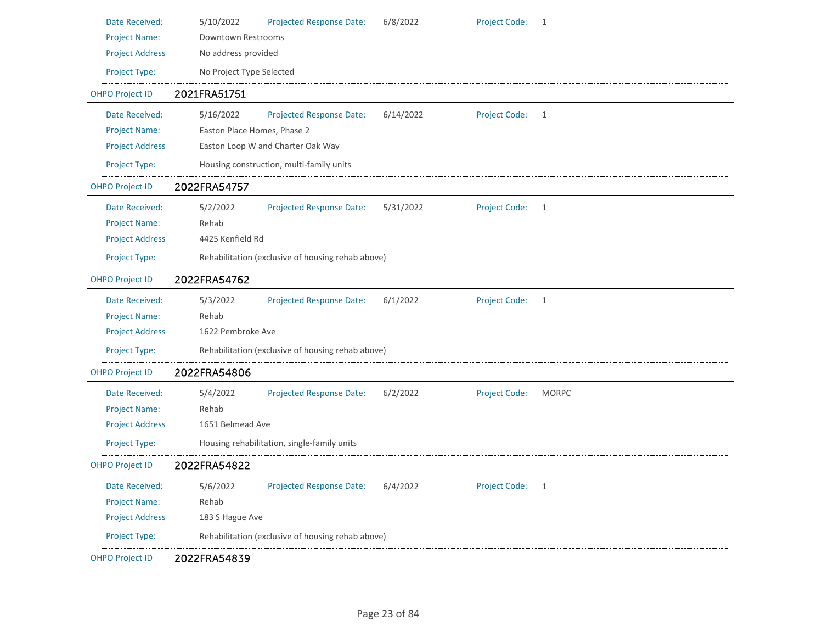| Date Received:         | 5/10/2022                                         | Projected Response Date:                          | 6/8/2022  | <b>Project Code:</b> | 1            |  |
|------------------------|---------------------------------------------------|---------------------------------------------------|-----------|----------------------|--------------|--|
| <b>Project Name:</b>   | Downtown Restrooms                                |                                                   |           |                      |              |  |
| <b>Project Address</b> | No address provided                               |                                                   |           |                      |              |  |
| Project Type:          | No Project Type Selected                          |                                                   |           |                      |              |  |
| <b>OHPO Project ID</b> | 2021FRA51751                                      |                                                   |           |                      |              |  |
| Date Received:         | 5/16/2022                                         | <b>Projected Response Date:</b>                   | 6/14/2022 | Project Code: 1      |              |  |
| <b>Project Name:</b>   | Easton Place Homes, Phase 2                       |                                                   |           |                      |              |  |
| <b>Project Address</b> |                                                   | Easton Loop W and Charter Oak Way                 |           |                      |              |  |
| Project Type:          |                                                   | Housing construction, multi-family units          |           |                      |              |  |
| <b>OHPO Project ID</b> | 2022FRA54757                                      |                                                   |           |                      |              |  |
| Date Received:         | 5/2/2022                                          | <b>Projected Response Date:</b>                   | 5/31/2022 | Project Code: 1      |              |  |
| <b>Project Name:</b>   | Rehab                                             |                                                   |           |                      |              |  |
| <b>Project Address</b> | 4425 Kenfield Rd                                  |                                                   |           |                      |              |  |
| Project Type:          | Rehabilitation (exclusive of housing rehab above) |                                                   |           |                      |              |  |
| <b>OHPO Project ID</b> | 2022FRA54762                                      |                                                   |           |                      |              |  |
| Date Received:         | 5/3/2022                                          | <b>Projected Response Date:</b>                   | 6/1/2022  | Project Code: 1      |              |  |
| <b>Project Name:</b>   | Rehab                                             |                                                   |           |                      |              |  |
| <b>Project Address</b> | 1622 Pembroke Ave                                 |                                                   |           |                      |              |  |
| Project Type:          |                                                   | Rehabilitation (exclusive of housing rehab above) |           |                      |              |  |
| <b>OHPO Project ID</b> | 2022FRA54806                                      |                                                   |           |                      |              |  |
| Date Received:         | 5/4/2022                                          | <b>Projected Response Date:</b>                   | 6/2/2022  | <b>Project Code:</b> | <b>MORPC</b> |  |
| <b>Project Name:</b>   | Rehab                                             |                                                   |           |                      |              |  |
| <b>Project Address</b> | 1651 Belmead Ave                                  |                                                   |           |                      |              |  |
| Project Type:          |                                                   | Housing rehabilitation, single-family units       |           |                      |              |  |
| <b>OHPO Project ID</b> | 2022FRA54822                                      |                                                   |           |                      |              |  |
| Date Received:         | 5/6/2022                                          | <b>Projected Response Date:</b>                   | 6/4/2022  | Project Code: 1      |              |  |
| <b>Project Name:</b>   | Rehab                                             |                                                   |           |                      |              |  |
| <b>Project Address</b> | 183 S Hague Ave                                   |                                                   |           |                      |              |  |
| Project Type:          |                                                   | Rehabilitation (exclusive of housing rehab above) |           |                      |              |  |
| <b>OHPO Project ID</b> | 2022FRA54839                                      |                                                   |           |                      |              |  |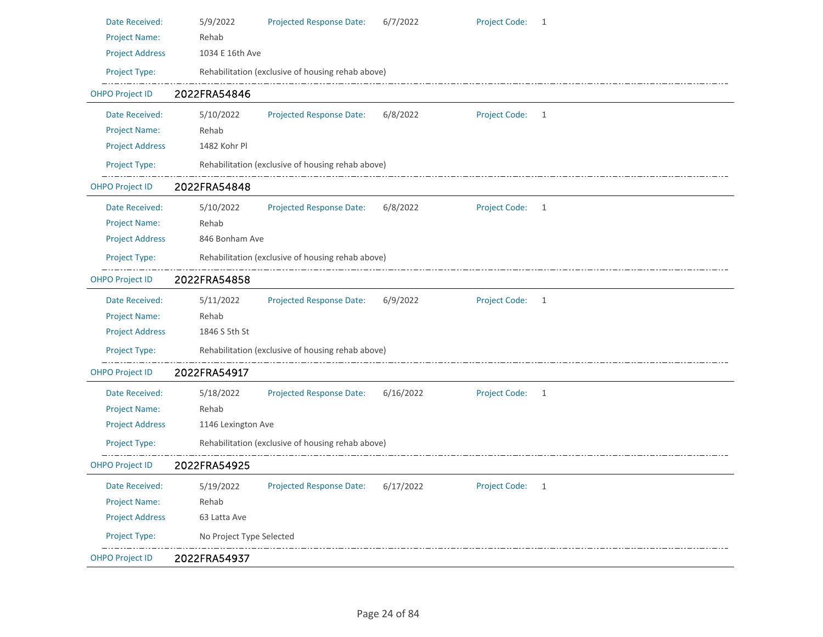| Date Received:         | 5/9/2022<br><b>Projected Response Date:</b><br><b>Project Code:</b><br>6/7/2022<br>- 1             |  |  |  |  |  |
|------------------------|----------------------------------------------------------------------------------------------------|--|--|--|--|--|
| <b>Project Name:</b>   | Rehab                                                                                              |  |  |  |  |  |
| <b>Project Address</b> | 1034 E 16th Ave                                                                                    |  |  |  |  |  |
| Project Type:          | Rehabilitation (exclusive of housing rehab above)                                                  |  |  |  |  |  |
| <b>OHPO Project ID</b> | 2022FRA54846                                                                                       |  |  |  |  |  |
| Date Received:         | 5/10/2022<br>6/8/2022<br>Project Code: 1<br><b>Projected Response Date:</b>                        |  |  |  |  |  |
| <b>Project Name:</b>   | Rehab                                                                                              |  |  |  |  |  |
| <b>Project Address</b> | 1482 Kohr Pl                                                                                       |  |  |  |  |  |
| Project Type:          | Rehabilitation (exclusive of housing rehab above)                                                  |  |  |  |  |  |
| <b>OHPO Project ID</b> | 2022FRA54848                                                                                       |  |  |  |  |  |
| Date Received:         | <b>Project Code:</b><br>5/10/2022<br><b>Projected Response Date:</b><br>6/8/2022<br>$\overline{1}$ |  |  |  |  |  |
| <b>Project Name:</b>   | Rehab                                                                                              |  |  |  |  |  |
| <b>Project Address</b> | 846 Bonham Ave                                                                                     |  |  |  |  |  |
| Project Type:          | Rehabilitation (exclusive of housing rehab above)                                                  |  |  |  |  |  |
| <b>OHPO Project ID</b> | 2022FRA54858                                                                                       |  |  |  |  |  |
| Date Received:         | 5/11/2022<br>Project Code: 1<br><b>Projected Response Date:</b><br>6/9/2022                        |  |  |  |  |  |
| <b>Project Name:</b>   | Rehab                                                                                              |  |  |  |  |  |
| <b>Project Address</b> | 1846 S 5th St                                                                                      |  |  |  |  |  |
| Project Type:          | Rehabilitation (exclusive of housing rehab above)                                                  |  |  |  |  |  |
| <b>OHPO Project ID</b> | 2022FRA54917                                                                                       |  |  |  |  |  |
| Date Received:         | Project Code: 1<br>5/18/2022<br><b>Projected Response Date:</b><br>6/16/2022                       |  |  |  |  |  |
| <b>Project Name:</b>   | Rehab                                                                                              |  |  |  |  |  |
| <b>Project Address</b> | 1146 Lexington Ave                                                                                 |  |  |  |  |  |
| Project Type:          | Rehabilitation (exclusive of housing rehab above)                                                  |  |  |  |  |  |
| <b>OHPO Project ID</b> | 2022FRA54925                                                                                       |  |  |  |  |  |
| Date Received:         | Project Code: 1<br><b>Projected Response Date:</b><br>5/19/2022<br>6/17/2022                       |  |  |  |  |  |
| <b>Project Name:</b>   | Rehab                                                                                              |  |  |  |  |  |
| <b>Project Address</b> | 63 Latta Ave                                                                                       |  |  |  |  |  |
| Project Type:          | No Project Type Selected                                                                           |  |  |  |  |  |
| <b>OHPO Project ID</b> | 2022FRA54937                                                                                       |  |  |  |  |  |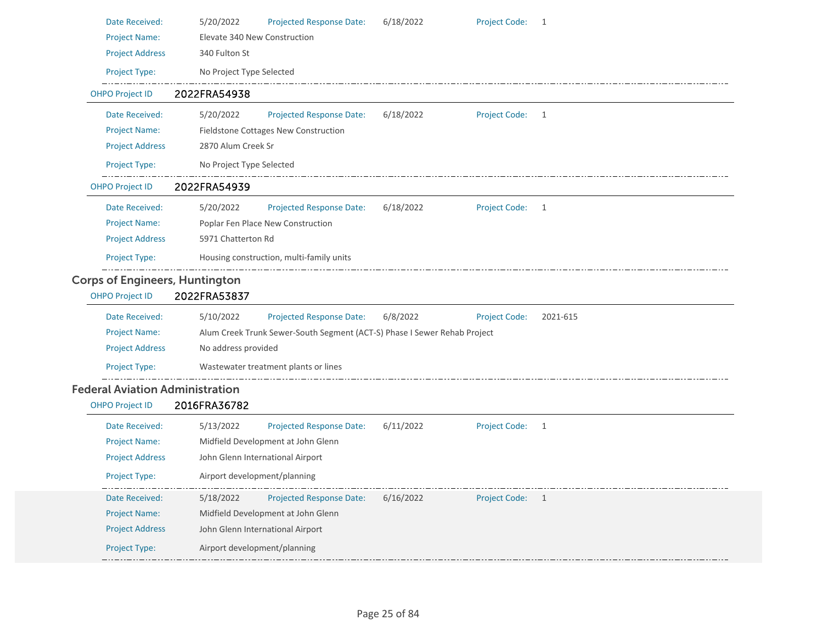| Date Received:                         | 5/20/2022                    | Projected Response Date:                                                 | 6/18/2022 | <b>Project Code:</b> | $\mathbf{1}$ |  |
|----------------------------------------|------------------------------|--------------------------------------------------------------------------|-----------|----------------------|--------------|--|
| <b>Project Name:</b>                   | Elevate 340 New Construction |                                                                          |           |                      |              |  |
| <b>Project Address</b>                 | 340 Fulton St                |                                                                          |           |                      |              |  |
| <b>Project Type:</b>                   | No Project Type Selected     |                                                                          |           |                      |              |  |
| <b>OHPO Project ID</b>                 | 2022FRA54938                 |                                                                          |           |                      |              |  |
| Date Received:                         | 5/20/2022                    | <b>Projected Response Date:</b>                                          | 6/18/2022 | <b>Project Code:</b> | 1            |  |
| <b>Project Name:</b>                   |                              | Fieldstone Cottages New Construction                                     |           |                      |              |  |
| <b>Project Address</b>                 | 2870 Alum Creek Sr           |                                                                          |           |                      |              |  |
| Project Type:                          | No Project Type Selected     |                                                                          |           |                      |              |  |
| <b>OHPO Project ID</b>                 | 2022FRA54939                 |                                                                          |           |                      |              |  |
| Date Received:                         | 5/20/2022                    | <b>Projected Response Date:</b>                                          | 6/18/2022 | <b>Project Code:</b> | $\mathbf{1}$ |  |
| <b>Project Name:</b>                   |                              | Poplar Fen Place New Construction                                        |           |                      |              |  |
| <b>Project Address</b>                 | 5971 Chatterton Rd           |                                                                          |           |                      |              |  |
| Project Type:                          |                              | Housing construction, multi-family units                                 |           |                      |              |  |
| <b>Corps of Engineers, Huntington</b>  |                              |                                                                          |           |                      |              |  |
|                                        |                              |                                                                          |           |                      |              |  |
| <b>OHPO Project ID</b>                 | 2022FRA53837                 |                                                                          |           |                      |              |  |
| Date Received:                         | 5/10/2022                    | Projected Response Date:                                                 | 6/8/2022  | <b>Project Code:</b> | 2021-615     |  |
| <b>Project Name:</b>                   |                              | Alum Creek Trunk Sewer-South Segment (ACT-S) Phase I Sewer Rehab Project |           |                      |              |  |
| <b>Project Address</b>                 | No address provided          |                                                                          |           |                      |              |  |
| Project Type:                          |                              | Wastewater treatment plants or lines                                     |           |                      |              |  |
| <b>Federal Aviation Administration</b> |                              |                                                                          |           |                      |              |  |
| <b>OHPO Project ID</b>                 | 2016FRA36782                 |                                                                          |           |                      |              |  |
| Date Received:                         | 5/13/2022                    | Projected Response Date:                                                 | 6/11/2022 | <b>Project Code:</b> | 1            |  |
| <b>Project Name:</b>                   |                              | Midfield Development at John Glenn                                       |           |                      |              |  |
| <b>Project Address</b>                 |                              | John Glenn International Airport                                         |           |                      |              |  |
| Project Type:                          | Airport development/planning |                                                                          |           |                      |              |  |
| Date Received:                         | 5/18/2022                    | <b>Projected Response Date:</b>                                          | 6/16/2022 | <b>Project Code:</b> | $\mathbf{1}$ |  |
| <b>Project Name:</b>                   |                              | Midfield Development at John Glenn                                       |           |                      |              |  |
| <b>Project Address</b>                 |                              | John Glenn International Airport                                         |           |                      |              |  |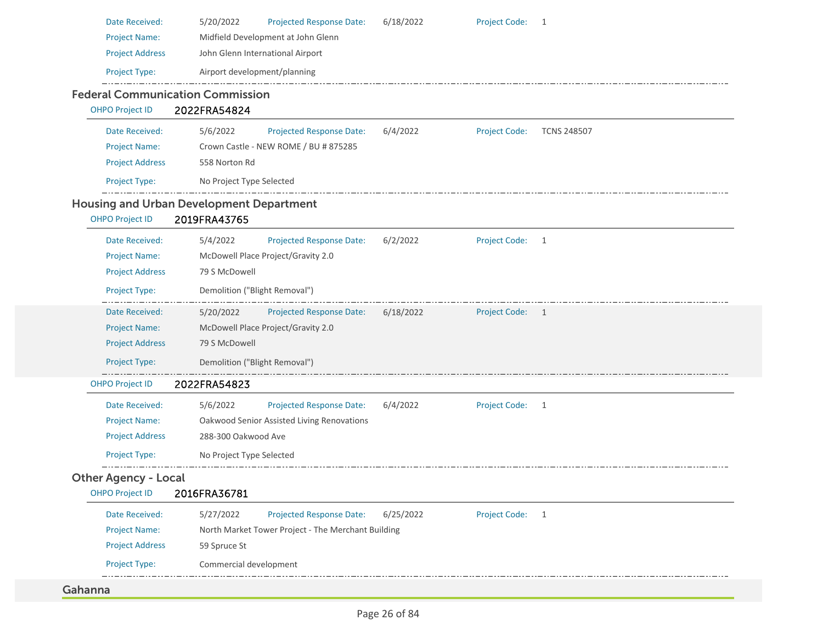| Date Received:<br><b>Project Name:</b><br><b>Project Address</b>                  | 5/20/2022<br>Projected Response Date:<br>Midfield Development at John Glenn<br>John Glenn International Airport                              | 6/18/2022 | <b>Project Code:</b> | 1                  |
|-----------------------------------------------------------------------------------|----------------------------------------------------------------------------------------------------------------------------------------------|-----------|----------------------|--------------------|
| Project Type:                                                                     | Airport development/planning                                                                                                                 |           |                      |                    |
| <b>OHPO Project ID</b>                                                            | <b>Federal Communication Commission</b><br>2022FRA54824                                                                                      |           |                      |                    |
| Date Received:<br><b>Project Name:</b><br><b>Project Address</b><br>Project Type: | 5/6/2022<br><b>Projected Response Date:</b><br>Crown Castle - NEW ROME / BU # 875285<br>558 Norton Rd<br>No Project Type Selected            | 6/4/2022  | <b>Project Code:</b> | <b>TCNS 248507</b> |
| <b>OHPO Project ID</b>                                                            | <b>Housing and Urban Development Department</b><br>2019FRA43765                                                                              |           |                      |                    |
| Date Received:<br><b>Project Name:</b><br><b>Project Address</b><br>Project Type: | 5/4/2022<br><b>Projected Response Date:</b><br>McDowell Place Project/Gravity 2.0<br>79 S McDowell<br>Demolition ("Blight Removal")          | 6/2/2022  | <b>Project Code:</b> | $\mathbf{1}$       |
| Date Received:<br><b>Project Name:</b><br><b>Project Address</b><br>Project Type: | Projected Response Date:<br>5/20/2022<br>McDowell Place Project/Gravity 2.0<br>79 S McDowell<br>Demolition ("Blight Removal")                | 6/18/2022 | <b>Project Code:</b> | $\mathbf{1}$       |
| <b>OHPO Project ID</b>                                                            | 2022FRA54823                                                                                                                                 |           |                      |                    |
| Date Received:<br><b>Project Name:</b><br><b>Project Address</b><br>Project Type: | 5/6/2022<br><b>Projected Response Date:</b><br>Oakwood Senior Assisted Living Renovations<br>288-300 Oakwood Ave<br>No Project Type Selected | 6/4/2022  | <b>Project Code:</b> | 1                  |
| <b>Other Agency - Local</b><br><b>OHPO Project ID</b>                             | 2016FRA36781                                                                                                                                 |           |                      |                    |
| Date Received:<br><b>Project Name:</b><br><b>Project Address</b><br>Project Type: | 5/27/2022<br><b>Projected Response Date:</b><br>North Market Tower Project - The Merchant Building<br>59 Spruce St<br>Commercial development | 6/25/2022 | <b>Project Code:</b> | 1                  |
| Gahanna                                                                           |                                                                                                                                              |           |                      |                    |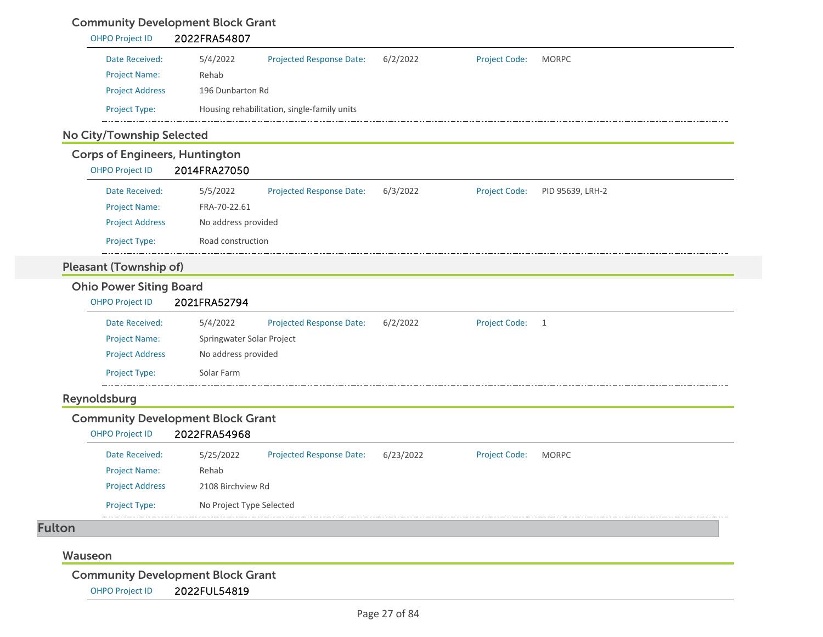## Community Development Block Grant

| Date Received:                        | 5/4/2022<br><b>Projected Response Date:</b>              | 6/2/2022  | Project Code:        | <b>MORPC</b>     |
|---------------------------------------|----------------------------------------------------------|-----------|----------------------|------------------|
| <b>Project Name:</b>                  | Rehab                                                    |           |                      |                  |
| <b>Project Address</b>                | 196 Dunbarton Rd                                         |           |                      |                  |
| Project Type:                         | Housing rehabilitation, single-family units              |           |                      |                  |
| No City/Township Selected             |                                                          |           |                      |                  |
| <b>Corps of Engineers, Huntington</b> |                                                          |           |                      |                  |
| <b>OHPO Project ID</b>                | 2014FRA27050                                             |           |                      |                  |
| Date Received:                        | 5/5/2022<br><b>Projected Response Date:</b>              | 6/3/2022  | <b>Project Code:</b> | PID 95639, LRH-2 |
| <b>Project Name:</b>                  | FRA-70-22.61                                             |           |                      |                  |
| <b>Project Address</b>                | No address provided                                      |           |                      |                  |
| Project Type:                         | Road construction                                        |           |                      |                  |
| <b>Pleasant (Township of)</b>         |                                                          |           |                      |                  |
| <b>Ohio Power Siting Board</b>        |                                                          |           |                      |                  |
| <b>OHPO Project ID</b>                | 2021FRA52794                                             |           |                      |                  |
| Date Received:                        | 5/4/2022<br>Projected Response Date:                     | 6/2/2022  | <b>Project Code:</b> | $\overline{1}$   |
| <b>Project Name:</b>                  | Springwater Solar Project                                |           |                      |                  |
| <b>Project Address</b>                | No address provided                                      |           |                      |                  |
| Project Type:                         | Solar Farm                                               |           |                      |                  |
| Reynoldsburg                          |                                                          |           |                      |                  |
| <b>OHPO Project ID</b>                | <b>Community Development Block Grant</b><br>2022FRA54968 |           |                      |                  |
| Date Received:                        | <b>Projected Response Date:</b><br>5/25/2022             | 6/23/2022 | <b>Project Code:</b> | <b>MORPC</b>     |
|                                       | Rehab                                                    |           |                      |                  |
| <b>Project Name:</b>                  | 2108 Birchview Rd                                        |           |                      |                  |
| <b>Project Address</b>                |                                                          |           |                      |                  |
| Project Type:                         | No Project Type Selected                                 |           |                      |                  |
| <b>Fulton</b>                         |                                                          |           |                      |                  |

Community Development Block Grant

OHPO Project ID 2022FUL54819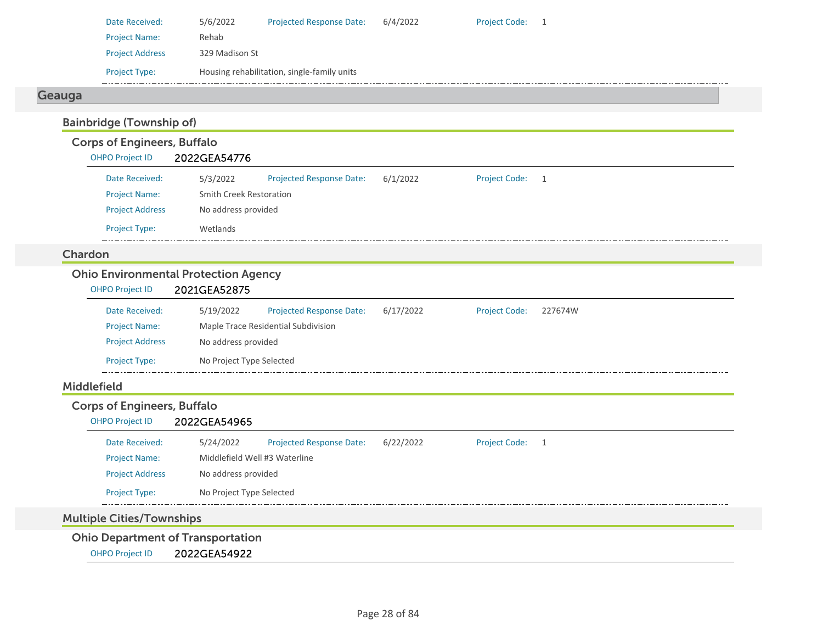| Date Received:         | 5/6/2022       | <b>Projected Response Date:</b>             | 6/4/2022 | <b>Project Code:</b> |  |
|------------------------|----------------|---------------------------------------------|----------|----------------------|--|
| <b>Project Name:</b>   | Rehab          |                                             |          |                      |  |
| <b>Project Address</b> | 329 Madison St |                                             |          |                      |  |
| <b>Project Type:</b>   |                | Housing rehabilitation, single-family units |          |                      |  |

# Geauga

# Bainbridge (Township of)

# Corps of Engineers, Buffalo

| <b>OHPO Project ID</b> | 2022GEA54776 |
|------------------------|--------------|
|------------------------|--------------|

| Date Received:         | 5/3/2022                | <b>Projected Response Date:</b> | 6/1/2022 | <b>Project Code:</b> | -1 |  |  |
|------------------------|-------------------------|---------------------------------|----------|----------------------|----|--|--|
| <b>Project Name:</b>   | Smith Creek Restoration |                                 |          |                      |    |  |  |
| <b>Project Address</b> | No address provided     |                                 |          |                      |    |  |  |
| <b>Project Type:</b>   | Wetlands                |                                 |          |                      |    |  |  |

#### Chardon

## Ohio Environmental Protection Agency

| <b>OHPO Project ID</b> | 2021GEA52875             |                                     |           |                      |         |  |  |  |
|------------------------|--------------------------|-------------------------------------|-----------|----------------------|---------|--|--|--|
| Date Received:         | 5/19/2022                | <b>Projected Response Date:</b>     | 6/17/2022 | <b>Project Code:</b> | 227674W |  |  |  |
| <b>Project Name:</b>   |                          | Maple Trace Residential Subdivision |           |                      |         |  |  |  |
| <b>Project Address</b> |                          | No address provided                 |           |                      |         |  |  |  |
| Project Type:          | No Project Type Selected |                                     |           |                      |         |  |  |  |

#### Middlefield

| <b>Corps of Engineers, Buffalo</b>       |                               |                                 |           |                 |  |  |  |
|------------------------------------------|-------------------------------|---------------------------------|-----------|-----------------|--|--|--|
| <b>OHPO Project ID</b>                   | 2022GEA54965                  |                                 |           |                 |  |  |  |
| Date Received:                           | 5/24/2022                     | <b>Projected Response Date:</b> | 6/22/2022 | Project Code: 1 |  |  |  |
| <b>Project Name:</b>                     | Middlefield Well #3 Waterline |                                 |           |                 |  |  |  |
| <b>Project Address</b>                   | No address provided           |                                 |           |                 |  |  |  |
| <b>Project Type:</b>                     | No Project Type Selected      |                                 |           |                 |  |  |  |
| <b>Multiple Cities/Townships</b>         |                               |                                 |           |                 |  |  |  |
| <b>Ohio Department of Transportation</b> |                               |                                 |           |                 |  |  |  |
| <b>OHPO Project ID</b>                   | 2022GEA54922                  |                                 |           |                 |  |  |  |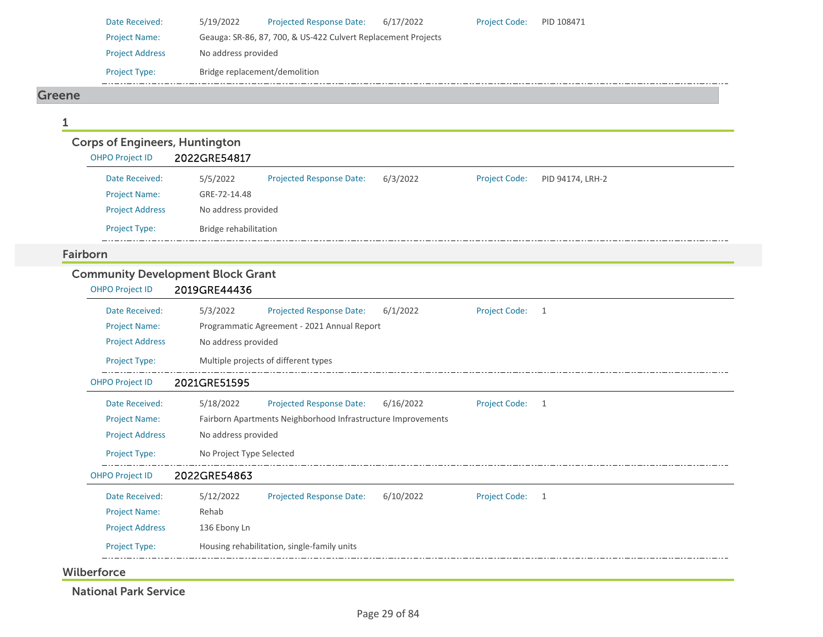| Date Received:         | 5/19/2022                                                     | <b>Projected Response Date:</b> | 6/17/2022 | <b>Project Code:</b> | PID 108471 |  |  |  |  |
|------------------------|---------------------------------------------------------------|---------------------------------|-----------|----------------------|------------|--|--|--|--|
| <b>Project Name:</b>   | Geauga: SR-86, 87, 700, & US-422 Culvert Replacement Projects |                                 |           |                      |            |  |  |  |  |
| <b>Project Address</b> | No address provided                                           |                                 |           |                      |            |  |  |  |  |
| <b>Project Type:</b>   | Bridge replacement/demolition                                 |                                 |           |                      |            |  |  |  |  |

Project Code: PID 94174, LRH-2

#### Greene

1

## Corps of Engineers, Huntington OHPO Project ID 2022GRE54817 Date Received: 5/5/2022 Project Name: GRE-72-14.48 Projected Response Date: 6/3/2022 Project Address No address provided Project Type: Bridge rehabilitation

#### Fairborn

## Community Development Block Grant

| <b>OHPO Project ID</b> | 2019GRE44436                                                                           |
|------------------------|----------------------------------------------------------------------------------------|
| Date Received:         | 5/3/2022<br>6/1/2022<br><b>Projected Response Date:</b><br><b>Project Code:</b><br>1   |
| <b>Project Name:</b>   | Programmatic Agreement - 2021 Annual Report                                            |
| <b>Project Address</b> | No address provided                                                                    |
| <b>Project Type:</b>   | Multiple projects of different types                                                   |
| <b>OHPO Project ID</b> | 2021GRE51595                                                                           |
| Date Received:         | <b>Projected Response Date:</b><br><b>Project Code:</b><br>5/18/2022<br>6/16/2022<br>1 |
| <b>Project Name:</b>   | Fairborn Apartments Neighborhood Infrastructure Improvements                           |
| <b>Project Address</b> | No address provided                                                                    |
| <b>Project Type:</b>   | No Project Type Selected                                                               |
| <b>OHPO Project ID</b> | 2022GRE54863                                                                           |
| Date Received:         | 5/12/2022<br>6/10/2022<br><b>Projected Response Date:</b><br><b>Project Code:</b><br>1 |
| <b>Project Name:</b>   | Rehab                                                                                  |
| <b>Project Address</b> | 136 Ebony Ln                                                                           |
| Project Type:          | Housing rehabilitation, single-family units                                            |

**Wilberforce** 

National Park Service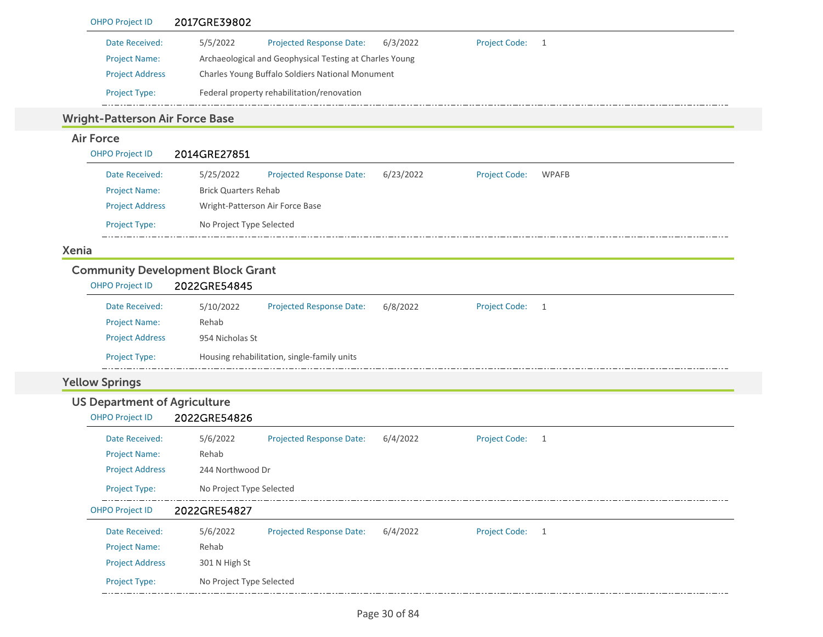|              | <b>OHPO Project ID</b>                 | 2017GRE39802                                                                                      |
|--------------|----------------------------------------|---------------------------------------------------------------------------------------------------|
|              | Date Received:                         | <b>Project Code:</b><br>5/5/2022<br>6/3/2022<br><b>Projected Response Date:</b><br>$\overline{1}$ |
|              | <b>Project Name:</b>                   | Archaeological and Geophysical Testing at Charles Young                                           |
|              | <b>Project Address</b>                 | Charles Young Buffalo Soldiers National Monument                                                  |
|              | Project Type:                          | Federal property rehabilitation/renovation                                                        |
|              | <b>Wright-Patterson Air Force Base</b> |                                                                                                   |
|              | <b>Air Force</b>                       |                                                                                                   |
|              | <b>OHPO Project ID</b>                 | 2014GRE27851                                                                                      |
|              | Date Received:                         | <b>Projected Response Date:</b><br>6/23/2022<br><b>WPAFB</b><br>5/25/2022<br><b>Project Code:</b> |
|              | <b>Project Name:</b>                   | <b>Brick Quarters Rehab</b>                                                                       |
|              | <b>Project Address</b>                 | Wright-Patterson Air Force Base                                                                   |
|              | Project Type:                          | No Project Type Selected                                                                          |
| <b>Xenia</b> |                                        |                                                                                                   |
|              |                                        | <b>Community Development Block Grant</b>                                                          |
|              | <b>OHPO Project ID</b>                 | 2022GRE54845                                                                                      |
|              | Date Received:                         | 5/10/2022<br><b>Projected Response Date:</b><br>6/8/2022<br>Project Code:<br>$\overline{1}$       |
|              | <b>Project Name:</b>                   | Rehab                                                                                             |
|              | <b>Project Address</b>                 | 954 Nicholas St                                                                                   |
|              | Project Type:                          | Housing rehabilitation, single-family units                                                       |
|              | <b>Yellow Springs</b>                  |                                                                                                   |
|              | <b>US Department of Agriculture</b>    |                                                                                                   |
|              | <b>OHPO Project ID</b>                 | 2022GRE54826                                                                                      |
|              | Date Received:                         | 5/6/2022<br><b>Projected Response Date:</b><br>6/4/2022<br>Project Code:<br>$\overline{1}$        |
|              | <b>Project Name:</b>                   | Rehab                                                                                             |
|              | <b>Project Address</b>                 | 244 Northwood Dr                                                                                  |
|              | Project Type:                          | No Project Type Selected                                                                          |
|              | <b>OHPO Project ID</b>                 | 2022GRE54827                                                                                      |
|              | Date Received:                         | Projected Response Date:<br>6/4/2022<br><b>Project Code:</b><br>5/6/2022<br>$\overline{1}$        |
|              | <b>Project Name:</b>                   | Rehab                                                                                             |
|              | <b>Project Address</b>                 | 301 N High St                                                                                     |
|              | Project Type:                          | No Project Type Selected                                                                          |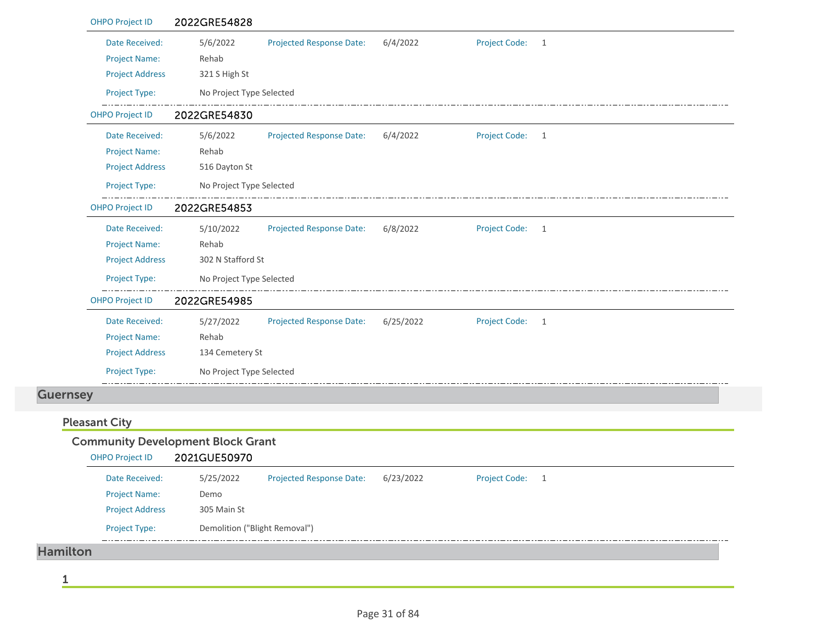|                 | <b>OHPO Project ID</b> | 2022GRE54828                             |                                 |           |                      |              |  |
|-----------------|------------------------|------------------------------------------|---------------------------------|-----------|----------------------|--------------|--|
|                 | Date Received:         | 5/6/2022                                 | <b>Projected Response Date:</b> | 6/4/2022  | <b>Project Code:</b> | $\mathbf{1}$ |  |
|                 | <b>Project Name:</b>   | Rehab                                    |                                 |           |                      |              |  |
|                 | <b>Project Address</b> | 321 S High St                            |                                 |           |                      |              |  |
|                 | Project Type:          | No Project Type Selected                 |                                 |           |                      |              |  |
|                 | <b>OHPO Project ID</b> | 2022GRE54830                             |                                 |           |                      |              |  |
|                 | Date Received:         | 5/6/2022                                 | <b>Projected Response Date:</b> | 6/4/2022  | <b>Project Code:</b> | 1            |  |
|                 | <b>Project Name:</b>   | Rehab                                    |                                 |           |                      |              |  |
|                 | <b>Project Address</b> | 516 Dayton St                            |                                 |           |                      |              |  |
|                 | Project Type:          | No Project Type Selected                 |                                 |           |                      |              |  |
|                 | OHPO Project ID        | 2022GRE54853                             |                                 |           |                      |              |  |
|                 | Date Received:         | 5/10/2022                                | Projected Response Date:        | 6/8/2022  | <b>Project Code:</b> | $\mathbf{1}$ |  |
|                 | <b>Project Name:</b>   | Rehab                                    |                                 |           |                      |              |  |
|                 | <b>Project Address</b> | 302 N Stafford St                        |                                 |           |                      |              |  |
|                 | Project Type:          | No Project Type Selected                 |                                 |           |                      |              |  |
|                 | <b>OHPO Project ID</b> | 2022GRE54985                             |                                 |           |                      |              |  |
|                 | Date Received:         | 5/27/2022                                | Projected Response Date:        | 6/25/2022 | <b>Project Code:</b> | 1            |  |
|                 | <b>Project Name:</b>   | Rehab                                    |                                 |           |                      |              |  |
|                 | <b>Project Address</b> | 134 Cemetery St                          |                                 |           |                      |              |  |
|                 | Project Type:          | No Project Type Selected                 |                                 |           |                      |              |  |
| <b>Guernsey</b> |                        |                                          |                                 |           |                      |              |  |
|                 | <b>Pleasant City</b>   |                                          |                                 |           |                      |              |  |
|                 |                        | <b>Community Development Block Grant</b> |                                 |           |                      |              |  |
|                 | <b>OHPO Project ID</b> | 2021GUE50970                             |                                 |           |                      |              |  |
|                 | Date Received:         | 5/25/2022                                | <b>Projected Response Date:</b> | 6/23/2022 | <b>Project Code:</b> | $\mathbf{1}$ |  |
|                 | <b>Project Name:</b>   | Demo                                     |                                 |           |                      |              |  |
|                 | <b>Project Address</b> | 305 Main St                              |                                 |           |                      |              |  |
|                 | Project Type:          | Demolition ("Blight Removal")            |                                 |           |                      |              |  |

Hamilton

1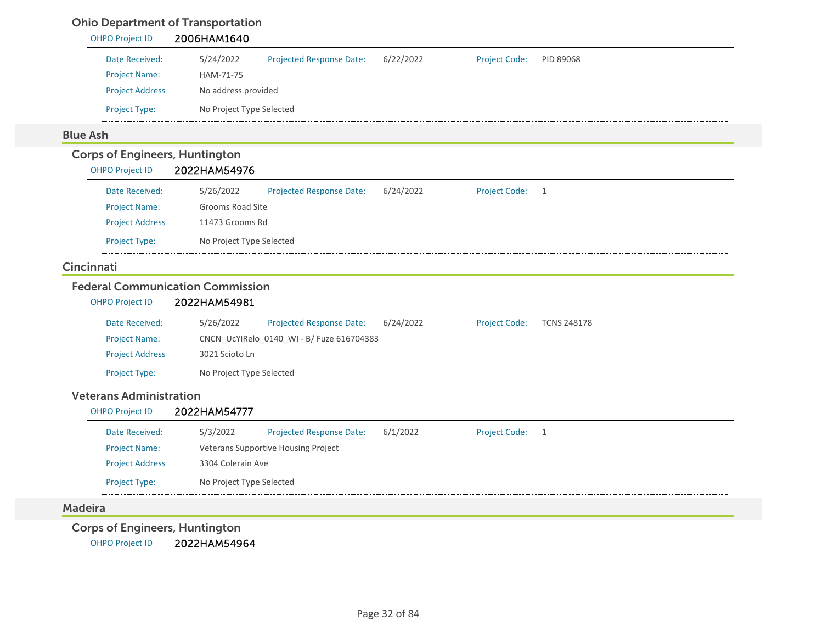## Ohio Department of Transportation

| Date Received:<br>5/24/2022<br>Projected Response Date:<br>6/22/2022<br><b>Project Name:</b><br>HAM-71-75<br><b>Project Address</b><br>No address provided<br>Project Type:<br>No Project Type Selected<br><b>Corps of Engineers, Huntington</b><br>2022HAM54976<br><b>OHPO Project ID</b><br>Date Received:<br>5/26/2022<br><b>Projected Response Date:</b><br>6/24/2022<br><b>Project Name:</b><br>Grooms Road Site<br><b>Project Address</b><br>11473 Grooms Rd | <b>Project Code:</b><br>PID 89068<br>Project Code:<br>$\mathbf{1}$ |
|--------------------------------------------------------------------------------------------------------------------------------------------------------------------------------------------------------------------------------------------------------------------------------------------------------------------------------------------------------------------------------------------------------------------------------------------------------------------|--------------------------------------------------------------------|
|                                                                                                                                                                                                                                                                                                                                                                                                                                                                    |                                                                    |
|                                                                                                                                                                                                                                                                                                                                                                                                                                                                    |                                                                    |
|                                                                                                                                                                                                                                                                                                                                                                                                                                                                    |                                                                    |
| <b>Blue Ash</b>                                                                                                                                                                                                                                                                                                                                                                                                                                                    |                                                                    |
|                                                                                                                                                                                                                                                                                                                                                                                                                                                                    |                                                                    |
|                                                                                                                                                                                                                                                                                                                                                                                                                                                                    |                                                                    |
|                                                                                                                                                                                                                                                                                                                                                                                                                                                                    |                                                                    |
|                                                                                                                                                                                                                                                                                                                                                                                                                                                                    |                                                                    |
|                                                                                                                                                                                                                                                                                                                                                                                                                                                                    |                                                                    |
|                                                                                                                                                                                                                                                                                                                                                                                                                                                                    |                                                                    |
| Project Type:<br>No Project Type Selected                                                                                                                                                                                                                                                                                                                                                                                                                          |                                                                    |
| Cincinnati                                                                                                                                                                                                                                                                                                                                                                                                                                                         |                                                                    |
| <b>Federal Communication Commission</b>                                                                                                                                                                                                                                                                                                                                                                                                                            |                                                                    |
| 2022HAM54981<br><b>OHPO Project ID</b>                                                                                                                                                                                                                                                                                                                                                                                                                             |                                                                    |
| Date Received:<br>5/26/2022<br>6/24/2022<br>Projected Response Date:                                                                                                                                                                                                                                                                                                                                                                                               | <b>Project Code:</b><br><b>TCNS 248178</b>                         |
| <b>Project Name:</b><br>CNCN_UcYIRelo_0140_WI - B/ Fuze 616704383                                                                                                                                                                                                                                                                                                                                                                                                  |                                                                    |
| <b>Project Address</b><br>3021 Scioto Ln                                                                                                                                                                                                                                                                                                                                                                                                                           |                                                                    |
| <b>Project Type:</b><br>No Project Type Selected                                                                                                                                                                                                                                                                                                                                                                                                                   |                                                                    |
| <b>Veterans Administration</b>                                                                                                                                                                                                                                                                                                                                                                                                                                     |                                                                    |
| 2022HAM54777<br><b>OHPO Project ID</b>                                                                                                                                                                                                                                                                                                                                                                                                                             |                                                                    |
| 6/1/2022<br>Date Received:<br>5/3/2022<br>Projected Response Date:                                                                                                                                                                                                                                                                                                                                                                                                 | Project Code:<br>$\mathbf{1}$                                      |
| <b>Project Name:</b><br>Veterans Supportive Housing Project                                                                                                                                                                                                                                                                                                                                                                                                        |                                                                    |
| 3304 Colerain Ave<br><b>Project Address</b>                                                                                                                                                                                                                                                                                                                                                                                                                        |                                                                    |
| <b>Project Type:</b><br>No Project Type Selected                                                                                                                                                                                                                                                                                                                                                                                                                   |                                                                    |
| <b>Madeira</b>                                                                                                                                                                                                                                                                                                                                                                                                                                                     |                                                                    |

OHPO Project ID 2022HAM54964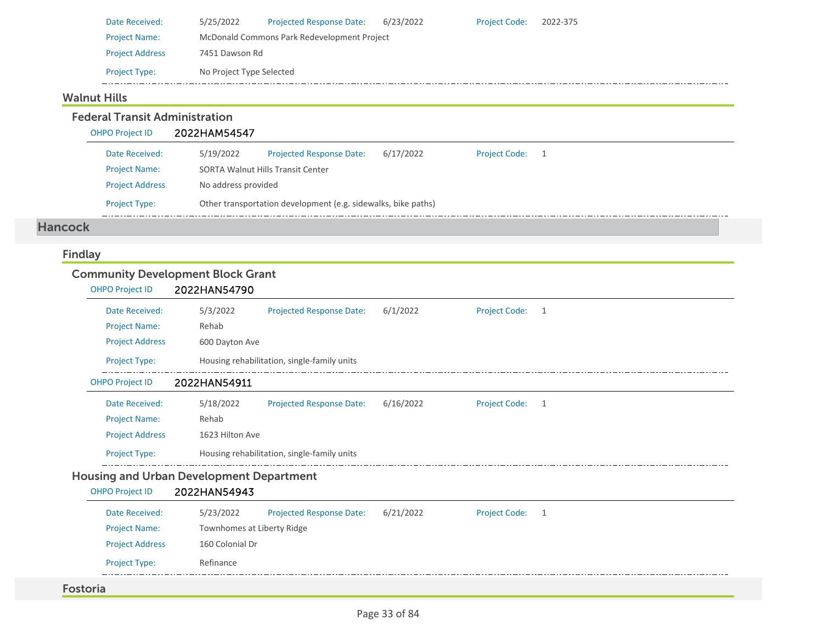| Date Received:         | 5/25/2022                                   | <b>Projected Response Date:</b> | 6/23/2022 | <b>Project Code:</b> | 2022-375 |  |  |  |
|------------------------|---------------------------------------------|---------------------------------|-----------|----------------------|----------|--|--|--|
| <b>Project Name:</b>   | McDonald Commons Park Redevelopment Project |                                 |           |                      |          |  |  |  |
| <b>Project Address</b> | 7451 Dawson Rd                              |                                 |           |                      |          |  |  |  |
| <b>Project Type:</b>   | No Project Type Selected                    |                                 |           |                      |          |  |  |  |

#### Walnut Hills

Federal Transit Administration

OHPO Project ID 2022HAM54547

| Date Received:         | 5/19/2022                                                     | <b>Projected Response Date:</b> | 6/17/2022 | <b>Project Code:</b> |  |  |  |
|------------------------|---------------------------------------------------------------|---------------------------------|-----------|----------------------|--|--|--|
| <b>Project Name:</b>   | <b>SORTA Walnut Hills Transit Center</b>                      |                                 |           |                      |  |  |  |
| <b>Project Address</b> | No address provided                                           |                                 |           |                      |  |  |  |
| <b>Project Type:</b>   | Other transportation development (e.g. sidewalks, bike paths) |                                 |           |                      |  |  |  |

#### Hancock

## Findlay

## Community Development Block Grant

| <b>OHPO Project ID</b> | 2022HAN54790    |                                             |           |                      |                |  |  |
|------------------------|-----------------|---------------------------------------------|-----------|----------------------|----------------|--|--|
| Date Received:         | 5/3/2022        | <b>Projected Response Date:</b>             | 6/1/2022  | Project Code: 1      |                |  |  |
| <b>Project Name:</b>   | Rehab           |                                             |           |                      |                |  |  |
| <b>Project Address</b> | 600 Dayton Ave  |                                             |           |                      |                |  |  |
| Project Type:          |                 | Housing rehabilitation, single-family units |           |                      |                |  |  |
| <b>OHPO Project ID</b> | 2022HAN54911    |                                             |           |                      |                |  |  |
| Date Received:         | 5/18/2022       | <b>Projected Response Date:</b>             | 6/16/2022 | <b>Project Code:</b> | $\overline{1}$ |  |  |
| <b>Project Name:</b>   | Rehab           |                                             |           |                      |                |  |  |
| <b>Project Address</b> | 1623 Hilton Ave |                                             |           |                      |                |  |  |
| <b>Project Type:</b>   |                 | Housing rehabilitation, single-family units |           |                      |                |  |  |
|                        |                 |                                             |           |                      |                |  |  |

#### Housing and Urban Development Department

# OHPO Project ID 2022HAN54943

| <b>Projected Response Date:</b><br>5/23/2022<br>Date Received:<br>6/21/2022<br><b>Project Code:</b> |  |
|-----------------------------------------------------------------------------------------------------|--|
| <b>Project Name:</b><br>Townhomes at Liberty Ridge                                                  |  |
| <b>Project Address</b><br>160 Colonial Dr                                                           |  |
| <b>Project Type:</b><br>Refinance                                                                   |  |

#### Fostoria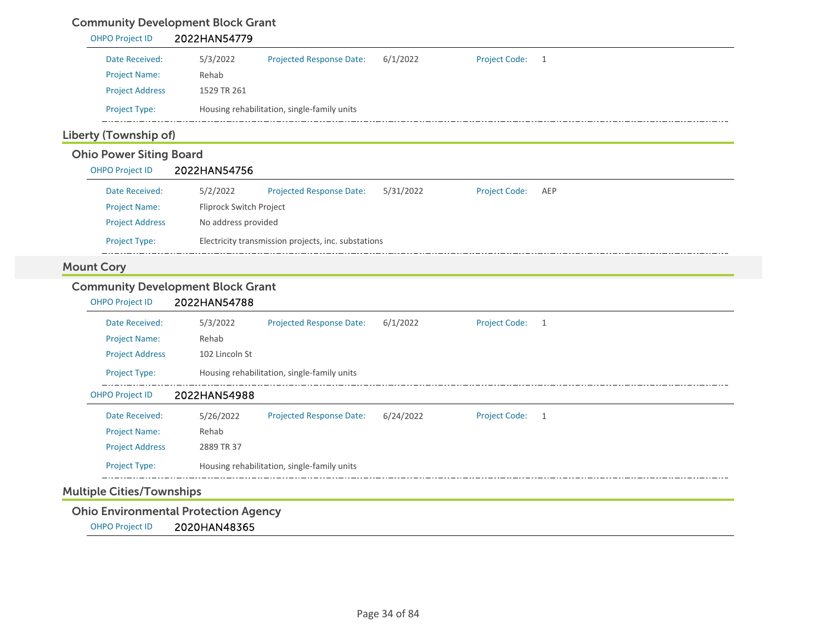# Community Development Block Grant

| 2022HAN54779                                                                                 |  |
|----------------------------------------------------------------------------------------------|--|
| 6/1/2022<br>5/3/2022<br>Projected Response Date:<br><b>Project Code:</b><br>1                |  |
| Rehab                                                                                        |  |
| 1529 TR 261                                                                                  |  |
| Housing rehabilitation, single-family units                                                  |  |
| Liberty (Township of)                                                                        |  |
| <b>Ohio Power Siting Board</b>                                                               |  |
| 2022HAN54756                                                                                 |  |
| 5/2/2022<br>Projected Response Date:<br>5/31/2022<br><b>Project Code:</b><br>AEP             |  |
| Fliprock Switch Project                                                                      |  |
| No address provided                                                                          |  |
| Electricity transmission projects, inc. substations                                          |  |
|                                                                                              |  |
| <b>Community Development Block Grant</b>                                                     |  |
| 2022HAN54788                                                                                 |  |
| 5/3/2022<br>Projected Response Date:<br>6/1/2022<br><b>Project Code:</b><br>$\mathbf{1}$     |  |
| Rehab                                                                                        |  |
| 102 Lincoln St                                                                               |  |
| Housing rehabilitation, single-family units                                                  |  |
| 2022HAN54988                                                                                 |  |
| 5/26/2022<br>Projected Response Date:<br>6/24/2022<br><b>Project Code:</b><br>$\overline{1}$ |  |
| Rehab                                                                                        |  |
|                                                                                              |  |
| 2889 TR 37                                                                                   |  |
|                                                                                              |  |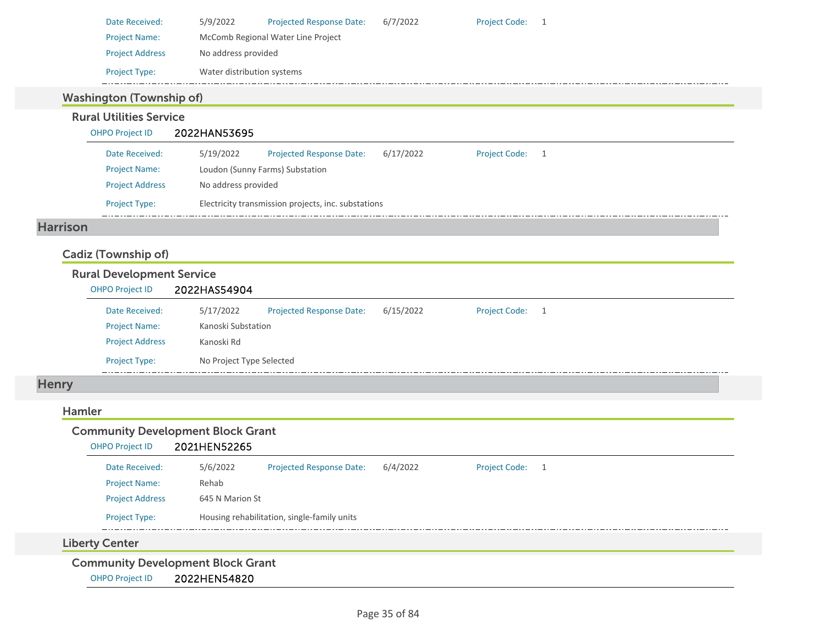| Date Received:         | 5/9/2022                           | <b>Projected Response Date:</b> | 6/7/2022 | <b>Project Code:</b> |  |  |  |
|------------------------|------------------------------------|---------------------------------|----------|----------------------|--|--|--|
| <b>Project Name:</b>   | McComb Regional Water Line Project |                                 |          |                      |  |  |  |
| <b>Project Address</b> | No address provided                |                                 |          |                      |  |  |  |
| <b>Project Type:</b>   | Water distribution systems         |                                 |          |                      |  |  |  |

## Washington (Township of)

#### Rural Utilities Service

#### OHPO Project ID 2022HAN53695

| Date Received:         | 5/19/2022                                           | <b>Projected Response Date:</b> | 6/17/2022 | <b>Project Code:</b> |  |  |  |  |
|------------------------|-----------------------------------------------------|---------------------------------|-----------|----------------------|--|--|--|--|
| <b>Project Name:</b>   |                                                     | Loudon (Sunny Farms) Substation |           |                      |  |  |  |  |
| <b>Project Address</b> | No address provided                                 |                                 |           |                      |  |  |  |  |
| <b>Project Type:</b>   | Electricity transmission projects, inc. substations |                                 |           |                      |  |  |  |  |

#### Harrison

## Cadiz (Township of)

#### Rural Development Service OHPO Project ID 2022HAS54904 Date Received: 5/17/2022 Project Name: Kanoski Substation Projected Response Date: 6/15/2022 Project Address Kanoski Rd Project Type: No Project Type Selected Project Code: 1

## **Henry**

#### Hamler

| <b>Community Development Block Grant</b><br>2021HEN52265<br><b>OHPO Project ID</b> |                 |                                             |          |                 |  |  |  |
|------------------------------------------------------------------------------------|-----------------|---------------------------------------------|----------|-----------------|--|--|--|
| Date Received:                                                                     | 5/6/2022        | <b>Projected Response Date:</b>             | 6/4/2022 | Project Code: 1 |  |  |  |
| <b>Project Name:</b>                                                               | Rehab           |                                             |          |                 |  |  |  |
| <b>Project Address</b>                                                             | 645 N Marion St |                                             |          |                 |  |  |  |
| <b>Project Type:</b>                                                               |                 | Housing rehabilitation, single-family units |          |                 |  |  |  |
| <b>Liberty Center</b>                                                              |                 |                                             |          |                 |  |  |  |
| Community Development Block Crant                                                  |                 |                                             |          |                 |  |  |  |

Community Development Block Grant

OHPO Project ID 2022HEN54820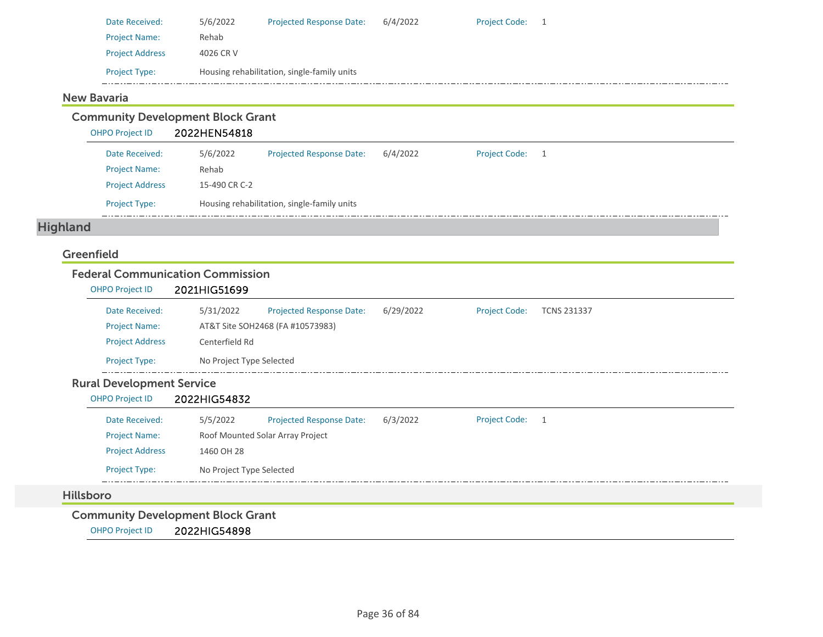| Date Received:         | 5/6/2022  | <b>Projected Response Date:</b>             | 6/4/2022 | <b>Project Code:</b> |  |
|------------------------|-----------|---------------------------------------------|----------|----------------------|--|
| <b>Project Name:</b>   | Rehab     |                                             |          |                      |  |
| <b>Project Address</b> | 4026 CR V |                                             |          |                      |  |
| <b>Project Type:</b>   |           | Housing rehabilitation, single-family units |          |                      |  |

#### New Bavaria

Community Development Block Grant

OHPO Project ID 2022HEN54818

| Date Received:         | 5/6/2022                                    | <b>Projected Response Date:</b> | 6/4/2022 | Project Code: 1 |  |  |
|------------------------|---------------------------------------------|---------------------------------|----------|-----------------|--|--|
| <b>Project Name:</b>   | Rehab                                       |                                 |          |                 |  |  |
| <b>Project Address</b> | 15-490 CR C-2                               |                                 |          |                 |  |  |
| <b>Project Type:</b>   | Housing rehabilitation, single-family units |                                 |          |                 |  |  |

# Highland

#### Greenfield

#### Federal Communication Commission

|                                                  | <b>OHPO Project ID</b>           | 2021HIG51699   |                                  |           |                      |                    |  |
|--------------------------------------------------|----------------------------------|----------------|----------------------------------|-----------|----------------------|--------------------|--|
|                                                  | Date Received:                   | 5/31/2022      | <b>Projected Response Date:</b>  | 6/29/2022 | <b>Project Code:</b> | <b>TCNS 231337</b> |  |
|                                                  | <b>Project Name:</b>             |                | AT&T Site SOH2468 (FA #10573983) |           |                      |                    |  |
|                                                  | <b>Project Address</b>           | Centerfield Rd |                                  |           |                      |                    |  |
| No Project Type Selected<br><b>Project Type:</b> |                                  |                |                                  |           |                      |                    |  |
|                                                  | <b>Rural Development Service</b> |                |                                  |           |                      |                    |  |

# OHPO Project ID 2022HIG54832

| Date Received:         | 5/5/2022                         | <b>Projected Response Date:</b> | 6/3/2022 | <b>Project Code:</b> | - 1 |  |  |
|------------------------|----------------------------------|---------------------------------|----------|----------------------|-----|--|--|
| <b>Project Name:</b>   | Roof Mounted Solar Array Project |                                 |          |                      |     |  |  |
| <b>Project Address</b> | 1460 OH 28                       |                                 |          |                      |     |  |  |
| <b>Project Type:</b>   | No Project Type Selected         |                                 |          |                      |     |  |  |
|                        |                                  |                                 |          |                      |     |  |  |

#### Hillsboro

## Community Development Block Grant

OHPO Project ID 2022HIG54898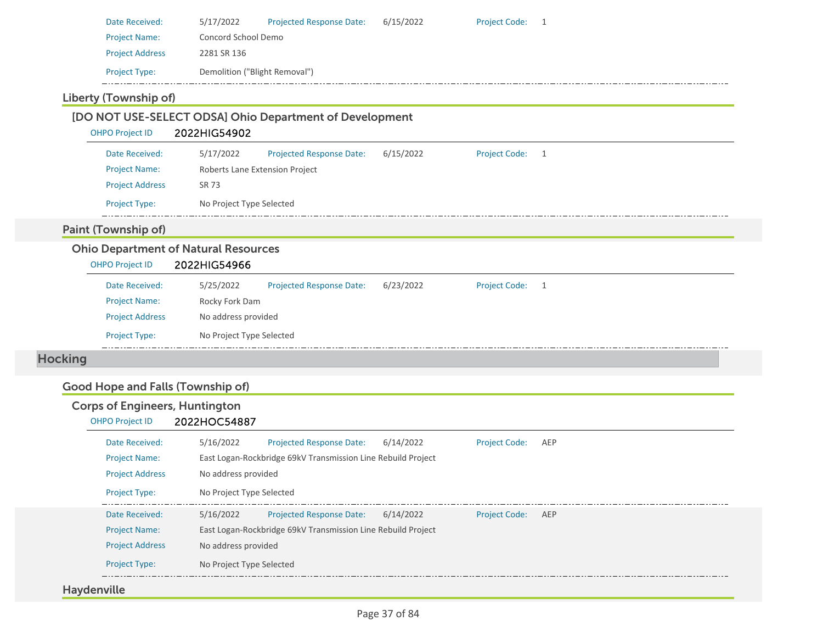| Date Received:         | 5/17/2022                     | <b>Projected Response Date:</b> | 6/15/2022 | <b>Project Code:</b> |  |
|------------------------|-------------------------------|---------------------------------|-----------|----------------------|--|
| <b>Project Name:</b>   | Concord School Demo           |                                 |           |                      |  |
| <b>Project Address</b> | 2281 SR 136                   |                                 |           |                      |  |
| <b>Project Type:</b>   | Demolition ("Blight Removal") |                                 |           |                      |  |

# Liberty (Township of)

| <b>OHPO Project ID</b>                                                | 2022HIG54902                   |                                 |           |                      |   |  |
|-----------------------------------------------------------------------|--------------------------------|---------------------------------|-----------|----------------------|---|--|
| Date Received:                                                        | 5/17/2022                      | <b>Projected Response Date:</b> | 6/15/2022 | <b>Project Code:</b> | 1 |  |
| <b>Project Name:</b>                                                  | Roberts Lane Extension Project |                                 |           |                      |   |  |
| <b>Project Address</b>                                                | SR 73                          |                                 |           |                      |   |  |
| Project Type:                                                         | No Project Type Selected       |                                 |           |                      |   |  |
| <b>Paint (Township of)</b>                                            |                                |                                 |           |                      |   |  |
| <b>Ohio Department of Natural Resources</b><br><b>OHPO Project ID</b> | 2022HIG54966                   |                                 |           |                      |   |  |
| Date Received:                                                        | 5/25/2022                      | <b>Projected Response Date:</b> | 6/23/2022 | <b>Project Code:</b> | 1 |  |
| <b>Project Name:</b>                                                  | Rocky Fork Dam                 |                                 |           |                      |   |  |
| <b>Project Address</b>                                                | No address provided            |                                 |           |                      |   |  |

# Good Hope and Falls (Township of)

## Corps of Engineers, Huntington OHPO Project ID 2022HOC54887

| Date Received:         | 5/16/2022                | <b>Projected Response Date:</b>                              | 6/14/2022 | <b>Project Code:</b> | AEP |
|------------------------|--------------------------|--------------------------------------------------------------|-----------|----------------------|-----|
| <b>Project Name:</b>   |                          | East Logan-Rockbridge 69kV Transmission Line Rebuild Project |           |                      |     |
| <b>Project Address</b> | No address provided      |                                                              |           |                      |     |
| <b>Project Type:</b>   | No Project Type Selected |                                                              |           |                      |     |
| Date Received:         | 5/16/2022                | <b>Projected Response Date:</b>                              | 6/14/2022 | <b>Project Code:</b> | AEP |
| <b>Project Name:</b>   |                          | East Logan-Rockbridge 69kV Transmission Line Rebuild Project |           |                      |     |
| <b>Project Address</b> | No address provided      |                                                              |           |                      |     |
| <b>Project Type:</b>   | No Project Type Selected |                                                              |           |                      |     |

## Haydenville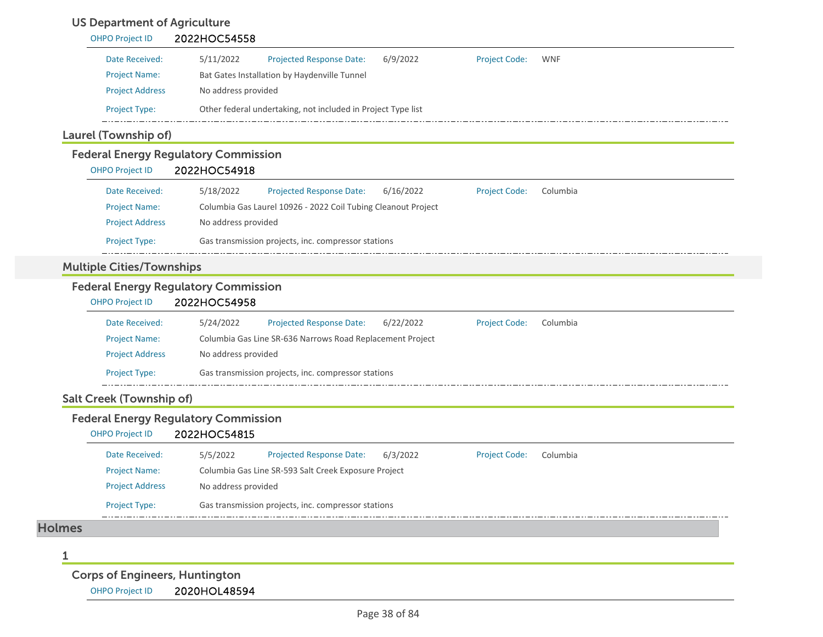# US Department of Agriculture

| 5/11/2022<br><b>Projected Response Date:</b><br>6/9/2022<br>Bat Gates Installation by Haydenville Tunnel<br>No address provided | <b>Project Code:</b> | <b>WNF</b> |
|---------------------------------------------------------------------------------------------------------------------------------|----------------------|------------|
|                                                                                                                                 |                      |            |
|                                                                                                                                 |                      |            |
|                                                                                                                                 |                      |            |
| Other federal undertaking, not included in Project Type list                                                                    |                      |            |
| Laurel (Township of)                                                                                                            |                      |            |
| <b>Federal Energy Regulatory Commission</b>                                                                                     |                      |            |
| 2022HOC54918                                                                                                                    |                      |            |
| 5/18/2022<br><b>Projected Response Date:</b><br>6/16/2022                                                                       | <b>Project Code:</b> | Columbia   |
| Columbia Gas Laurel 10926 - 2022 Coil Tubing Cleanout Project                                                                   |                      |            |
| No address provided                                                                                                             |                      |            |
| Gas transmission projects, inc. compressor stations                                                                             |                      |            |
| <b>Multiple Cities/Townships</b>                                                                                                |                      |            |
| <b>Federal Energy Regulatory Commission</b>                                                                                     |                      |            |
| 2022HOC54958                                                                                                                    |                      |            |
| <b>Projected Response Date:</b><br>5/24/2022<br>6/22/2022                                                                       | <b>Project Code:</b> | Columbia   |
| Columbia Gas Line SR-636 Narrows Road Replacement Project                                                                       |                      |            |
| No address provided                                                                                                             |                      |            |
| Gas transmission projects, inc. compressor stations                                                                             |                      |            |
| <b>Salt Creek (Township of)</b>                                                                                                 |                      |            |
| <b>Federal Energy Regulatory Commission</b><br>2022HOC54815                                                                     |                      |            |
| 5/5/2022<br><b>Projected Response Date:</b><br>6/3/2022                                                                         | <b>Project Code:</b> | Columbia   |
| Columbia Gas Line SR-593 Salt Creek Exposure Project                                                                            |                      |            |
| No address provided                                                                                                             |                      |            |
| Gas transmission projects, inc. compressor stations                                                                             |                      |            |
|                                                                                                                                 |                      |            |
|                                                                                                                                 |                      |            |
|                                                                                                                                 |                      |            |

Corps of Engineers, Huntington

OHPO Project ID 2020HOL48594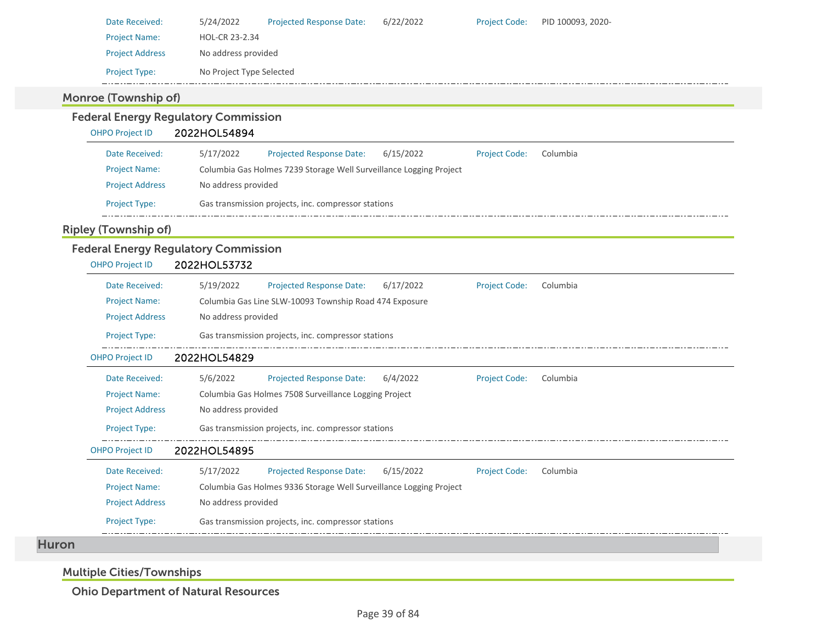|                             | 5/24/2022<br>Projected Response Date:<br>6/22/2022<br><b>Project Code:</b> |                                  |
|-----------------------------|----------------------------------------------------------------------------|----------------------------------|
| <b>Project Name:</b>        | HOL-CR 23-2.34                                                             |                                  |
| <b>Project Address</b>      | No address provided                                                        |                                  |
| Project Type:               | No Project Type Selected                                                   |                                  |
| <b>Monroe (Township of)</b> |                                                                            |                                  |
|                             | <b>Federal Energy Regulatory Commission</b>                                |                                  |
| <b>OHPO Project ID</b>      | 2022HOL54894                                                               |                                  |
| Date Received:              | 5/17/2022<br>Projected Response Date:<br>6/15/2022                         | <b>Project Code:</b><br>Columbia |
| <b>Project Name:</b>        | Columbia Gas Holmes 7239 Storage Well Surveillance Logging Project         |                                  |
| <b>Project Address</b>      | No address provided                                                        |                                  |
| Project Type:               | Gas transmission projects, inc. compressor stations                        |                                  |
| <b>Ripley (Township of)</b> |                                                                            |                                  |
|                             |                                                                            |                                  |
|                             | <b>Federal Energy Regulatory Commission</b>                                |                                  |
| <b>OHPO Project ID</b>      | 2022HOL53732                                                               |                                  |
| Date Received:              | 5/19/2022<br>Projected Response Date:<br>6/17/2022                         | <b>Project Code:</b><br>Columbia |
| <b>Project Name:</b>        | Columbia Gas Line SLW-10093 Township Road 474 Exposure                     |                                  |
| <b>Project Address</b>      | No address provided                                                        |                                  |
| Project Type:               | Gas transmission projects, inc. compressor stations                        |                                  |
| <b>OHPO Project ID</b>      | 2022HOL54829                                                               |                                  |
| Date Received:              | 6/4/2022<br>5/6/2022<br><b>Projected Response Date:</b>                    | <b>Project Code:</b><br>Columbia |
| <b>Project Name:</b>        | Columbia Gas Holmes 7508 Surveillance Logging Project                      |                                  |
| <b>Project Address</b>      | No address provided                                                        |                                  |
| <b>Project Type:</b>        | Gas transmission projects, inc. compressor stations                        |                                  |
| <b>OHPO Project ID</b>      | 2022HOL54895                                                               |                                  |
| Date Received:              | 5/17/2022<br><b>Projected Response Date:</b><br>6/15/2022                  | <b>Project Code:</b><br>Columbia |
| <b>Project Name:</b>        | Columbia Gas Holmes 9336 Storage Well Surveillance Logging Project         |                                  |
| <b>Project Address</b>      | No address provided                                                        |                                  |

Multiple Cities/Townships

Ohio Department of Natural Resources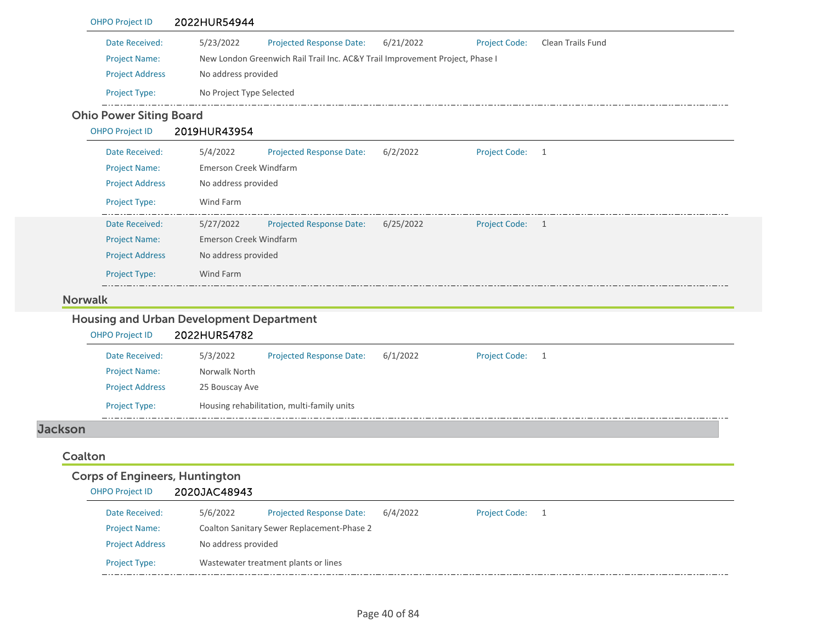|                | <b>OHPO Project ID</b>                         | 2022HUR54944                                                                 |           |                      |                   |  |
|----------------|------------------------------------------------|------------------------------------------------------------------------------|-----------|----------------------|-------------------|--|
|                | Date Received:                                 | 5/23/2022<br>Projected Response Date:                                        | 6/21/2022 | <b>Project Code:</b> | Clean Trails Fund |  |
|                | <b>Project Name:</b>                           | New London Greenwich Rail Trail Inc. AC&Y Trail Improvement Project, Phase I |           |                      |                   |  |
|                | <b>Project Address</b>                         | No address provided                                                          |           |                      |                   |  |
|                | Project Type:                                  | No Project Type Selected                                                     |           |                      |                   |  |
|                | <b>Ohio Power Siting Board</b>                 |                                                                              |           |                      |                   |  |
|                | <b>OHPO Project ID</b>                         | 2019HUR43954                                                                 |           |                      |                   |  |
|                | Date Received:                                 | 5/4/2022<br>Projected Response Date:                                         | 6/2/2022  | <b>Project Code:</b> | $\mathbf{1}$      |  |
|                | <b>Project Name:</b>                           | Emerson Creek Windfarm                                                       |           |                      |                   |  |
|                | <b>Project Address</b>                         | No address provided                                                          |           |                      |                   |  |
|                | Project Type:                                  | Wind Farm                                                                    |           |                      |                   |  |
|                | Date Received:                                 | 5/27/2022<br><b>Projected Response Date:</b>                                 | 6/25/2022 | <b>Project Code:</b> | $\overline{1}$    |  |
|                | <b>Project Name:</b>                           | Emerson Creek Windfarm                                                       |           |                      |                   |  |
|                | <b>Project Address</b>                         | No address provided                                                          |           |                      |                   |  |
|                | Project Type:                                  | Wind Farm                                                                    |           |                      |                   |  |
|                | <b>Norwalk</b>                                 |                                                                              |           |                      |                   |  |
|                |                                                |                                                                              |           |                      |                   |  |
|                | <b>OHPO Project ID</b>                         | <b>Housing and Urban Development Department</b>                              |           |                      |                   |  |
|                |                                                | 2022HUR54782                                                                 |           |                      |                   |  |
|                | Date Received:                                 | 5/3/2022<br>Projected Response Date:<br>Norwalk North                        | 6/1/2022  | <b>Project Code:</b> | 1                 |  |
|                | <b>Project Name:</b><br><b>Project Address</b> | 25 Bouscay Ave                                                               |           |                      |                   |  |
|                | Project Type:                                  | Housing rehabilitation, multi-family units                                   |           |                      |                   |  |
| <b>Jackson</b> |                                                |                                                                              |           |                      |                   |  |
| Coalton        |                                                |                                                                              |           |                      |                   |  |
|                | <b>Corps of Engineers, Huntington</b>          |                                                                              |           |                      |                   |  |
|                | <b>OHPO Project ID</b>                         | 2020JAC48943                                                                 |           |                      |                   |  |
|                | Date Received:                                 | 5/6/2022<br><b>Projected Response Date:</b>                                  | 6/4/2022  | <b>Project Code:</b> | $\mathbf{1}$      |  |
|                | <b>Project Name:</b>                           | Coalton Sanitary Sewer Replacement-Phase 2                                   |           |                      |                   |  |

Project Type: Wastewater treatment plants or lines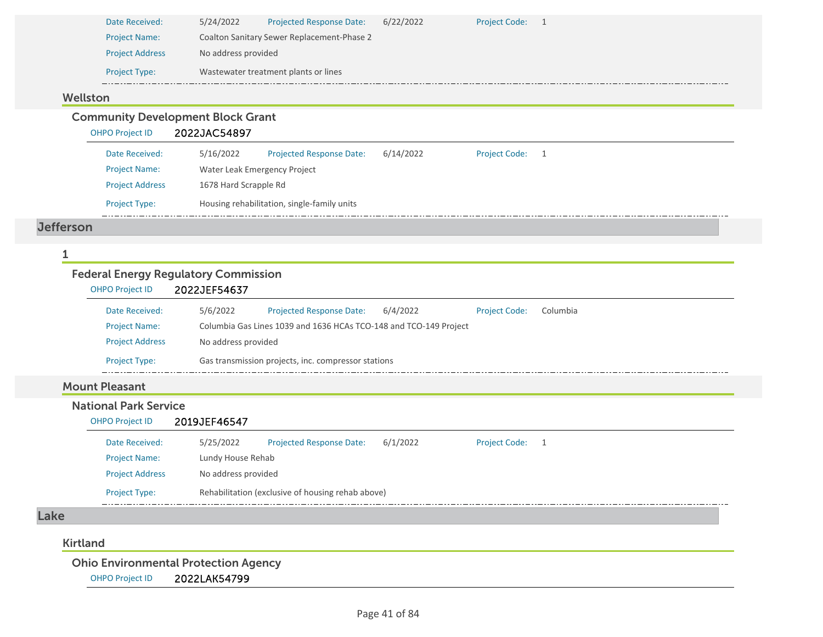| Date Received:         | 5/24/2022           | <b>Projected Response Date:</b>            | 6/22/2022 | Project Code: 1 |  |
|------------------------|---------------------|--------------------------------------------|-----------|-----------------|--|
| <b>Project Name:</b>   |                     | Coalton Sanitary Sewer Replacement-Phase 2 |           |                 |  |
| <b>Project Address</b> | No address provided |                                            |           |                 |  |
| <b>Project Type:</b>   |                     | Wastewater treatment plants or lines       |           |                 |  |
|                        |                     |                                            |           |                 |  |

### Wellston

Community Development Block Grant

OHPO Project ID 2022JAC54897

| Date Received:         | 5/16/2022             | <b>Projected Response Date:</b>             | 6/14/2022 | <b>Project Code:</b> |  |
|------------------------|-----------------------|---------------------------------------------|-----------|----------------------|--|
| <b>Project Name:</b>   |                       | Water Leak Emergency Project                |           |                      |  |
| <b>Project Address</b> | 1678 Hard Scrapple Rd |                                             |           |                      |  |
| <b>Project Type:</b>   |                       | Housing rehabilitation, single-family units |           |                      |  |

#### Jefferson

#### 1

 $\overline{a}$ 

## Federal Energy Regulatory Commission

| <b>OHPO Project ID</b> | 2022JEF54637        |                                                                   |          |                      |          |  |
|------------------------|---------------------|-------------------------------------------------------------------|----------|----------------------|----------|--|
| Date Received:         | 5/6/2022            | <b>Projected Response Date:</b>                                   | 6/4/2022 | <b>Project Code:</b> | Columbia |  |
| <b>Project Name:</b>   |                     | Columbia Gas Lines 1039 and 1636 HCAs TCO-148 and TCO-149 Project |          |                      |          |  |
| <b>Project Address</b> | No address provided |                                                                   |          |                      |          |  |
| <b>Project Type:</b>   |                     | Gas transmission projects, inc. compressor stations               |          |                      |          |  |

# Mount Pleasant

- National Park Service
	- OHPO Project ID 2019JEF46547

| Date Received:         | 5/25/2022           | <b>Projected Response Date:</b>                   | 6/1/2022 | <b>Project Code:</b> |  |
|------------------------|---------------------|---------------------------------------------------|----------|----------------------|--|
| <b>Project Name:</b>   | Lundy House Rehab   |                                                   |          |                      |  |
| <b>Project Address</b> | No address provided |                                                   |          |                      |  |
| <b>Project Type:</b>   |                     | Rehabilitation (exclusive of housing rehab above) |          |                      |  |

#### Lake

#### Kirtland

Ohio Environmental Protection Agency

OHPO Project ID 2022LAK54799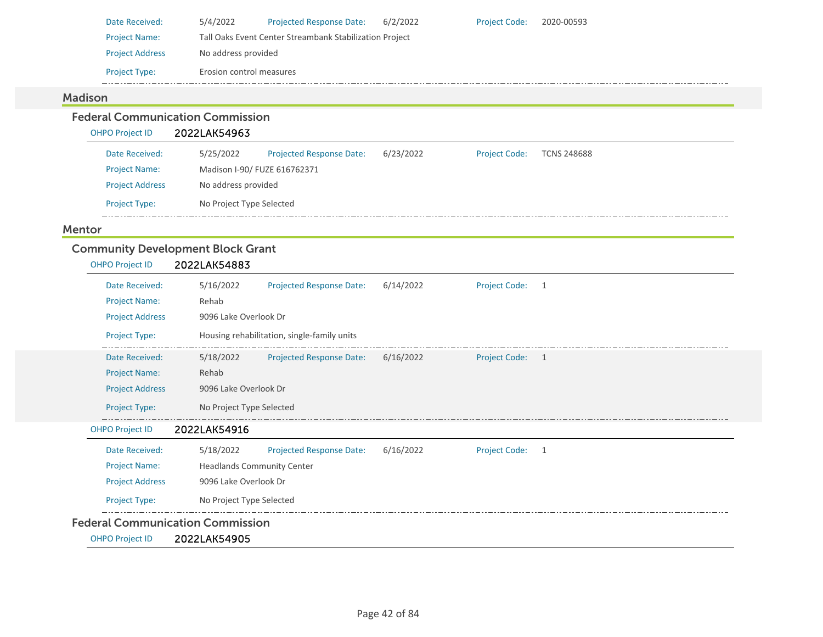| Date Received:         | 5/4/2022                 | <b>Projected Response Date:</b>                         | 6/2/2022 | <b>Project Code:</b> | 2020-00593 |
|------------------------|--------------------------|---------------------------------------------------------|----------|----------------------|------------|
| <b>Project Name:</b>   |                          | Tall Oaks Event Center Streambank Stabilization Project |          |                      |            |
| <b>Project Address</b> | No address provided      |                                                         |          |                      |            |
| <b>Project Type:</b>   | Erosion control measures |                                                         |          |                      |            |

# Madison

#### Federal Communication Commission

OHPO Project ID 2022LAK54963

### Mentor

# Community Development Block Grant

| <b>OHPO Project ID</b> | 2022LAK54883                                                                           |  |  |  |  |  |
|------------------------|----------------------------------------------------------------------------------------|--|--|--|--|--|
| Date Received:         | 5/16/2022<br><b>Projected Response Date:</b><br>6/14/2022<br><b>Project Code:</b><br>1 |  |  |  |  |  |
| <b>Project Name:</b>   | Rehab                                                                                  |  |  |  |  |  |
| <b>Project Address</b> | 9096 Lake Overlook Dr                                                                  |  |  |  |  |  |
| Project Type:          | Housing rehabilitation, single-family units                                            |  |  |  |  |  |
| Date Received:         | 6/16/2022<br>5/18/2022<br>Projected Response Date:<br>Project Code: 1                  |  |  |  |  |  |
| <b>Project Name:</b>   | Rehab                                                                                  |  |  |  |  |  |
| <b>Project Address</b> | 9096 Lake Overlook Dr                                                                  |  |  |  |  |  |
| Project Type:          | No Project Type Selected                                                               |  |  |  |  |  |
| <b>OHPO Project ID</b> | 2022LAK54916                                                                           |  |  |  |  |  |
| Date Received:         | 5/18/2022<br><b>Projected Response Date:</b><br>6/16/2022<br><b>Project Code:</b><br>1 |  |  |  |  |  |
| <b>Project Name:</b>   | <b>Headlands Community Center</b>                                                      |  |  |  |  |  |
| <b>Project Address</b> | 9096 Lake Overlook Dr                                                                  |  |  |  |  |  |
| Project Type:          | No Project Type Selected                                                               |  |  |  |  |  |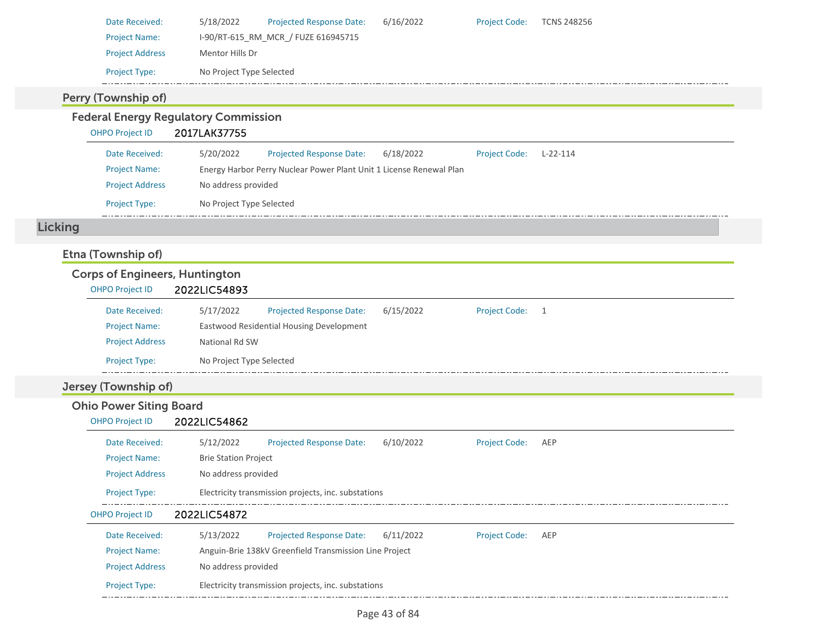| Date Received:                        | 5/18/2022<br>Projected Response Date:                               | 6/16/2022 | <b>Project Code:</b> | <b>TCNS 248256</b> |
|---------------------------------------|---------------------------------------------------------------------|-----------|----------------------|--------------------|
| <b>Project Name:</b>                  | I-90/RT-615_RM_MCR_/ FUZE 616945715                                 |           |                      |                    |
| <b>Project Address</b>                | Mentor Hills Dr                                                     |           |                      |                    |
| Project Type:                         | No Project Type Selected                                            |           |                      |                    |
| Perry (Township of)                   |                                                                     |           |                      |                    |
|                                       | <b>Federal Energy Regulatory Commission</b>                         |           |                      |                    |
| <b>OHPO Project ID</b>                | 2017LAK37755                                                        |           |                      |                    |
| Date Received:                        | 5/20/2022<br><b>Projected Response Date:</b>                        | 6/18/2022 | <b>Project Code:</b> | $L-22-114$         |
| <b>Project Name:</b>                  | Energy Harbor Perry Nuclear Power Plant Unit 1 License Renewal Plan |           |                      |                    |
| <b>Project Address</b>                | No address provided                                                 |           |                      |                    |
| Project Type:                         | No Project Type Selected                                            |           |                      |                    |
| <b>Licking</b>                        |                                                                     |           |                      |                    |
| Etna (Township of)                    |                                                                     |           |                      |                    |
| <b>Corps of Engineers, Huntington</b> |                                                                     |           |                      |                    |
| <b>OHPO Project ID</b>                | 2022LIC54893                                                        |           |                      |                    |
|                                       |                                                                     |           |                      |                    |
| Date Received:                        | 5/17/2022<br>Projected Response Date:                               | 6/15/2022 | <b>Project Code:</b> | $\overline{1}$     |
| <b>Project Name:</b>                  | Eastwood Residential Housing Development                            |           |                      |                    |
| <b>Project Address</b>                | National Rd SW                                                      |           |                      |                    |
| Project Type:                         | No Project Type Selected                                            |           |                      |                    |
| Jersey (Township of)                  |                                                                     |           |                      |                    |
| <b>Ohio Power Siting Board</b>        |                                                                     |           |                      |                    |
| <b>OHPO Project ID</b>                | 2022LIC54862                                                        |           |                      |                    |
| Date Received:                        | Projected Response Date:<br>5/12/2022                               | 6/10/2022 | <b>Project Code:</b> | AEP                |
| <b>Project Name:</b>                  | <b>Brie Station Project</b>                                         |           |                      |                    |
| <b>Project Address</b>                | No address provided                                                 |           |                      |                    |
| Project Type:                         | Electricity transmission projects, inc. substations                 |           |                      |                    |
| <b>OHPO Project ID</b>                | 2022LIC54872                                                        |           |                      |                    |
| Date Received:                        | <b>Projected Response Date:</b><br>5/13/2022                        | 6/11/2022 | <b>Project Code:</b> | AEP                |
| <b>Project Name:</b>                  | Anguin-Brie 138kV Greenfield Transmission Line Project              |           |                      |                    |
| <b>Project Address</b>                | No address provided                                                 |           |                      |                    |
| Project Type:                         | Electricity transmission projects, inc. substations                 |           |                      |                    |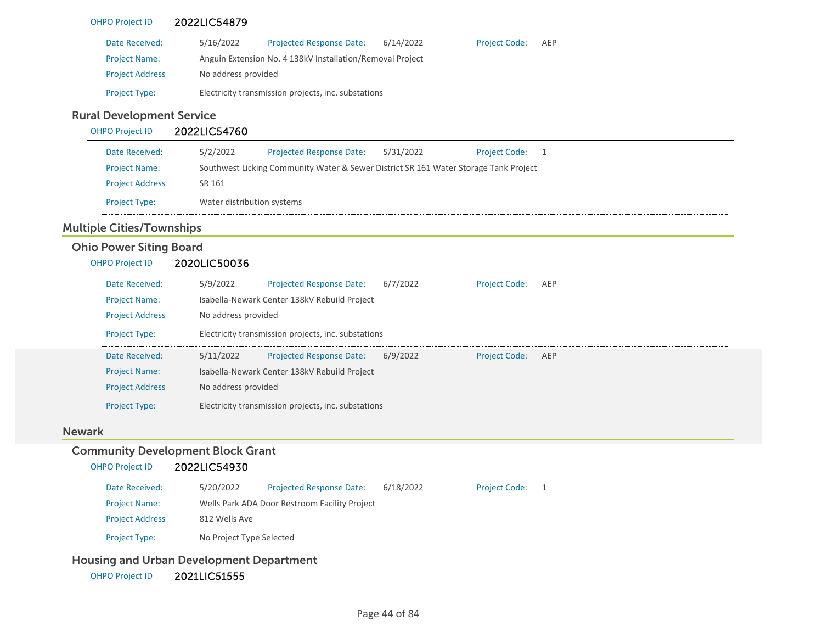|               | <b>OHPO Project ID</b>           | 2022LIC54879                                                                                        |
|---------------|----------------------------------|-----------------------------------------------------------------------------------------------------|
|               | Date Received:                   | 5/16/2022<br>Projected Response Date:<br>6/14/2022<br><b>Project Code:</b><br>AEP                   |
|               | <b>Project Name:</b>             | Anguin Extension No. 4 138kV Installation/Removal Project                                           |
|               | <b>Project Address</b>           | No address provided                                                                                 |
|               | Project Type:                    | Electricity transmission projects, inc. substations                                                 |
|               | <b>Rural Development Service</b> |                                                                                                     |
|               | <b>OHPO Project ID</b>           | 2022LIC54760                                                                                        |
|               | Date Received:                   | 5/2/2022<br>Projected Response Date:<br>5/31/2022<br><b>Project Code:</b><br>1                      |
|               | <b>Project Name:</b>             | Southwest Licking Community Water & Sewer District SR 161 Water Storage Tank Project                |
|               | <b>Project Address</b>           | SR 161                                                                                              |
|               | Project Type:                    | Water distribution systems                                                                          |
|               | <b>Multiple Cities/Townships</b> |                                                                                                     |
|               | <b>Ohio Power Siting Board</b>   |                                                                                                     |
|               | <b>OHPO Project ID</b>           | 2020LIC50036                                                                                        |
|               | Date Received:                   | 5/9/2022<br><b>Project Code:</b><br>Projected Response Date:<br>6/7/2022<br>AEP                     |
|               | <b>Project Name:</b>             | Isabella-Newark Center 138kV Rebuild Project                                                        |
|               | <b>Project Address</b>           | No address provided                                                                                 |
|               | Project Type:                    | Electricity transmission projects, inc. substations                                                 |
|               | Date Received:                   | 5/11/2022<br><b>Projected Response Date:</b><br>6/9/2022<br><b>Project Code:</b><br>AEP             |
|               | <b>Project Name:</b>             | Isabella-Newark Center 138kV Rebuild Project                                                        |
|               | <b>Project Address</b>           | No address provided                                                                                 |
|               | Project Type:                    | Electricity transmission projects, inc. substations                                                 |
| <b>Newark</b> |                                  |                                                                                                     |
|               |                                  | <b>Community Development Block Grant</b>                                                            |
|               | <b>OHPO Project ID</b>           | 2022LIC54930                                                                                        |
|               | Date Received:                   | 5/20/2022<br><b>Projected Response Date:</b><br>6/18/2022<br><b>Project Code:</b><br>$\overline{1}$ |
|               | <b>Project Name:</b>             | Wells Park ADA Door Restroom Facility Project                                                       |
|               | <b>Project Address</b>           | 812 Wells Ave                                                                                       |
|               | Project Type:                    | No Project Type Selected                                                                            |
|               |                                  | <b>Housing and Urban Development Department</b>                                                     |
|               | <b>OHPO Project ID</b>           | 2021LIC51555                                                                                        |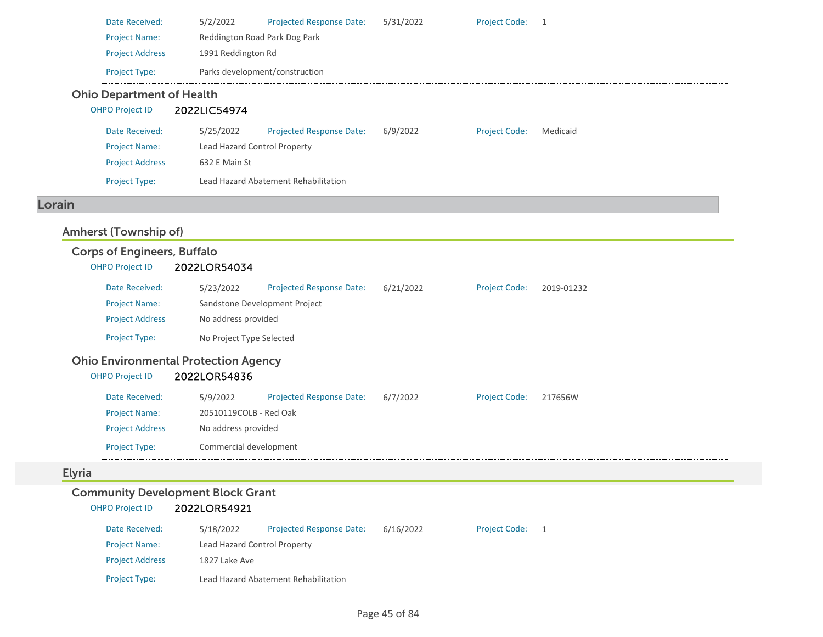|               | Date Received:<br><b>Project Name:</b> | 5/2/2022<br><b>Projected Response Date:</b><br>Reddington Road Park Dog Park | 5/31/2022 | <b>Project Code:</b> | - 1            |
|---------------|----------------------------------------|------------------------------------------------------------------------------|-----------|----------------------|----------------|
|               | <b>Project Address</b>                 | 1991 Reddington Rd                                                           |           |                      |                |
|               | Project Type:                          | Parks development/construction                                               |           |                      |                |
|               | <b>Ohio Department of Health</b>       |                                                                              |           |                      |                |
|               | <b>OHPO Project ID</b>                 | 2022LIC54974                                                                 |           |                      |                |
|               | Date Received:                         | 5/25/2022<br>Projected Response Date:                                        | 6/9/2022  | <b>Project Code:</b> | Medicaid       |
|               | <b>Project Name:</b>                   | Lead Hazard Control Property                                                 |           |                      |                |
|               | <b>Project Address</b>                 | 632 E Main St                                                                |           |                      |                |
|               | Project Type:                          | Lead Hazard Abatement Rehabilitation                                         |           |                      |                |
| Lorain        |                                        |                                                                              |           |                      |                |
|               | Amherst (Township of)                  |                                                                              |           |                      |                |
|               | <b>Corps of Engineers, Buffalo</b>     |                                                                              |           |                      |                |
|               | <b>OHPO Project ID</b>                 | 2022LOR54034                                                                 |           |                      |                |
|               | Date Received:                         | 5/23/2022<br>Projected Response Date:                                        | 6/21/2022 | <b>Project Code:</b> | 2019-01232     |
|               | <b>Project Name:</b>                   | Sandstone Development Project                                                |           |                      |                |
|               | <b>Project Address</b>                 | No address provided                                                          |           |                      |                |
|               | Project Type:                          | No Project Type Selected                                                     |           |                      |                |
|               |                                        | <b>Ohio Environmental Protection Agency</b>                                  |           |                      |                |
|               | <b>OHPO Project ID</b>                 | 2022LOR54836                                                                 |           |                      |                |
|               | Date Received:                         | 5/9/2022<br><b>Projected Response Date:</b>                                  | 6/7/2022  | <b>Project Code:</b> | 217656W        |
|               | <b>Project Name:</b>                   | 20510119COLB - Red Oak                                                       |           |                      |                |
|               | <b>Project Address</b>                 | No address provided                                                          |           |                      |                |
|               | Project Type:                          | Commercial development                                                       |           |                      |                |
| <b>Elyria</b> |                                        |                                                                              |           |                      |                |
|               |                                        | <b>Community Development Block Grant</b>                                     |           |                      |                |
|               | <b>OHPO Project ID</b>                 | 2022LOR54921                                                                 |           |                      |                |
|               | Date Received:                         | <b>Projected Response Date:</b><br>5/18/2022                                 | 6/16/2022 | <b>Project Code:</b> | $\overline{1}$ |
|               | <b>Project Name:</b>                   | Lead Hazard Control Property                                                 |           |                      |                |
|               | <b>Project Address</b>                 | 1827 Lake Ave                                                                |           |                      |                |

. . . . . . .

Project Type: Lead Hazard Abatement Rehabilitation

\_\_\_\_\_\_\_\_\_\_\_\_\_\_\_\_\_\_\_\_\_\_\_\_\_\_\_\_\_\_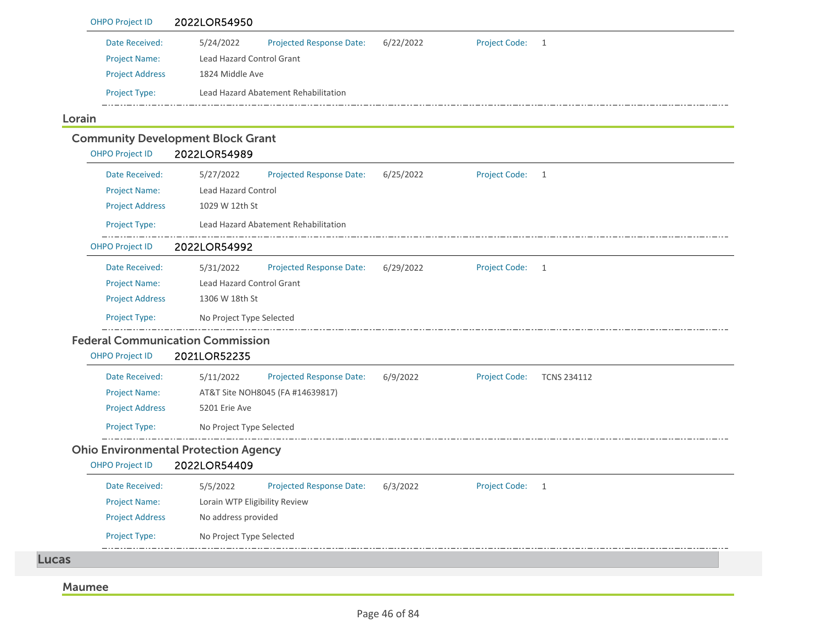| <b>OHPO Project ID</b> | 2022LOR54950                     |                                      |           |                      |     |
|------------------------|----------------------------------|--------------------------------------|-----------|----------------------|-----|
| Date Received:         | 5/24/2022                        | <b>Projected Response Date:</b>      | 6/22/2022 | <b>Project Code:</b> | - 1 |
| <b>Project Name:</b>   | <b>Lead Hazard Control Grant</b> |                                      |           |                      |     |
| <b>Project Address</b> | 1824 Middle Ave                  |                                      |           |                      |     |
| <b>Project Type:</b>   |                                  | Lead Hazard Abatement Rehabilitation |           |                      |     |
|                        |                                  |                                      |           |                      |     |

#### Lorain

# Community Development Block Grant

OHPO Project ID 2022LOR54989

| Date Received:         | 5/27/2022                                   | <b>Projected Response Date:</b>      | 6/25/2022 | <b>Project Code:</b> | 1                  |  |
|------------------------|---------------------------------------------|--------------------------------------|-----------|----------------------|--------------------|--|
| <b>Project Name:</b>   | <b>Lead Hazard Control</b>                  |                                      |           |                      |                    |  |
| <b>Project Address</b> | 1029 W 12th St                              |                                      |           |                      |                    |  |
| Project Type:          |                                             | Lead Hazard Abatement Rehabilitation |           |                      |                    |  |
| <b>OHPO Project ID</b> | 2022LOR54992                                |                                      |           |                      |                    |  |
| Date Received:         | 5/31/2022                                   | <b>Projected Response Date:</b>      | 6/29/2022 | <b>Project Code:</b> | 1                  |  |
| <b>Project Name:</b>   | <b>Lead Hazard Control Grant</b>            |                                      |           |                      |                    |  |
| <b>Project Address</b> | 1306 W 18th St                              |                                      |           |                      |                    |  |
| Project Type:          | No Project Type Selected                    |                                      |           |                      |                    |  |
|                        | <b>Federal Communication Commission</b>     |                                      |           |                      |                    |  |
| <b>OHPO Project ID</b> | 2021LOR52235                                |                                      |           |                      |                    |  |
| Date Received:         | 5/11/2022                                   | <b>Projected Response Date:</b>      | 6/9/2022  | <b>Project Code:</b> | <b>TCNS 234112</b> |  |
| <b>Project Name:</b>   |                                             | AT&T Site NOH8045 (FA #14639817)     |           |                      |                    |  |
| <b>Project Address</b> | 5201 Erie Ave                               |                                      |           |                      |                    |  |
| <b>Project Type:</b>   | No Project Type Selected                    |                                      |           |                      |                    |  |
|                        | <b>Ohio Environmental Protection Agency</b> |                                      |           |                      |                    |  |
| <b>OHPO Project ID</b> | 2022LOR54409                                |                                      |           |                      |                    |  |
| Date Received:         | 5/5/2022                                    | <b>Projected Response Date:</b>      | 6/3/2022  | <b>Project Code:</b> | 1                  |  |

| Date Received:         | 5/5/2022                      | Projected Response Date: | 6/3/2022 | <b>Project Code:</b> |  |
|------------------------|-------------------------------|--------------------------|----------|----------------------|--|
| <b>Project Name:</b>   | Lorain WTP Eligibility Review |                          |          |                      |  |
| <b>Project Address</b> | No address provided           |                          |          |                      |  |
| <b>Project Type:</b>   | No Project Type Selected      |                          |          |                      |  |

Lucas

#### Maumee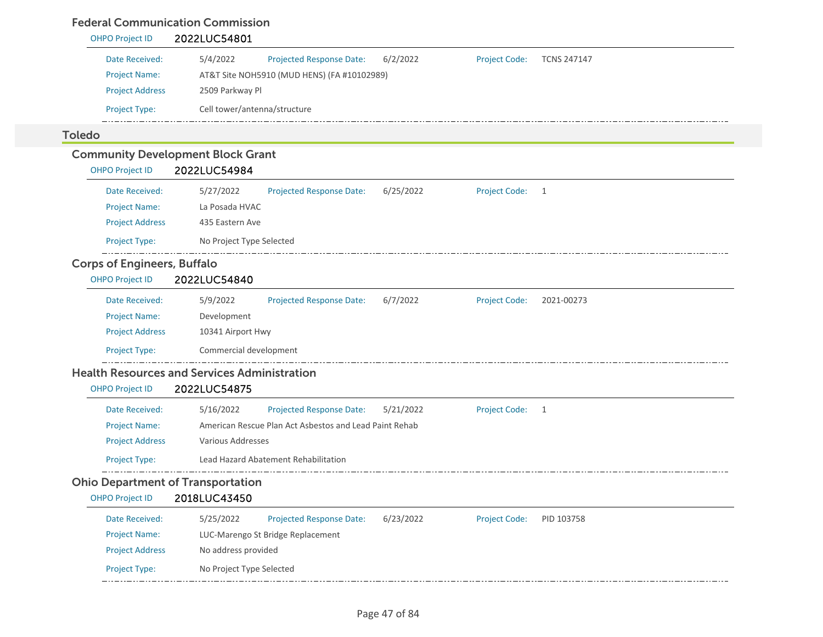### Federal Communication Commission

| <b>OHPO Project ID</b>                   | 2022LUC54801                                                                                          |
|------------------------------------------|-------------------------------------------------------------------------------------------------------|
| Date Received:                           | 5/4/2022<br>6/2/2022<br><b>Projected Response Date:</b><br><b>Project Code:</b><br><b>TCNS 247147</b> |
| <b>Project Name:</b>                     | AT&T Site NOH5910 (MUD HENS) (FA #10102989)                                                           |
| <b>Project Address</b>                   | 2509 Parkway Pl                                                                                       |
| Project Type:                            | Cell tower/antenna/structure                                                                          |
| <b>Toledo</b>                            |                                                                                                       |
|                                          | <b>Community Development Block Grant</b>                                                              |
| <b>OHPO Project ID</b>                   | 2022LUC54984                                                                                          |
| Date Received:                           | 5/27/2022<br><b>Project Code:</b><br><b>Projected Response Date:</b><br>6/25/2022<br>$\overline{1}$   |
| <b>Project Name:</b>                     | La Posada HVAC                                                                                        |
| <b>Project Address</b>                   | 435 Eastern Ave                                                                                       |
| Project Type:                            | No Project Type Selected                                                                              |
| <b>Corps of Engineers, Buffalo</b>       |                                                                                                       |
| <b>OHPO Project ID</b>                   | 2022LUC54840                                                                                          |
| Date Received:                           | 5/9/2022<br><b>Projected Response Date:</b><br>6/7/2022<br><b>Project Code:</b><br>2021-00273         |
| <b>Project Name:</b>                     | Development                                                                                           |
| <b>Project Address</b>                   | 10341 Airport Hwy                                                                                     |
| Project Type:                            | Commercial development                                                                                |
|                                          | <b>Health Resources and Services Administration</b>                                                   |
| <b>OHPO Project ID</b>                   | 2022LUC54875                                                                                          |
| Date Received:                           | <b>Projected Response Date:</b><br>5/16/2022<br><b>Project Code:</b><br>5/21/2022<br>$\overline{1}$   |
| <b>Project Name:</b>                     | American Rescue Plan Act Asbestos and Lead Paint Rehab                                                |
| <b>Project Address</b>                   | <b>Various Addresses</b>                                                                              |
| Project Type:                            | Lead Hazard Abatement Rehabilitation                                                                  |
| <b>Ohio Department of Transportation</b> |                                                                                                       |
| <b>OHPO Project ID</b>                   | 2018LUC43450                                                                                          |
| Date Received:                           | 5/25/2022<br>Projected Response Date:<br>6/23/2022<br><b>Project Code:</b><br>PID 103758              |
| <b>Project Name:</b>                     | LUC-Marengo St Bridge Replacement                                                                     |
| <b>Project Address</b>                   | No address provided                                                                                   |
| Project Type:                            | No Project Type Selected                                                                              |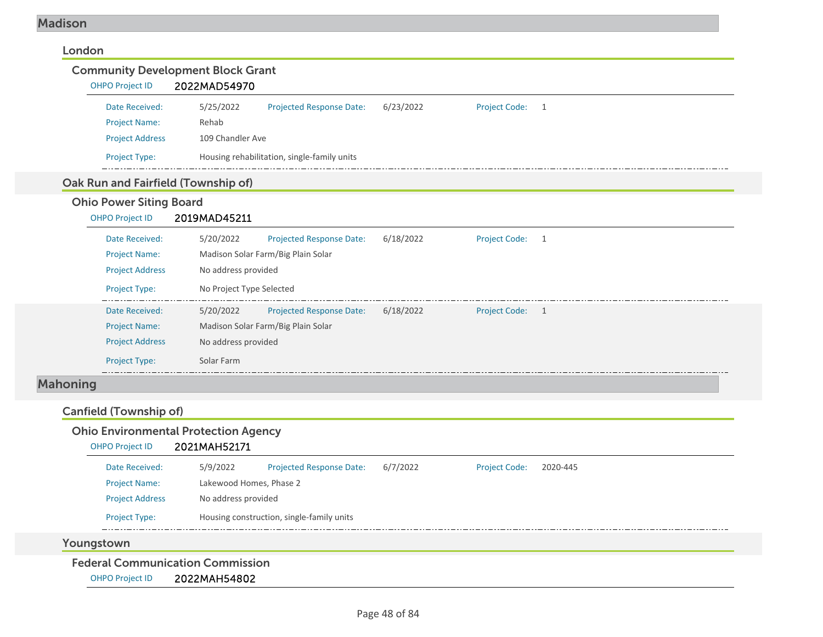### Madison

| <b>OHPO Project ID</b>              | <b>Community Development Block Grant</b><br>2022MAD54970 |           |                           |  |
|-------------------------------------|----------------------------------------------------------|-----------|---------------------------|--|
| Date Received:                      | 5/25/2022<br><b>Projected Response Date:</b>             | 6/23/2022 | <b>Project Code:</b><br>1 |  |
| <b>Project Name:</b>                | Rehab                                                    |           |                           |  |
| <b>Project Address</b>              | 109 Chandler Ave                                         |           |                           |  |
| Project Type:                       | Housing rehabilitation, single-family units              |           |                           |  |
| Oak Run and Fairfield (Township of) |                                                          |           |                           |  |
| <b>Ohio Power Siting Board</b>      |                                                          |           |                           |  |
| <b>OHPO Project ID</b>              | 2019MAD45211                                             |           |                           |  |
| Date Received:                      | 5/20/2022<br><b>Projected Response Date:</b>             | 6/18/2022 | <b>Project Code:</b><br>1 |  |
| <b>Project Name:</b>                | Madison Solar Farm/Big Plain Solar                       |           |                           |  |
| <b>Project Address</b>              | No address provided                                      |           |                           |  |
| Project Type:                       | No Project Type Selected                                 |           |                           |  |
| Date Received:                      | 5/20/2022<br>Projected Response Date:                    | 6/18/2022 | Project Code: 1           |  |
|                                     | Madison Solar Farm/Big Plain Solar                       |           |                           |  |
| <b>Project Name:</b>                | No address provided                                      |           |                           |  |
| <b>Project Address</b>              |                                                          |           |                           |  |
| <b>Project Type:</b>                | Solar Farm                                               |           |                           |  |

| <b>Ohio Environmental Protection Agency</b> |  |
|---------------------------------------------|--|
|---------------------------------------------|--|

| <b>OHPO Project ID</b> | 2021MAH52171            |                                           |          |                      |          |  |
|------------------------|-------------------------|-------------------------------------------|----------|----------------------|----------|--|
| Date Received:         | 5/9/2022                | <b>Projected Response Date:</b>           | 6/7/2022 | <b>Project Code:</b> | 2020-445 |  |
| <b>Project Name:</b>   | Lakewood Homes, Phase 2 |                                           |          |                      |          |  |
| <b>Project Address</b> |                         | No address provided                       |          |                      |          |  |
| <b>Project Type:</b>   |                         | Housing construction, single-family units |          |                      |          |  |
|                        |                         |                                           |          |                      |          |  |

Youngstown

Federal Communication Commission

OHPO Project ID 2022MAH54802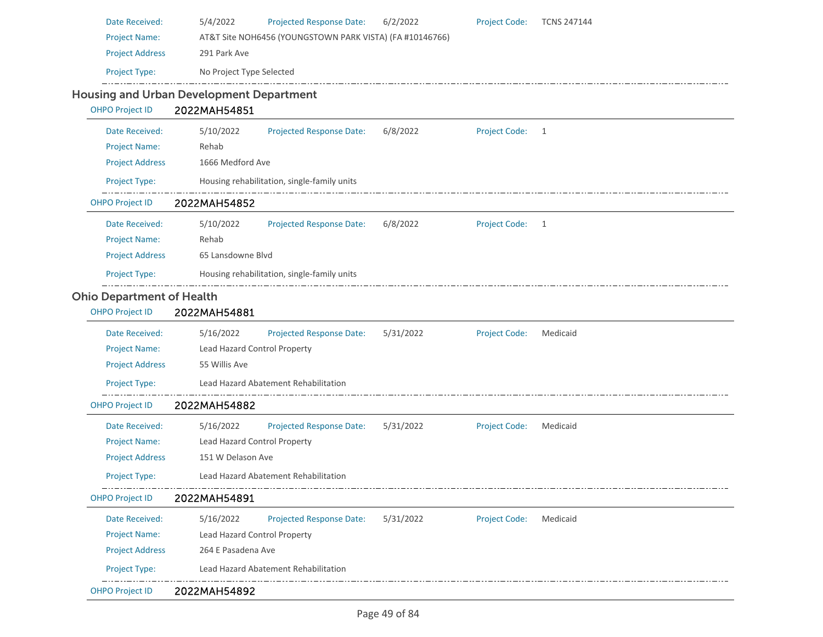| Date Received:                                  | 5/4/2022                     | <b>Projected Response Date:</b>                          | 6/2/2022  | <b>Project Code:</b> | <b>TCNS 247144</b> |  |  |  |
|-------------------------------------------------|------------------------------|----------------------------------------------------------|-----------|----------------------|--------------------|--|--|--|
| <b>Project Name:</b>                            |                              | AT&T Site NOH6456 (YOUNGSTOWN PARK VISTA) (FA #10146766) |           |                      |                    |  |  |  |
| <b>Project Address</b>                          | 291 Park Ave                 |                                                          |           |                      |                    |  |  |  |
| Project Type:                                   | No Project Type Selected     |                                                          |           |                      |                    |  |  |  |
| <b>Housing and Urban Development Department</b> |                              |                                                          |           |                      |                    |  |  |  |
| <b>OHPO Project ID</b>                          | 2022MAH54851                 |                                                          |           |                      |                    |  |  |  |
| Date Received:                                  | 5/10/2022                    | <b>Projected Response Date:</b>                          | 6/8/2022  | <b>Project Code:</b> | 1                  |  |  |  |
| <b>Project Name:</b>                            | Rehab                        |                                                          |           |                      |                    |  |  |  |
| <b>Project Address</b>                          | 1666 Medford Ave             |                                                          |           |                      |                    |  |  |  |
| Project Type:                                   |                              | Housing rehabilitation, single-family units              |           |                      |                    |  |  |  |
| <b>OHPO Project ID</b>                          | 2022MAH54852                 |                                                          |           |                      |                    |  |  |  |
| Date Received:                                  | 5/10/2022                    | <b>Projected Response Date:</b>                          | 6/8/2022  | <b>Project Code:</b> | 1                  |  |  |  |
| <b>Project Name:</b>                            | Rehab                        |                                                          |           |                      |                    |  |  |  |
| <b>Project Address</b>                          | 65 Lansdowne Blvd            |                                                          |           |                      |                    |  |  |  |
| Project Type:                                   |                              | Housing rehabilitation, single-family units              |           |                      |                    |  |  |  |
| <b>Ohio Department of Health</b>                |                              |                                                          |           |                      |                    |  |  |  |
| <b>OHPO Project ID</b>                          | 2022MAH54881                 |                                                          |           |                      |                    |  |  |  |
| Date Received:                                  | 5/16/2022                    | <b>Projected Response Date:</b>                          | 5/31/2022 | <b>Project Code:</b> | Medicaid           |  |  |  |
| <b>Project Name:</b>                            | Lead Hazard Control Property |                                                          |           |                      |                    |  |  |  |
| <b>Project Address</b>                          | 55 Willis Ave                |                                                          |           |                      |                    |  |  |  |
| Project Type:                                   |                              | Lead Hazard Abatement Rehabilitation                     |           |                      |                    |  |  |  |
| <b>OHPO Project ID</b>                          | 2022MAH54882                 |                                                          |           |                      |                    |  |  |  |
| Date Received:                                  | 5/16/2022                    | <b>Projected Response Date:</b>                          | 5/31/2022 | <b>Project Code:</b> | Medicaid           |  |  |  |
| <b>Project Name:</b>                            | Lead Hazard Control Property |                                                          |           |                      |                    |  |  |  |
| <b>Project Address</b>                          | 151 W Delason Ave            |                                                          |           |                      |                    |  |  |  |
| Project Type:                                   |                              | <b>Lead Hazard Abatement Rehabilitation</b>              |           |                      |                    |  |  |  |
| <b>OHPO Project ID</b>                          | 2022MAH54891                 |                                                          |           |                      |                    |  |  |  |
| Date Received:                                  | 5/16/2022                    | <b>Projected Response Date:</b>                          | 5/31/2022 | <b>Project Code:</b> | Medicaid           |  |  |  |
| <b>Project Name:</b>                            | Lead Hazard Control Property |                                                          |           |                      |                    |  |  |  |
| <b>Project Address</b>                          | 264 E Pasadena Ave           |                                                          |           |                      |                    |  |  |  |
| Project Type:                                   |                              | Lead Hazard Abatement Rehabilitation                     |           |                      |                    |  |  |  |
| OHPO Project ID                                 | 2022MAH54892                 |                                                          |           |                      |                    |  |  |  |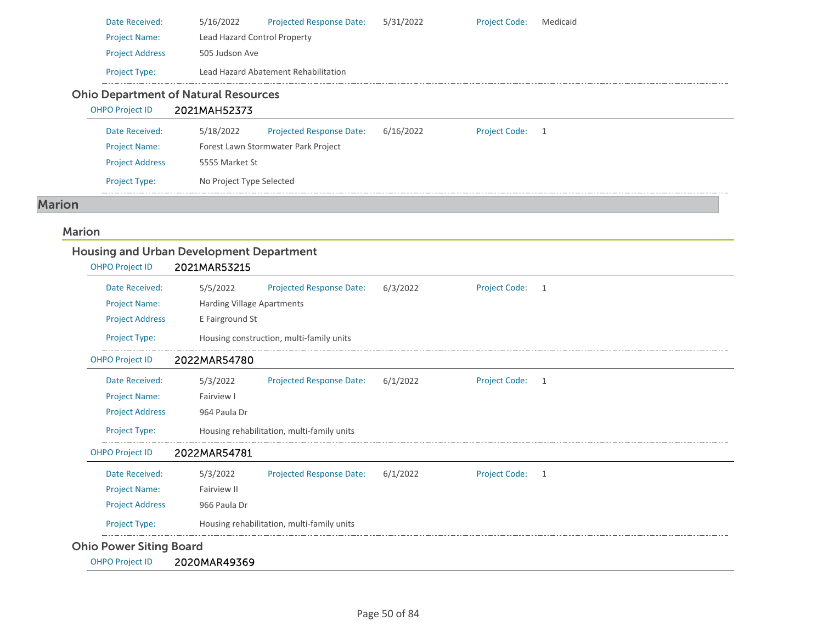| Date Received:         | 5/16/2022                                   | <b>Projected Response Date:</b>      | 5/31/2022 | <b>Project Code:</b> | Medicaid |
|------------------------|---------------------------------------------|--------------------------------------|-----------|----------------------|----------|
| <b>Project Name:</b>   | Lead Hazard Control Property                |                                      |           |                      |          |
| <b>Project Address</b> | 505 Judson Ave                              |                                      |           |                      |          |
| <b>Project Type:</b>   |                                             | Lead Hazard Abatement Rehabilitation |           |                      |          |
|                        | <b>Ohio Department of Natural Resources</b> |                                      |           |                      |          |
| <b>OHPO Project ID</b> | 2021MAH52373                                |                                      |           |                      |          |
| Date Received:         | 5/18/2022                                   | <b>Projected Response Date:</b>      | 6/16/2022 | <b>Project Code:</b> |          |

| <b>Project Name:</b>   | Forest Lawn Stormwater Park Project |
|------------------------|-------------------------------------|
| <b>Project Address</b> | 5555 Market St                      |
| <b>Project Type:</b>   | No Project Type Selected            |
|                        |                                     |

#### Marion

# Marion

| <b>OHPO Project ID</b> | 2021MAR53215               |                                            |          |                      |   |
|------------------------|----------------------------|--------------------------------------------|----------|----------------------|---|
| Date Received:         | 5/5/2022                   | <b>Projected Response Date:</b>            | 6/3/2022 | <b>Project Code:</b> | 1 |
| <b>Project Name:</b>   | Harding Village Apartments |                                            |          |                      |   |
| <b>Project Address</b> | E Fairground St            |                                            |          |                      |   |
| Project Type:          |                            | Housing construction, multi-family units   |          |                      |   |
| <b>OHPO Project ID</b> | 2022MAR54780               |                                            |          |                      |   |
| Date Received:         | 5/3/2022                   | <b>Projected Response Date:</b>            | 6/1/2022 | <b>Project Code:</b> | 1 |
| <b>Project Name:</b>   | Fairview I                 |                                            |          |                      |   |
| <b>Project Address</b> | 964 Paula Dr               |                                            |          |                      |   |
| <b>Project Type:</b>   |                            | Housing rehabilitation, multi-family units |          |                      |   |
| <b>OHPO Project ID</b> | 2022MAR54781               |                                            |          |                      |   |
| Date Received:         | 5/3/2022                   | <b>Projected Response Date:</b>            | 6/1/2022 | <b>Project Code:</b> | 1 |
| <b>Project Name:</b>   | Fairview II                |                                            |          |                      |   |
| <b>Project Address</b> | 966 Paula Dr               |                                            |          |                      |   |
| Project Type:          |                            | Housing rehabilitation, multi-family units |          |                      |   |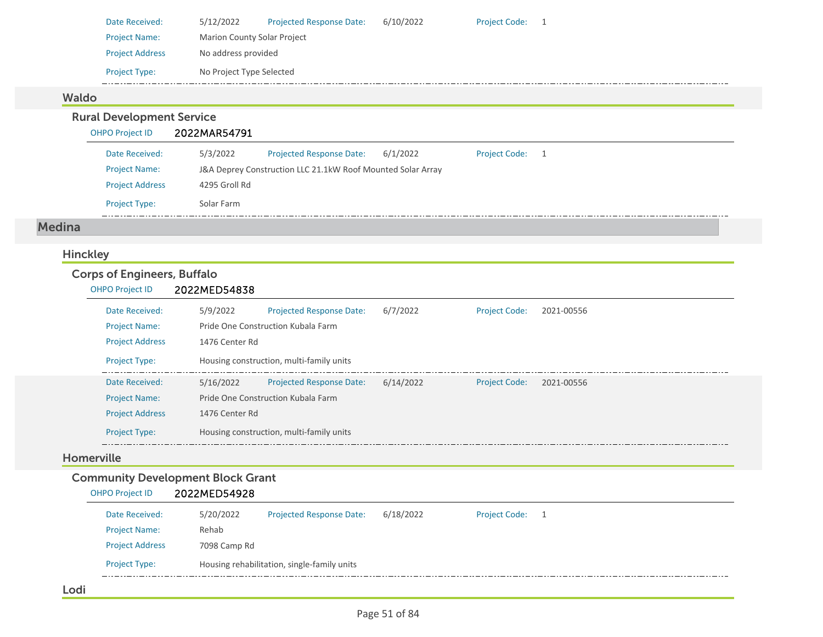| Date Received:         | 5/12/2022                          | <b>Projected Response Date:</b> | 6/10/2022 | <b>Project Code:</b> |  |
|------------------------|------------------------------------|---------------------------------|-----------|----------------------|--|
| <b>Project Name:</b>   | <b>Marion County Solar Project</b> |                                 |           |                      |  |
| <b>Project Address</b> | No address provided                |                                 |           |                      |  |
| <b>Project Type:</b>   | No Project Type Selected           |                                 |           |                      |  |
|                        |                                    |                                 |           |                      |  |

# Waldo

Rural Development Service

| <b>OHPO Project ID</b> | 2022MAR54791  |                                                             |          |                                      |  |
|------------------------|---------------|-------------------------------------------------------------|----------|--------------------------------------|--|
| Date Received:         | 5/3/2022      | <b>Projected Response Date:</b>                             | 6/1/2022 | <b>Project Code:</b><br>$\mathbf{1}$ |  |
| <b>Project Name:</b>   |               | J&A Deprey Construction LLC 21.1kW Roof Mounted Solar Array |          |                                      |  |
| <b>Project Address</b> | 4295 Groll Rd |                                                             |          |                                      |  |
| <b>Project Type:</b>   | Solar Farm    |                                                             |          |                                      |  |

#### Medina

## Hinckley

# Corps of Engineers, Buffalo

#### OHPO Project ID 2022MED54838

| Date Received:         | 5/9/2022       | Projected Response Date:                 | 6/7/2022  | <b>Project Code:</b> | 2021-00556 |  |
|------------------------|----------------|------------------------------------------|-----------|----------------------|------------|--|
| <b>Project Name:</b>   |                | Pride One Construction Kubala Farm       |           |                      |            |  |
| <b>Project Address</b> | 1476 Center Rd |                                          |           |                      |            |  |
| <b>Project Type:</b>   |                | Housing construction, multi-family units |           |                      |            |  |
| Date Received:         | 5/16/2022      | <b>Projected Response Date:</b>          | 6/14/2022 | <b>Project Code:</b> | 2021-00556 |  |
| <b>Project Name:</b>   |                | Pride One Construction Kubala Farm       |           |                      |            |  |
| <b>Project Address</b> | 1476 Center Rd |                                          |           |                      |            |  |
| <b>Project Type:</b>   |                | Housing construction, multi-family units |           |                      |            |  |

#### Homerville

### Community Development Block Grant

### OHPO Project ID 2022MED54928

| <b>Project Type:</b>   |              | Housing rehabilitation, single-family units |           |                      |  |
|------------------------|--------------|---------------------------------------------|-----------|----------------------|--|
| <b>Project Address</b> | 7098 Camp Rd |                                             |           |                      |  |
| <b>Project Name:</b>   | Rehab        |                                             |           |                      |  |
| Date Received:         | 5/20/2022    | <b>Projected Response Date:</b>             | 6/18/2022 | <b>Project Code:</b> |  |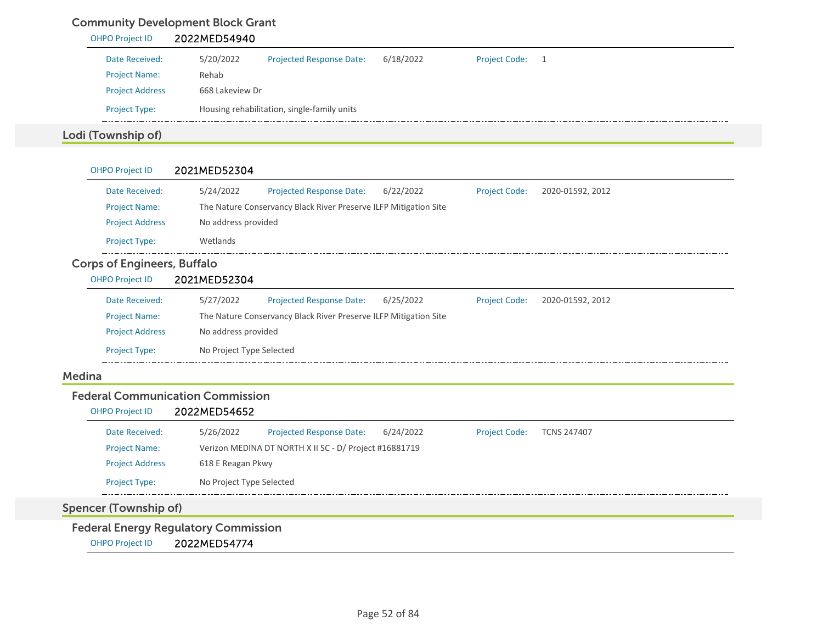# Community Development Block Grant

| <b>OHPO Project ID</b> | 2022MED54940    |                                             |           |                      |    |
|------------------------|-----------------|---------------------------------------------|-----------|----------------------|----|
| Date Received:         | 5/20/2022       | <b>Projected Response Date:</b>             | 6/18/2022 | <b>Project Code:</b> | -1 |
| <b>Project Name:</b>   | Rehab           |                                             |           |                      |    |
| <b>Project Address</b> | 668 Lakeview Dr |                                             |           |                      |    |
| <b>Project Type:</b>   |                 | Housing rehabilitation, single-family units |           |                      |    |
| Lodi (Township of)     |                 |                                             |           |                      |    |

| <b>OHPO Project ID</b>             | 2021MED52304             |                                                                  |           |                      |                  |  |
|------------------------------------|--------------------------|------------------------------------------------------------------|-----------|----------------------|------------------|--|
| Date Received:                     | 5/24/2022                | <b>Projected Response Date:</b>                                  | 6/22/2022 | <b>Project Code:</b> | 2020-01592, 2012 |  |
| <b>Project Name:</b>               |                          | The Nature Conservancy Black River Preserve ILFP Mitigation Site |           |                      |                  |  |
| <b>Project Address</b>             | No address provided      |                                                                  |           |                      |                  |  |
| <b>Project Type:</b>               | Wetlands                 |                                                                  |           |                      |                  |  |
| <b>Corps of Engineers, Buffalo</b> |                          |                                                                  |           |                      |                  |  |
| <b>OHPO Project ID</b>             | 2021MED52304             |                                                                  |           |                      |                  |  |
| Date Received:                     | 5/27/2022                | <b>Projected Response Date:</b>                                  | 6/25/2022 | <b>Project Code:</b> | 2020-01592, 2012 |  |
| <b>Project Name:</b>               |                          | The Nature Conservancy Black River Preserve ILFP Mitigation Site |           |                      |                  |  |
| <b>Project Address</b>             | No address provided      |                                                                  |           |                      |                  |  |
| <b>Project Type:</b>               | No Project Type Selected |                                                                  |           |                      |                  |  |
| Medina                             |                          |                                                                  |           |                      |                  |  |

#### Federal Communication Commission

## OHPO Project ID 2022MED54652

| Date Received:         | 5/26/2022                | <b>Projected Response Date:</b>                        | 6/24/2022 | <b>Project Code:</b> | <b>TCNS 247407</b> |  |
|------------------------|--------------------------|--------------------------------------------------------|-----------|----------------------|--------------------|--|
| <b>Project Name:</b>   |                          | Verizon MEDINA DT NORTH X II SC - D/ Project #16881719 |           |                      |                    |  |
| <b>Project Address</b> | 618 E Reagan Pkwy        |                                                        |           |                      |                    |  |
| <b>Project Type:</b>   | No Project Type Selected |                                                        |           |                      |                    |  |

# Spencer (Township of)

Federal Energy Regulatory Commission

OHPO Project ID 2022MED54774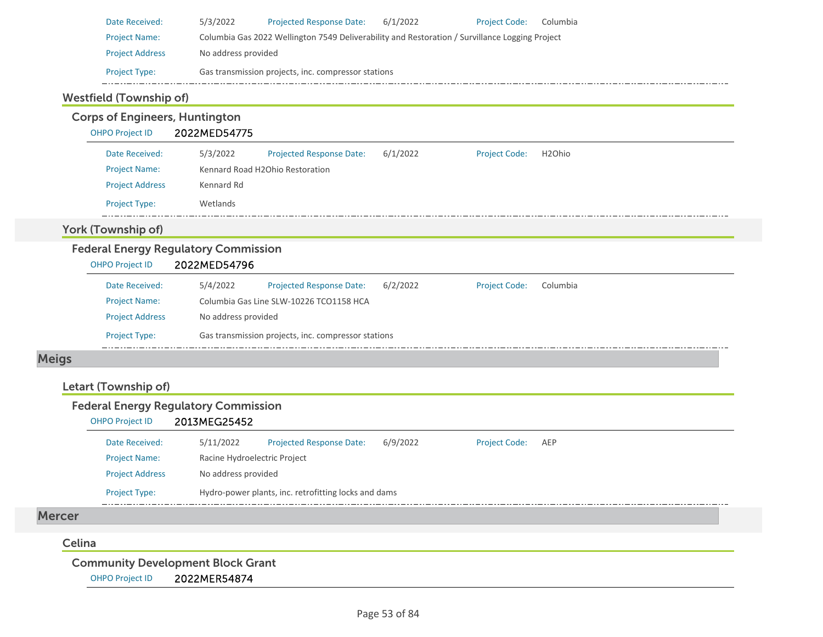| Date Received:         | 5/3/2022            | <b>Projected Response Date:</b>                                                                | 6/1/2022 | <b>Project Code:</b> | Columbia |
|------------------------|---------------------|------------------------------------------------------------------------------------------------|----------|----------------------|----------|
| <b>Project Name:</b>   |                     | Columbia Gas 2022 Wellington 7549 Deliverability and Restoration / Survillance Logging Project |          |                      |          |
| <b>Project Address</b> | No address provided |                                                                                                |          |                      |          |
| <b>Project Type:</b>   |                     | Gas transmission projects, inc. compressor stations                                            |          |                      |          |

### Westfield (Township of)

#### Corps of Engineers, Huntington OHPO Project ID 2022MED54775 Date Received: 5/3/2022 Projected Response Date: 6/1/2022 Project Code: H2Ohio Project Name: Kennard Road H2Ohio Restoration Project Address Kennard Rd Project Type: Wetlands  $\frac{1}{2}$ York (Township of) Federal Energy Regulatory Commission OHPO Project ID 2022MED54796 5/4/2022 Date Received:Projected Response Date: 6/2/2022 Project Code: Columbia Project Name: Columbia Gas Line SLW‐10226 TCO1158 HCA Project Address No address provided Project Type: Gas transmission projects, inc. compressor stations  $-$

# Meigs

### Letart (Township of)

### Federal Energy Regulatory Commission

#### OHPO Project ID 2013MEG25452

| Date Received:         | 5/11/2022                    | <b>Projected Response Date:</b>                      | 6/9/2022 | <b>Project Code:</b> | AEP |
|------------------------|------------------------------|------------------------------------------------------|----------|----------------------|-----|
| <b>Project Name:</b>   | Racine Hydroelectric Project |                                                      |          |                      |     |
| <b>Project Address</b> | No address provided          |                                                      |          |                      |     |
| <b>Project Type:</b>   |                              | Hydro-power plants, inc. retrofitting locks and dams |          |                      |     |

#### Mercer

#### Celina

Community Development Block Grant

OHPO Project ID 2022MER54874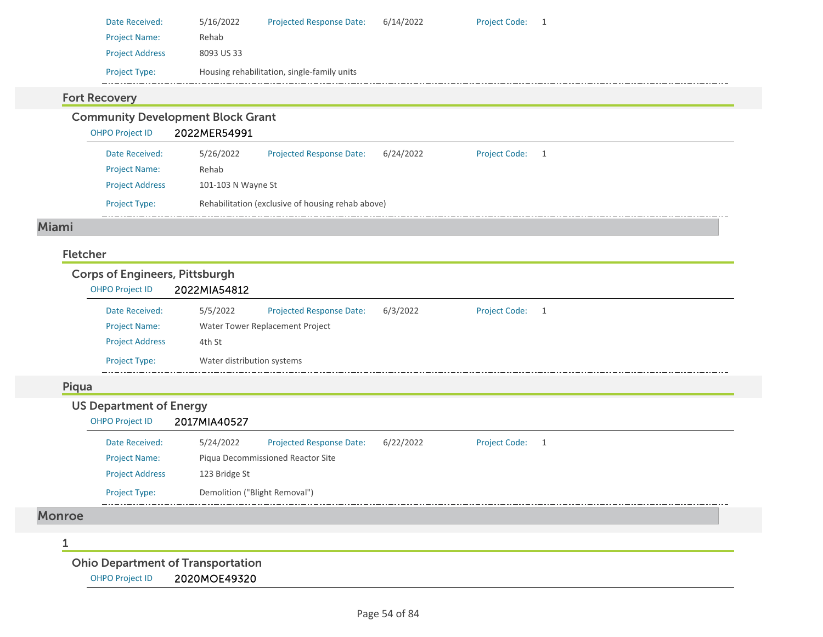| Date Received:         | 5/16/2022  | <b>Projected Response Date:</b>             | 6/14/2022 | <b>Project Code:</b> |  |
|------------------------|------------|---------------------------------------------|-----------|----------------------|--|
| <b>Project Name:</b>   | Rehab      |                                             |           |                      |  |
| <b>Project Address</b> | 8093 US 33 |                                             |           |                      |  |
| <b>Project Type:</b>   |            | Housing rehabilitation, single-family units |           |                      |  |

### Fort Recovery

Community Development Block Grant

OHPO Project ID 2022MER54991

| Date Received:         | 5/26/2022                                         | <b>Projected Response Date:</b> | 6/24/2022 | <b>Project Code:</b> |  |  |  |
|------------------------|---------------------------------------------------|---------------------------------|-----------|----------------------|--|--|--|
| <b>Project Name:</b>   | Rehab                                             |                                 |           |                      |  |  |  |
| <b>Project Address</b> |                                                   | 101-103 N Wayne St              |           |                      |  |  |  |
| <b>Project Type:</b>   | Rehabilitation (exclusive of housing rehab above) |                                 |           |                      |  |  |  |

#### Miami

### Fletcher

### Corps of Engineers, Pittsburgh OHPO Project ID 2022MIA54812 Projected Response Date: 6/3/2022 Date Received: 5/5/2022 Project Code: 1 Project Name: Water Tower Replacement Project Project Address 4th St Project Type: Water distribution systems Piqua US Department of Energy OHPO Project ID 2017MIA40527 Date Received: 5/24/2022 Projected Response Date: 6/22/2022 Project Code: 1 Project Name: Piqua Decommissioned Reactor Site Project Address 123 Bridge St Project Type: Demolition ("Blight Removal")  $-$ Monroe 1Ohio Department of Transportation

OHPO Project ID 2020MOE49320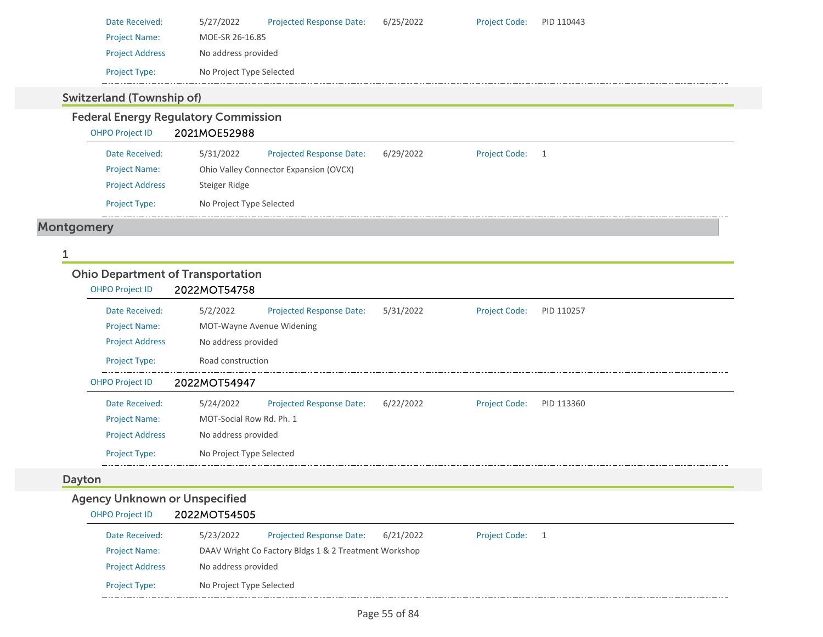| Date Received:         | 5/27/2022                | <b>Projected Response Date:</b> | 6/25/2022 | <b>Project Code:</b> | PID 110443 |  |
|------------------------|--------------------------|---------------------------------|-----------|----------------------|------------|--|
| <b>Project Name:</b>   |                          | MOE-SR 26-16.85                 |           |                      |            |  |
| <b>Project Address</b> |                          | No address provided             |           |                      |            |  |
| <b>Project Type:</b>   | No Project Type Selected |                                 |           |                      |            |  |

## Switzerland (Township of)

# Federal Energy Regulatory Commission

OHPO Project ID 2021MOE52988

| Date Received:         | 5/31/2022                              | <b>Projected Response Date:</b> | 6/29/2022 | <b>Project Code:</b> |  |  |
|------------------------|----------------------------------------|---------------------------------|-----------|----------------------|--|--|
| <b>Project Name:</b>   | Ohio Valley Connector Expansion (OVCX) |                                 |           |                      |  |  |
| <b>Project Address</b> | Steiger Ridge                          |                                 |           |                      |  |  |
| <b>Project Type:</b>   | No Project Type Selected               |                                 |           |                      |  |  |

# Montgomery

#### 1

### Ohio Department of Transportation

| <b>OHPO Project ID</b> | 2022MOT54758             |                                 |           |                      |            |
|------------------------|--------------------------|---------------------------------|-----------|----------------------|------------|
| Date Received:         | 5/2/2022                 | <b>Projected Response Date:</b> | 5/31/2022 | <b>Project Code:</b> | PID 110257 |
| <b>Project Name:</b>   |                          | MOT-Wayne Avenue Widening       |           |                      |            |
| <b>Project Address</b> | No address provided      |                                 |           |                      |            |
| <b>Project Type:</b>   | Road construction        |                                 |           |                      |            |
| <b>OHPO Project ID</b> | 2022MOT54947             |                                 |           |                      |            |
| Date Received:         |                          | <b>Projected Response Date:</b> |           |                      |            |
|                        | 5/24/2022                |                                 | 6/22/2022 | <b>Project Code:</b> | PID 113360 |
| <b>Project Name:</b>   | MOT-Social Row Rd. Ph. 1 |                                 |           |                      |            |
| <b>Project Address</b> | No address provided      |                                 |           |                      |            |

### Dayton

## Agency Unknown or Unspecified

#### OHPO Project ID 2022MOT54505 Date Received: 5/23/2022 Project Name: DAAV Wright Co Factory Bldgs 1 & 2 Treatment Workshop Projected Response Date: 6/21/2022 Project Address No address provided Project Type: No Project Type Selected Project Code: 1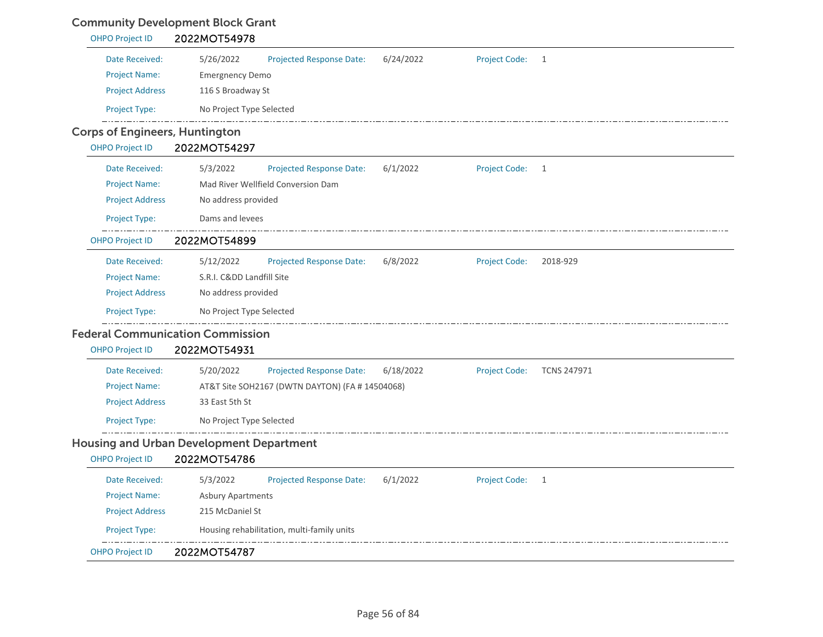# Community Development Block Grant

| <b>OHPO Project ID</b>                | 2022MOT54978                                                                                     |  |  |  |  |  |  |
|---------------------------------------|--------------------------------------------------------------------------------------------------|--|--|--|--|--|--|
| Date Received:                        | 5/26/2022<br>6/24/2022<br>Project Code:<br>Projected Response Date:<br>$\mathbf{1}$              |  |  |  |  |  |  |
| <b>Project Name:</b>                  | <b>Emergnency Demo</b>                                                                           |  |  |  |  |  |  |
| <b>Project Address</b>                | 116 S Broadway St                                                                                |  |  |  |  |  |  |
| Project Type:                         | No Project Type Selected                                                                         |  |  |  |  |  |  |
| <b>Corps of Engineers, Huntington</b> |                                                                                                  |  |  |  |  |  |  |
| <b>OHPO Project ID</b>                | 2022MOT54297                                                                                     |  |  |  |  |  |  |
| Date Received:                        | 5/3/2022<br><b>Projected Response Date:</b><br>6/1/2022<br><b>Project Code:</b><br>1             |  |  |  |  |  |  |
| <b>Project Name:</b>                  | Mad River Wellfield Conversion Dam                                                               |  |  |  |  |  |  |
| <b>Project Address</b>                | No address provided                                                                              |  |  |  |  |  |  |
| Project Type:                         | Dams and levees                                                                                  |  |  |  |  |  |  |
| <b>OHPO Project ID</b>                | 2022MOT54899                                                                                     |  |  |  |  |  |  |
| Date Received:                        | 5/12/2022<br><b>Projected Response Date:</b><br>6/8/2022<br><b>Project Code:</b><br>2018-929     |  |  |  |  |  |  |
| <b>Project Name:</b>                  | S.R.I. Cⅅ Landfill Site                                                                          |  |  |  |  |  |  |
| <b>Project Address</b>                | No address provided                                                                              |  |  |  |  |  |  |
| Project Type:                         | No Project Type Selected                                                                         |  |  |  |  |  |  |
|                                       | <b>Federal Communication Commission</b>                                                          |  |  |  |  |  |  |
| <b>OHPO Project ID</b>                | 2022MOT54931                                                                                     |  |  |  |  |  |  |
| Date Received:                        | <b>Projected Response Date:</b><br>6/18/2022<br>Project Code:<br>5/20/2022<br><b>TCNS 247971</b> |  |  |  |  |  |  |
| <b>Project Name:</b>                  | AT&T Site SOH2167 (DWTN DAYTON) (FA # 14504068)                                                  |  |  |  |  |  |  |
| <b>Project Address</b>                | 33 East 5th St                                                                                   |  |  |  |  |  |  |
| Project Type:                         | No Project Type Selected                                                                         |  |  |  |  |  |  |
|                                       | <b>Housing and Urban Development Department</b>                                                  |  |  |  |  |  |  |
| <b>OHPO Project ID</b>                | 2022MOT54786                                                                                     |  |  |  |  |  |  |
| Date Received:                        | <b>Projected Response Date:</b><br><b>Project Code:</b><br>5/3/2022<br>6/1/2022<br>$\mathbf{1}$  |  |  |  |  |  |  |
| <b>Project Name:</b>                  | <b>Asbury Apartments</b>                                                                         |  |  |  |  |  |  |
| <b>Project Address</b>                | 215 McDaniel St                                                                                  |  |  |  |  |  |  |
| Project Type:                         | Housing rehabilitation, multi-family units                                                       |  |  |  |  |  |  |
| <b>OHPO Project ID</b>                | 2022MOT54787                                                                                     |  |  |  |  |  |  |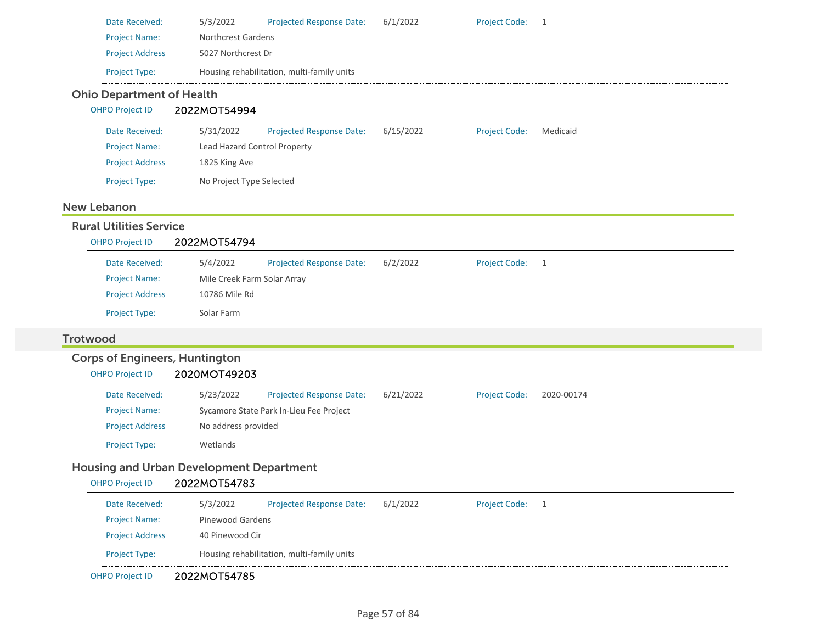|                                       | 5/3/2022<br>Projected Response Date:            | 6/1/2022  | <b>Project Code:</b> | 1          |
|---------------------------------------|-------------------------------------------------|-----------|----------------------|------------|
| <b>Project Name:</b>                  | <b>Northcrest Gardens</b>                       |           |                      |            |
| <b>Project Address</b>                | 5027 Northcrest Dr                              |           |                      |            |
| Project Type:                         | Housing rehabilitation, multi-family units      |           |                      |            |
| <b>Ohio Department of Health</b>      |                                                 |           |                      |            |
| <b>OHPO Project ID</b>                | 2022MOT54994                                    |           |                      |            |
| Date Received:                        | 5/31/2022<br><b>Projected Response Date:</b>    | 6/15/2022 | <b>Project Code:</b> | Medicaid   |
| <b>Project Name:</b>                  | Lead Hazard Control Property                    |           |                      |            |
| <b>Project Address</b>                | 1825 King Ave                                   |           |                      |            |
| Project Type:                         | No Project Type Selected                        |           |                      |            |
| <b>New Lebanon</b>                    |                                                 |           |                      |            |
| <b>Rural Utilities Service</b>        |                                                 |           |                      |            |
| <b>OHPO Project ID</b>                | 2022MOT54794                                    |           |                      |            |
| Date Received:                        | 5/4/2022<br>Projected Response Date:            | 6/2/2022  | Project Code: 1      |            |
| <b>Project Name:</b>                  | Mile Creek Farm Solar Array                     |           |                      |            |
| <b>Project Address</b>                | 10786 Mile Rd                                   |           |                      |            |
| Project Type:                         | Solar Farm                                      |           |                      |            |
| <b>Trotwood</b>                       |                                                 |           |                      |            |
| <b>Corps of Engineers, Huntington</b> |                                                 |           |                      |            |
| <b>OHPO Project ID</b>                | 2020MOT49203                                    |           |                      |            |
|                                       |                                                 |           |                      |            |
| Date Received:                        | 5/23/2022<br>Projected Response Date:           | 6/21/2022 | <b>Project Code:</b> | 2020-00174 |
| <b>Project Name:</b>                  | Sycamore State Park In-Lieu Fee Project         |           |                      |            |
| <b>Project Address</b>                | No address provided                             |           |                      |            |
| Project Type:                         | Wetlands                                        |           |                      |            |
|                                       |                                                 |           |                      |            |
| OHPO Project ID 2022MOT54783          | <b>Housing and Urban Development Department</b> |           |                      |            |
| Date Received:                        | 5/3/2022<br>Projected Response Date:            | 6/1/2022  | Project Code: 1      |            |
| <b>Project Name:</b>                  | Pinewood Gardens                                |           |                      |            |
| <b>Project Address</b>                | 40 Pinewood Cir                                 |           |                      |            |
| Project Type:                         | Housing rehabilitation, multi-family units      |           |                      |            |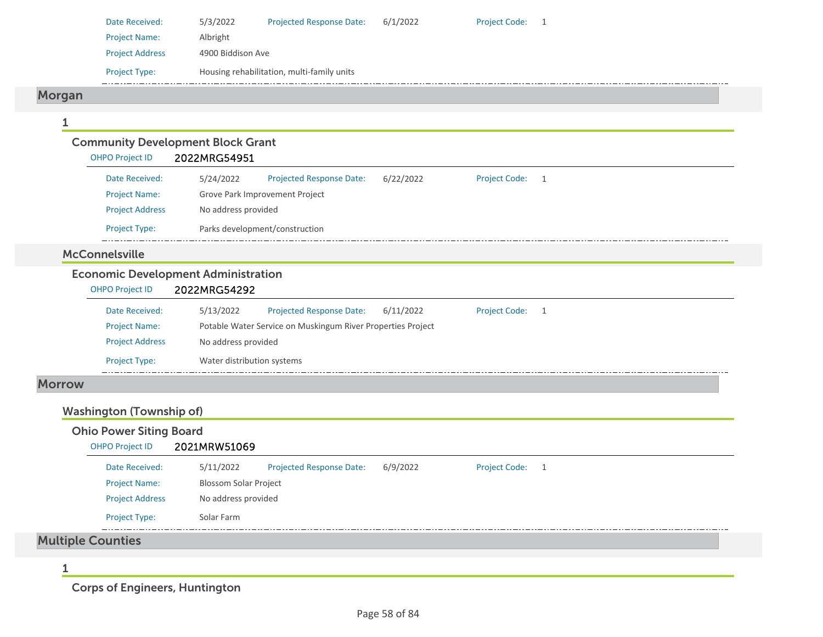| Date Received:         | 5/3/2022                                   | <b>Projected Response Date:</b> | 6/1/2022 | <b>Project Code:</b> |  |  |
|------------------------|--------------------------------------------|---------------------------------|----------|----------------------|--|--|
| <b>Project Name:</b>   | Albright                                   |                                 |          |                      |  |  |
| <b>Project Address</b> |                                            | 4900 Biddison Ave               |          |                      |  |  |
| <b>Project Type:</b>   | Housing rehabilitation, multi-family units |                                 |          |                      |  |  |
|                        |                                            |                                 |          |                      |  |  |

# Morgan

### 1Community Development Block Grant OHPO Project ID 2022MRG54951 Date Received: 5/24/2022 Project Name: Grove Park Improvement Project Projected Response Date: 6/22/2022 Project Address No address provided Project Type: Parks development/construction Project Code: 1 McConnelsville

# Economic Development Administration

| <b>OHPO Project ID</b> | 2022MRG54292 |                                                             |           |                      |  |
|------------------------|--------------|-------------------------------------------------------------|-----------|----------------------|--|
| Date Received:         | 5/13/2022    | <b>Projected Response Date:</b>                             | 6/11/2022 | <b>Project Code:</b> |  |
| <b>Project Name:</b>   |              | Potable Water Service on Muskingum River Properties Project |           |                      |  |
| <b>Project Address</b> |              | No address provided                                         |           |                      |  |
| <b>Project Type:</b>   |              | Water distribution systems                                  |           |                      |  |
|                        |              |                                                             |           |                      |  |

#### Morrow

### Washington (Township of)

| <b>OHPO Project ID</b> | 2021MRW51069                 |                                 |          |                 |  |
|------------------------|------------------------------|---------------------------------|----------|-----------------|--|
| Date Received:         | 5/11/2022                    | <b>Projected Response Date:</b> | 6/9/2022 | Project Code: 1 |  |
| <b>Project Name:</b>   | <b>Blossom Solar Project</b> |                                 |          |                 |  |
| <b>Project Address</b> | No address provided          |                                 |          |                 |  |
| <b>Project Type:</b>   | Solar Farm                   |                                 |          |                 |  |

1

Mul

Corps of Engineers, Huntington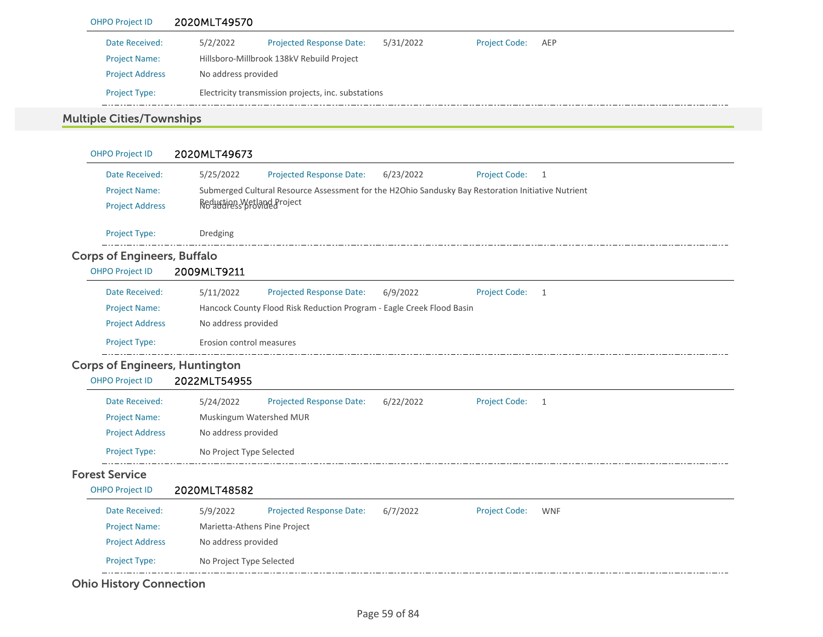| <b>OHPO Project ID</b>           | 2020MLT49570                              |                                                     |           |                   |  |
|----------------------------------|-------------------------------------------|-----------------------------------------------------|-----------|-------------------|--|
| Date Received:                   | 5/2/2022                                  | <b>Projected Response Date:</b>                     | 5/31/2022 | Project Code: AEP |  |
| <b>Project Name:</b>             | Hillsboro-Millbrook 138kV Rebuild Project |                                                     |           |                   |  |
| <b>Project Address</b>           | No address provided                       |                                                     |           |                   |  |
| <b>Project Type:</b>             |                                           | Electricity transmission projects, inc. substations |           |                   |  |
| <b>Multiple Cities/Townships</b> |                                           |                                                     |           |                   |  |

| <b>OHPO Project ID</b>                | 2020MLT49673                                                                                       |
|---------------------------------------|----------------------------------------------------------------------------------------------------|
| Date Received:                        | 5/25/2022<br>Projected Response Date:<br>6/23/2022<br><b>Project Code:</b><br>1                    |
| <b>Project Name:</b>                  | Submerged Cultural Resource Assessment for the H2Ohio Sandusky Bay Restoration Initiative Nutrient |
| <b>Project Address</b>                | Reduction Wetland Project<br>No address provided                                                   |
| Project Type:                         | Dredging                                                                                           |
| <b>Corps of Engineers, Buffalo</b>    |                                                                                                    |
| <b>OHPO Project ID</b>                | 2009MLT9211                                                                                        |
| Date Received:                        | Projected Response Date:<br><b>Project Code:</b><br>5/11/2022<br>6/9/2022<br>1                     |
| <b>Project Name:</b>                  | Hancock County Flood Risk Reduction Program - Eagle Creek Flood Basin                              |
| <b>Project Address</b>                | No address provided                                                                                |
| Project Type:                         | Erosion control measures                                                                           |
| <b>Corps of Engineers, Huntington</b> |                                                                                                    |
| <b>OHPO Project ID</b>                | 2022MLT54955                                                                                       |
| Date Received:                        | 6/22/2022<br><b>Project Code:</b><br>5/24/2022<br><b>Projected Response Date:</b><br>$\mathbf{1}$  |
| <b>Project Name:</b>                  | Muskingum Watershed MUR                                                                            |
| <b>Project Address</b>                | No address provided                                                                                |
| Project Type:                         | No Project Type Selected                                                                           |
| <b>Forest Service</b>                 |                                                                                                    |
| <b>OHPO Project ID</b>                | 2020MLT48582                                                                                       |
| Date Received:                        | <b>Projected Response Date:</b><br>5/9/2022<br>6/7/2022<br><b>Project Code:</b><br><b>WNF</b>      |
| <b>Project Name:</b>                  | Marietta-Athens Pine Project                                                                       |
| <b>Project Address</b>                | No address provided                                                                                |
| Project Type:                         | No Project Type Selected                                                                           |
|                                       |                                                                                                    |

Ohio History Connection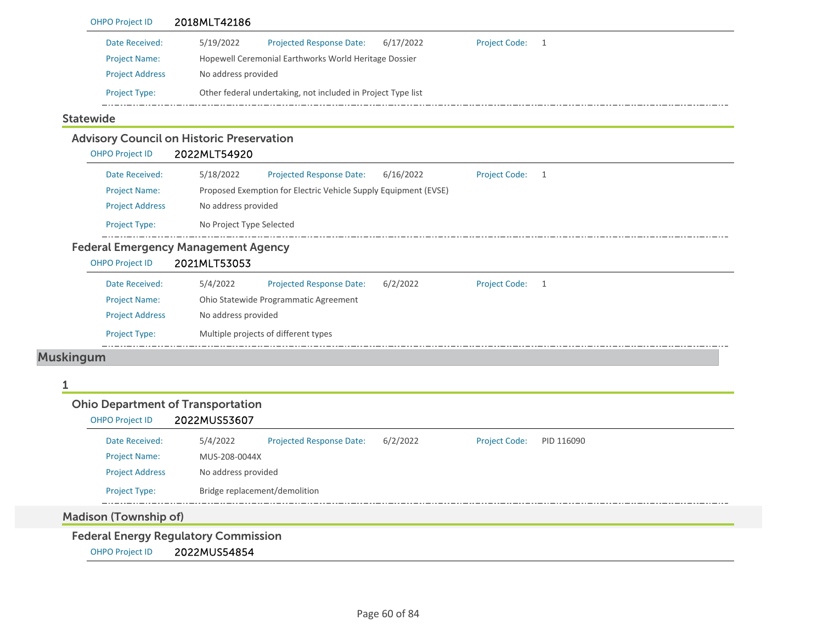| <b>OHPO Project ID</b>                   | 2018MLT42186                                                    |                                      |
|------------------------------------------|-----------------------------------------------------------------|--------------------------------------|
| Date Received:                           | 5/19/2022<br>6/17/2022<br>Projected Response Date:              | <b>Project Code:</b><br>1            |
| <b>Project Name:</b>                     | Hopewell Ceremonial Earthworks World Heritage Dossier           |                                      |
| <b>Project Address</b>                   | No address provided                                             |                                      |
| Project Type:                            | Other federal undertaking, not included in Project Type list    |                                      |
| <b>Statewide</b>                         |                                                                 |                                      |
|                                          | <b>Advisory Council on Historic Preservation</b>                |                                      |
| <b>OHPO Project ID</b>                   | 2022MLT54920                                                    |                                      |
| Date Received:                           | 5/18/2022<br><b>Projected Response Date:</b><br>6/16/2022       | <b>Project Code:</b><br>$\mathbf{1}$ |
| <b>Project Name:</b>                     | Proposed Exemption for Electric Vehicle Supply Equipment (EVSE) |                                      |
| <b>Project Address</b>                   | No address provided                                             |                                      |
| Project Type:                            | No Project Type Selected                                        |                                      |
|                                          | <b>Federal Emergency Management Agency</b>                      |                                      |
| <b>OHPO Project ID</b>                   | 2021MLT53053                                                    |                                      |
| Date Received:                           | 5/4/2022<br>Projected Response Date:<br>6/2/2022                | <b>Project Code:</b><br>1            |
| <b>Project Name:</b>                     | Ohio Statewide Programmatic Agreement                           |                                      |
| <b>Project Address</b>                   | No address provided                                             |                                      |
| Project Type:                            | Multiple projects of different types                            |                                      |
| <b>Muskingum</b>                         |                                                                 |                                      |
|                                          |                                                                 |                                      |
| <b>Ohio Department of Transportation</b> |                                                                 |                                      |
| <b>OHPO Project ID</b>                   | 2022MUS53607                                                    |                                      |
| Date Received:                           | 5/4/2022<br>Projected Response Date:<br>6/2/2022                | <b>Project Code:</b><br>PID 116090   |
| <b>Project Name:</b>                     | MUS-208-0044X                                                   |                                      |
| <b>Project Address</b>                   | No address provided                                             |                                      |
| Project Type:                            | Bridge replacement/demolition                                   |                                      |
| <b>Madison (Township of)</b>             |                                                                 |                                      |
|                                          | <b>Federal Energy Regulatory Commission</b>                     |                                      |
|                                          |                                                                 |                                      |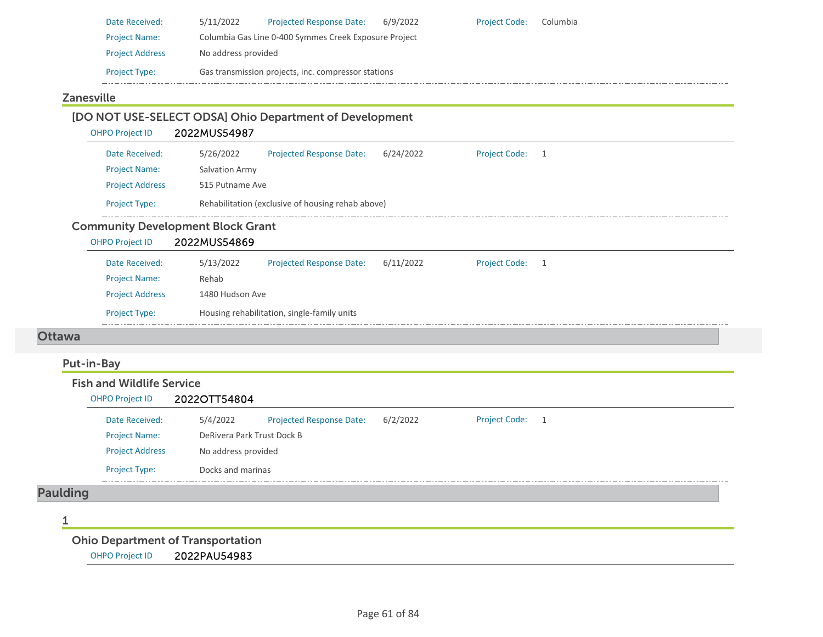| Date Received:         | 5/11/2022           | <b>Projected Response Date:</b>                       | 6/9/2022 | <b>Project Code:</b> | Columbia |
|------------------------|---------------------|-------------------------------------------------------|----------|----------------------|----------|
| <b>Project Name:</b>   |                     | Columbia Gas Line 0-400 Symmes Creek Exposure Project |          |                      |          |
| <b>Project Address</b> | No address provided |                                                       |          |                      |          |
| <b>Project Type:</b>   |                     | Gas transmission projects, inc. compressor stations   |          |                      |          |

## Zanesville

|                        | [DO NOT USE-SELECT ODSA] Ohio Department of Development |  |
|------------------------|---------------------------------------------------------|--|
| <b>OHPO Project ID</b> | 2022MUS54987                                            |  |

| Date Received:         | 5/26/2022       | <b>Projected Response Date:</b>                   | 6/24/2022 | <b>Project Code:</b> |  |
|------------------------|-----------------|---------------------------------------------------|-----------|----------------------|--|
| <b>Project Name:</b>   | Salvation Army  |                                                   |           |                      |  |
| <b>Project Address</b> | 515 Putname Ave |                                                   |           |                      |  |
| <b>Project Type:</b>   |                 | Rehabilitation (exclusive of housing rehab above) |           |                      |  |

### Community Development Block Grant

OHPO Project ID 2022MUS54869 Date Received: 5/13/2022 Project Name: Rehab Projected Response Date: 6/11/2022 Project Address 1480 Hudson Ave Project Type: Housing rehabilitation, single-family units Project Code: 1

#### Ottawa

## Put-in-Bay

| <b>OHPO Project ID</b> | 2022OTT54804        |                                 |          |                      |                |
|------------------------|---------------------|---------------------------------|----------|----------------------|----------------|
| Date Received:         | 5/4/2022            | <b>Projected Response Date:</b> | 6/2/2022 | <b>Project Code:</b> | $\overline{1}$ |
| <b>Project Name:</b>   |                     | DeRivera Park Trust Dock B      |          |                      |                |
| <b>Project Address</b> | No address provided |                                 |          |                      |                |
| Project Type:          | Docks and marinas   |                                 |          |                      |                |

#### 1

Ohio Department of Transportation

OHPO Project ID 2022PAU54983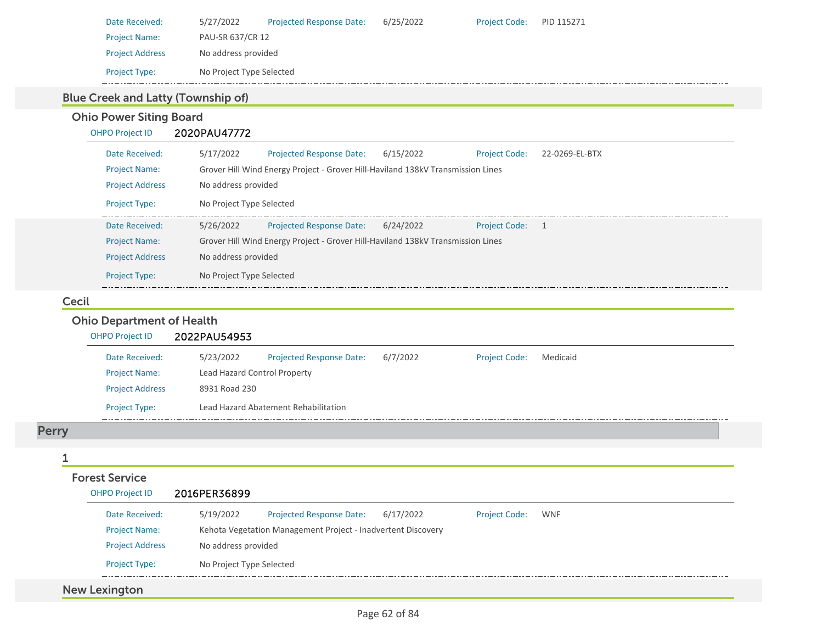| Date Received:         | 5/27/2022                | <b>Projected Response Date:</b> | 6/25/2022 | <b>Project Code:</b> | PID 115271 |
|------------------------|--------------------------|---------------------------------|-----------|----------------------|------------|
| <b>Project Name:</b>   | PAU-SR 637/CR 12         |                                 |           |                      |            |
| <b>Project Address</b> | No address provided      |                                 |           |                      |            |
| <b>Project Type:</b>   | No Project Type Selected |                                 |           |                      |            |

# Blue Creek and Latty (Township of)

# Ohio Power Siting Board

| <b>OHPO Project ID</b> | 2020PAU47772                                                                                        |
|------------------------|-----------------------------------------------------------------------------------------------------|
| Date Received:         | 5/17/2022<br>6/15/2022<br><b>Projected Response Date:</b><br>22-0269-EL-BTX<br><b>Project Code:</b> |
| <b>Project Name:</b>   | Grover Hill Wind Energy Project - Grover Hill-Haviland 138kV Transmission Lines                     |
| <b>Project Address</b> | No address provided                                                                                 |
| <b>Project Type:</b>   | No Project Type Selected                                                                            |
| Date Received:         | 5/26/2022<br>6/24/2022<br><b>Projected Response Date:</b><br>Project Code: 1                        |
| <b>Project Name:</b>   | Grover Hill Wind Energy Project - Grover Hill-Haviland 138kV Transmission Lines                     |
| <b>Project Address</b> | No address provided                                                                                 |
| <b>Project Type:</b>   | No Project Type Selected                                                                            |

#### Cecil

## Ohio Department of Health

| <b>OHPO Project ID</b> | 2022PAU54953 |                                      |          |                      |          |  |
|------------------------|--------------|--------------------------------------|----------|----------------------|----------|--|
| Date Received:         | 5/23/2022    | <b>Projected Response Date:</b>      | 6/7/2022 | <b>Project Code:</b> | Medicaid |  |
| <b>Project Name:</b>   |              | Lead Hazard Control Property         |          |                      |          |  |
| <b>Project Address</b> |              | 8931 Road 230                        |          |                      |          |  |
| <b>Project Type:</b>   |              | Lead Hazard Abatement Rehabilitation |          |                      |          |  |

# Perry

#### 1

| <b>Forest Service</b>  |                                                              |           |                      |     |
|------------------------|--------------------------------------------------------------|-----------|----------------------|-----|
| <b>OHPO Project ID</b> | 2016PER36899                                                 |           |                      |     |
| Date Received:         | <b>Projected Response Date:</b><br>5/19/2022                 | 6/17/2022 | <b>Project Code:</b> | WNF |
| <b>Project Name:</b>   | Kehota Vegetation Management Project - Inadvertent Discovery |           |                      |     |
| <b>Project Address</b> | No address provided                                          |           |                      |     |
| <b>Project Type:</b>   | No Project Type Selected                                     |           |                      |     |
|                        |                                                              |           |                      |     |
| <b>New Lexington</b>   |                                                              |           |                      |     |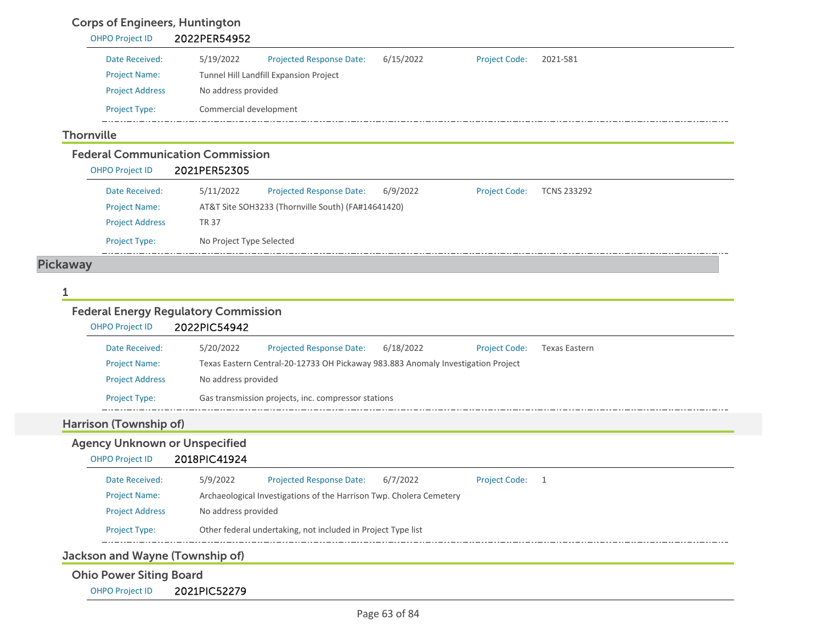# Corps of Engineers, Huntington

| <b>OHPO Project ID</b>                                            | 2022PER54952           |                                                    |           |                      |                    |  |
|-------------------------------------------------------------------|------------------------|----------------------------------------------------|-----------|----------------------|--------------------|--|
| Date Received:                                                    | 5/19/2022              | <b>Projected Response Date:</b>                    | 6/15/2022 | <b>Project Code:</b> | 2021-581           |  |
| <b>Project Name:</b>                                              |                        | Tunnel Hill Landfill Expansion Project             |           |                      |                    |  |
| <b>Project Address</b>                                            | No address provided    |                                                    |           |                      |                    |  |
| <b>Project Type:</b>                                              | Commercial development |                                                    |           |                      |                    |  |
| <b>Thornville</b>                                                 |                        |                                                    |           |                      |                    |  |
| <b>Federal Communication Commission</b><br><b>OHPO Project ID</b> | 2021PER52305           |                                                    |           |                      |                    |  |
| Date Received:                                                    | 5/11/2022              | <b>Projected Response Date:</b>                    | 6/9/2022  | <b>Project Code:</b> | <b>TCNS 233292</b> |  |
| <b>Project Name:</b>                                              |                        | AT&T Site SOH3233 (Thornville South) (FA#14641420) |           |                      |                    |  |
| <b>Project Address</b>                                            | <b>TR 37</b>           |                                                    |           |                      |                    |  |

Project Type: No Project Type Selected

## Pickaway

\_\_\_\_\_\_\_\_\_

#### 1

# Federal Energy Regulatory Commission

|                                                                | 2022PIC54942                                                                     |                      |                      |
|----------------------------------------------------------------|----------------------------------------------------------------------------------|----------------------|----------------------|
| Date Received:                                                 | 5/20/2022<br>Projected Response Date:<br>6/18/2022                               | <b>Project Code:</b> | <b>Texas Eastern</b> |
| <b>Project Name:</b>                                           | Texas Eastern Central-20-12733 OH Pickaway 983.883 Anomaly Investigation Project |                      |                      |
| <b>Project Address</b>                                         | No address provided                                                              |                      |                      |
| <b>Project Type:</b>                                           | Gas transmission projects, inc. compressor stations                              |                      |                      |
|                                                                |                                                                                  |                      |                      |
|                                                                |                                                                                  |                      |                      |
| Harrison (Township of)<br><b>Agency Unknown or Unspecified</b> |                                                                                  |                      |                      |
| <b>OHPO Project ID</b>                                         | 2018PIC41924                                                                     |                      |                      |
| Date Received:                                                 | Projected Response Date:<br>5/9/2022<br>6/7/2022                                 | <b>Project Code:</b> | 1                    |
| <b>Project Name:</b>                                           | Archaeological Investigations of the Harrison Twp. Cholera Cemetery              |                      |                      |
| <b>Project Address</b>                                         | No address provided                                                              |                      |                      |

Jackson and Wayne (Township of)

# Ohio Power Siting Board

OHPO Project ID 2021PIC52279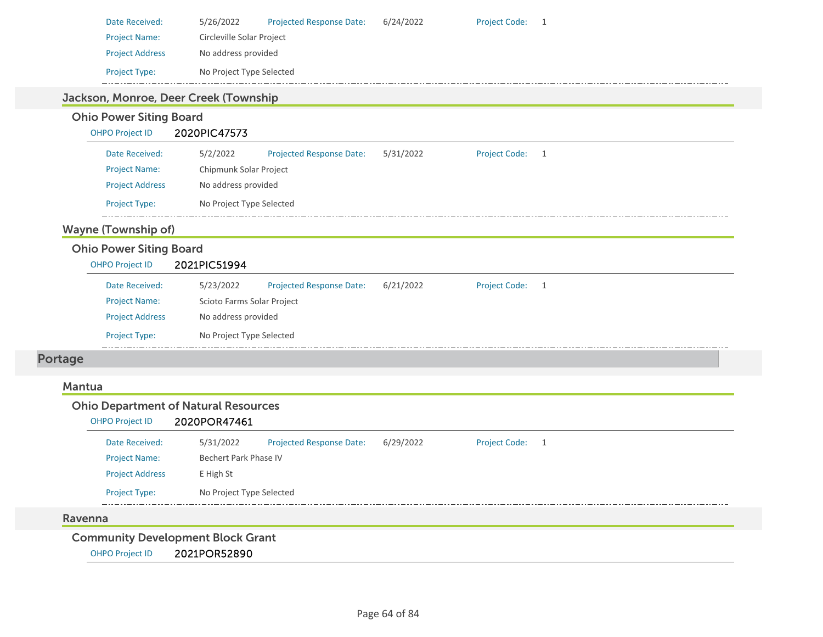| Date Received:                                                                         | Projected Response Date:<br>5/26/2022                       | 6/24/2022 | <b>Project Code:</b><br>$\overline{1}$ |  |
|----------------------------------------------------------------------------------------|-------------------------------------------------------------|-----------|----------------------------------------|--|
| <b>Project Name:</b>                                                                   | Circleville Solar Project                                   |           |                                        |  |
| <b>Project Address</b>                                                                 | No address provided                                         |           |                                        |  |
| Project Type:                                                                          | No Project Type Selected                                    |           |                                        |  |
|                                                                                        | Jackson, Monroe, Deer Creek (Township                       |           |                                        |  |
| <b>Ohio Power Siting Board</b>                                                         |                                                             |           |                                        |  |
| <b>OHPO Project ID</b>                                                                 | 2020PIC47573                                                |           |                                        |  |
| Date Received:                                                                         | 5/2/2022<br><b>Projected Response Date:</b>                 | 5/31/2022 | <b>Project Code:</b><br>$\mathbf{1}$   |  |
| <b>Project Name:</b>                                                                   | Chipmunk Solar Project                                      |           |                                        |  |
| <b>Project Address</b>                                                                 | No address provided                                         |           |                                        |  |
| <b>Project Type:</b>                                                                   | No Project Type Selected                                    |           |                                        |  |
| <b>Wayne (Township of)</b><br><b>Ohio Power Siting Board</b><br><b>OHPO Project ID</b> | 2021PIC51994                                                |           |                                        |  |
| Date Received:                                                                         | 5/23/2022<br>Projected Response Date:                       | 6/21/2022 | <b>Project Code:</b>                   |  |
| <b>Project Name:</b>                                                                   | Scioto Farms Solar Project                                  |           | 1                                      |  |
| <b>Project Address</b>                                                                 | No address provided                                         |           |                                        |  |
| Project Type:                                                                          | No Project Type Selected                                    |           |                                        |  |
|                                                                                        |                                                             |           |                                        |  |
| <b>Portage</b>                                                                         |                                                             |           |                                        |  |
| <b>Mantua</b>                                                                          |                                                             |           |                                        |  |
| <b>OHPO Project ID</b>                                                                 | <b>Ohio Department of Natural Resources</b><br>2020POR47461 |           |                                        |  |

| Date Received:         | 5/31/2022                | <b>Projected Response Date:</b> | 6/29/2022 | Project Code: 1 |  |  |  |
|------------------------|--------------------------|---------------------------------|-----------|-----------------|--|--|--|
| <b>Project Name:</b>   | Bechert Park Phase IV    |                                 |           |                 |  |  |  |
| <b>Project Address</b> | E High St                |                                 |           |                 |  |  |  |
| <b>Project Type:</b>   | No Project Type Selected |                                 |           |                 |  |  |  |
|                        |                          |                                 |           |                 |  |  |  |

#### Ravenna

Community Development Block Grant

OHPO Project ID 2021POR52890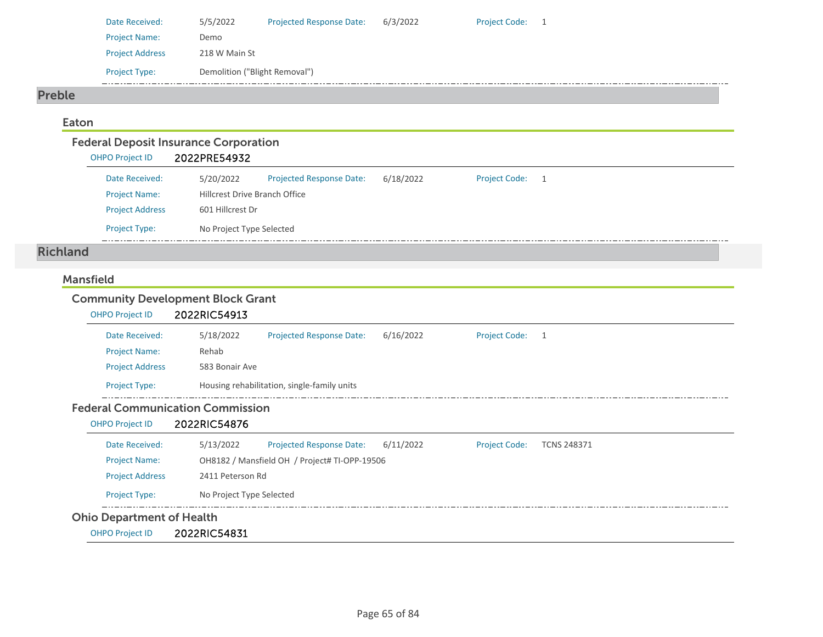| Date Received:         | 5/5/2022                      | <b>Projected Response Date:</b> | 6/3/2022 | <b>Project Code:</b> |  |
|------------------------|-------------------------------|---------------------------------|----------|----------------------|--|
| <b>Project Name:</b>   | Demo                          |                                 |          |                      |  |
| <b>Project Address</b> | 218 W Main St                 |                                 |          |                      |  |
| <b>Project Type:</b>   | Demolition ("Blight Removal") |                                 |          |                      |  |

#### Preble

#### Eaton

| <b>Federal Deposit Insurance Corporation</b> |                                      |                                 |           |                      |     |  |  |  |  |
|----------------------------------------------|--------------------------------------|---------------------------------|-----------|----------------------|-----|--|--|--|--|
| <b>OHPO Project ID</b>                       | 2022PRE54932                         |                                 |           |                      |     |  |  |  |  |
| Date Received:                               | 5/20/2022                            | <b>Projected Response Date:</b> | 6/18/2022 | <b>Project Code:</b> | - 1 |  |  |  |  |
| <b>Project Name:</b>                         | <b>Hillcrest Drive Branch Office</b> |                                 |           |                      |     |  |  |  |  |
| <b>Project Address</b>                       |                                      | 601 Hillcrest Dr                |           |                      |     |  |  |  |  |
| <b>Project Type:</b>                         | No Project Type Selected             |                                 |           |                      |     |  |  |  |  |

### Richland

#### Mansfield

# Community Development Block Grant

| <b>OHPO Project ID</b> | 2022RIC54913   |                                             |           |                 |  |  |
|------------------------|----------------|---------------------------------------------|-----------|-----------------|--|--|
| Date Received:         | 5/18/2022      | <b>Projected Response Date:</b>             | 6/16/2022 | Project Code: 1 |  |  |
| <b>Project Name:</b>   | Rehab          |                                             |           |                 |  |  |
| <b>Project Address</b> | 583 Bonair Ave |                                             |           |                 |  |  |
| <b>Project Type:</b>   |                | Housing rehabilitation, single-family units |           |                 |  |  |

#### Federal Communication Commission

#### OHPO Project ID 2022RIC54876

| <b>Ohio Department of Health</b> |                                               |                                 |           |                      |                    |  |  |
|----------------------------------|-----------------------------------------------|---------------------------------|-----------|----------------------|--------------------|--|--|
| <b>Project Type:</b>             | No Project Type Selected                      |                                 |           |                      |                    |  |  |
| <b>Project Address</b>           | 2411 Peterson Rd                              |                                 |           |                      |                    |  |  |
| <b>Project Name:</b>             | OH8182 / Mansfield OH / Project# TI-OPP-19506 |                                 |           |                      |                    |  |  |
| Date Received:                   | 5/13/2022                                     | <b>Projected Response Date:</b> | 6/11/2022 | <b>Project Code:</b> | <b>TCNS 248371</b> |  |  |
|                                  |                                               |                                 |           |                      |                    |  |  |

OHPO Project ID 2022RIC54831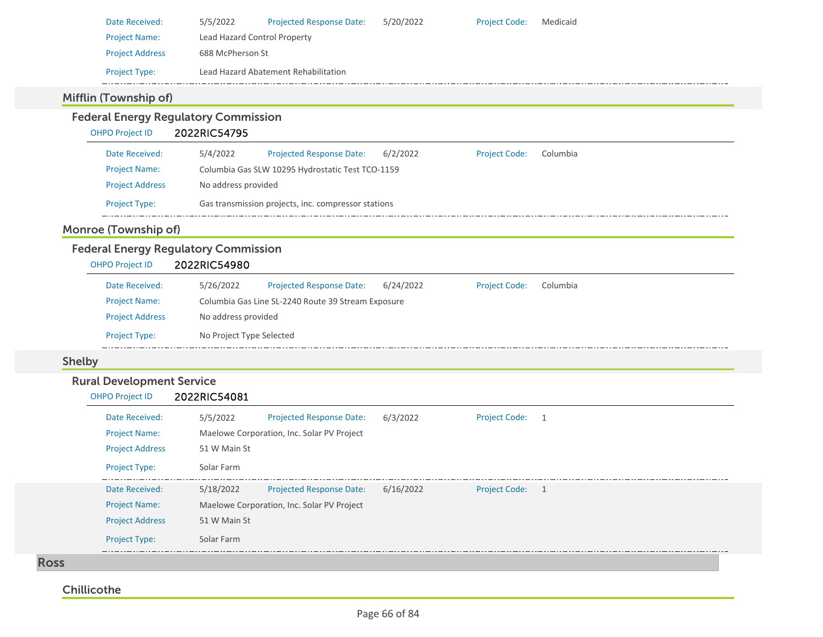| Date Received:         | 5/5/2022                             | <b>Projected Response Date:</b> | 5/20/2022 | <b>Project Code:</b> | Medicaid |  |  |  |  |
|------------------------|--------------------------------------|---------------------------------|-----------|----------------------|----------|--|--|--|--|
| <b>Project Name:</b>   |                                      | Lead Hazard Control Property    |           |                      |          |  |  |  |  |
| <b>Project Address</b> |                                      | 688 McPherson St                |           |                      |          |  |  |  |  |
| <b>Project Type:</b>   | Lead Hazard Abatement Rehabilitation |                                 |           |                      |          |  |  |  |  |
|                        |                                      |                                 |           |                      |          |  |  |  |  |

## Mifflin (Township of)

#### Federal Energy Regulatory Commission OHPO Project ID 2022RIC54795 5/4/2022 Projected Response Date: 6/2/2022 Date Received:Project Code: Columbia Project Name: Columbia Gas SLW 10295 Hydrostatic Test TCO‐1159 Project Address No address provided Project Type: Gas transmission projects, inc. compressor stations  $\frac{1}{2}$  . . . .

## Monroe (Township of)

# Federal Energy Regulatory Commission

| <b>OHPO Project ID</b> | 2022RIC54980                                                                                  |  |
|------------------------|-----------------------------------------------------------------------------------------------|--|
| Date Received:         | 5/26/2022<br>6/24/2022<br><b>Projected Response Date:</b><br>Columbia<br><b>Project Code:</b> |  |
| <b>Project Name:</b>   | Columbia Gas Line SL-2240 Route 39 Stream Exposure                                            |  |
| <b>Project Address</b> | No address provided                                                                           |  |
| <b>Project Type:</b>   | No Project Type Selected                                                                      |  |

### Shelby

## Rural Development Service

OHPO Project ID 2022RIC54081

| Date Received:         | 5/5/2022                                   | <b>Projected Response Date:</b> | 6/3/2022  | <b>Project Code:</b> | $\rightarrow$  |  |  |  |
|------------------------|--------------------------------------------|---------------------------------|-----------|----------------------|----------------|--|--|--|
| <b>Project Name:</b>   | Maelowe Corporation, Inc. Solar PV Project |                                 |           |                      |                |  |  |  |
| <b>Project Address</b> | 51 W Main St                               |                                 |           |                      |                |  |  |  |
| <b>Project Type:</b>   | Solar Farm                                 |                                 |           |                      |                |  |  |  |
| Date Received:         | 5/18/2022                                  | <b>Projected Response Date:</b> | 6/16/2022 | <b>Project Code:</b> | $\overline{1}$ |  |  |  |
| <b>Project Name:</b>   | Maelowe Corporation, Inc. Solar PV Project |                                 |           |                      |                |  |  |  |
| <b>Project Address</b> | 51 W Main St                               |                                 |           |                      |                |  |  |  |
| <b>Project Type:</b>   | Solar Farm                                 |                                 |           |                      |                |  |  |  |

Ross

## **Chillicothe**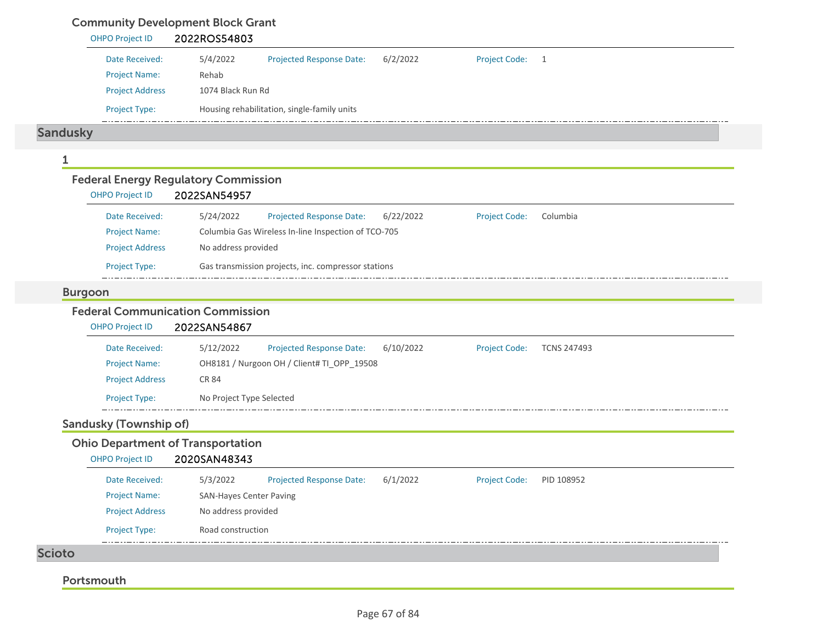# Community Development Block Grant

| <b>OHPO Project ID</b>                                                | 2022ROS54803                                                                                            |
|-----------------------------------------------------------------------|---------------------------------------------------------------------------------------------------------|
| Date Received:                                                        | 6/2/2022<br><b>Project Code:</b><br>5/4/2022<br><b>Projected Response Date:</b><br>$\overline{1}$       |
| <b>Project Name:</b>                                                  | Rehab                                                                                                   |
| <b>Project Address</b>                                                | 1074 Black Run Rd                                                                                       |
| Project Type:                                                         | Housing rehabilitation, single-family units                                                             |
| <b>Sandusky</b>                                                       |                                                                                                         |
| 1                                                                     |                                                                                                         |
| <b>Federal Energy Regulatory Commission</b><br><b>OHPO Project ID</b> | 2022SAN54957                                                                                            |
| Date Received:                                                        | 5/24/2022<br><b>Projected Response Date:</b><br>6/22/2022<br><b>Project Code:</b><br>Columbia           |
| <b>Project Name:</b>                                                  | Columbia Gas Wireless In-line Inspection of TCO-705                                                     |
| <b>Project Address</b>                                                | No address provided                                                                                     |
| Project Type:                                                         | Gas transmission projects, inc. compressor stations                                                     |
| <b>Burgoon</b>                                                        |                                                                                                         |
| <b>Federal Communication Commission</b><br>OHPO Project ID            | 2022SAN54867                                                                                            |
| Date Received:                                                        | 5/12/2022<br><b>Projected Response Date:</b><br>6/10/2022<br><b>Project Code:</b><br><b>TCNS 247493</b> |
| <b>Project Name:</b>                                                  | OH8181 / Nurgoon OH / Client# TI_OPP_19508                                                              |
| <b>Project Address</b>                                                | <b>CR 84</b>                                                                                            |
| Project Type:                                                         | No Project Type Selected                                                                                |
| <b>Sandusky (Township of)</b>                                         |                                                                                                         |
| <b>Ohio Department of Transportation</b><br><b>OHPO Project ID</b>    | 2020SAN48343                                                                                            |
| Date Received:                                                        | <b>Projected Response Date:</b><br>6/1/2022<br><b>Project Code:</b><br>5/3/2022<br>PID 108952           |
| <b>Project Name:</b>                                                  | SAN-Hayes Center Paving                                                                                 |
| <b>Project Address</b>                                                | No address provided                                                                                     |
| Project Type:                                                         | Road construction                                                                                       |
| <b>Scioto</b>                                                         |                                                                                                         |
|                                                                       |                                                                                                         |
| Portsmouth                                                            |                                                                                                         |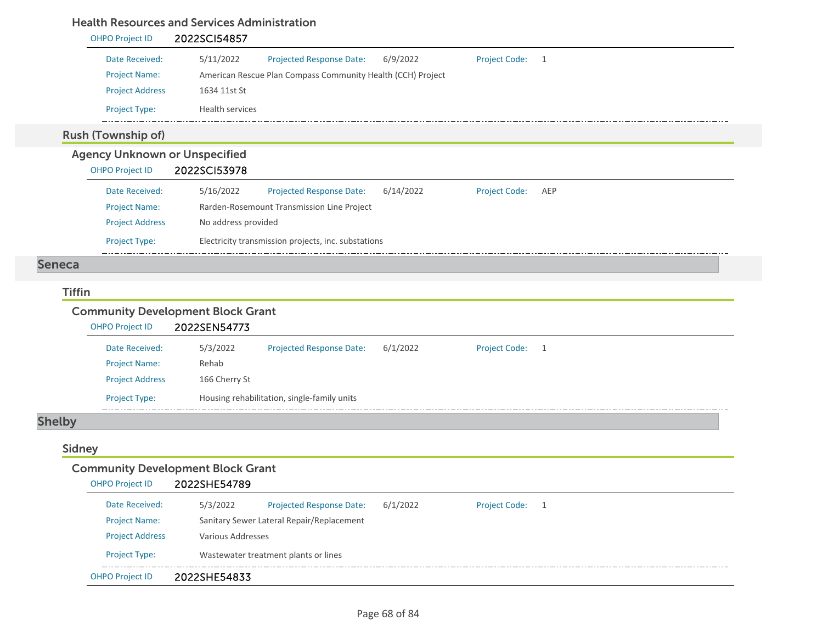### Health Resources and Services Administration

#### OHPO Project ID 2022SCI54857 Date Received: 5/11/2022 Projected Response Date: 6/9/2022 Project Code: 1 Project Name: American Rescue Plan Compass Community Health (CCH) Project Project Address 1634 11st St Project Type: Health services  $\frac{1}{2}$  . . . . . . . Rush (Township of) Agency Unknown or Unspecified OHPO Project ID 2022SCI53978 Date Received: 5/16/2022 Projected Response Date: 6/14/2022 Project Code: AEP

Project Name: Rarden-Rosemount Transmission Line Project Project Address No address provided Project Type: Electricity transmission projects, inc. substations

#### Seneca

#### Tiffin

### Community Development Block Grant

| <b>OHPO Project ID</b> |                        | 2022SEN54773  |                                             |          |                      |    |
|------------------------|------------------------|---------------|---------------------------------------------|----------|----------------------|----|
|                        | Date Received:         | 5/3/2022      | <b>Projected Response Date:</b>             | 6/1/2022 | <b>Project Code:</b> | -1 |
|                        | <b>Project Name:</b>   | Rehab         |                                             |          |                      |    |
|                        | <b>Project Address</b> | 166 Cherry St |                                             |          |                      |    |
|                        | <b>Project Type:</b>   |               | Housing rehabilitation, single-family units |          |                      |    |

# Shelby

### Sidney

| <b>Community Development Block Grant</b> |                                                                                 |  |  |  |  |  |  |  |  |
|------------------------------------------|---------------------------------------------------------------------------------|--|--|--|--|--|--|--|--|
| <b>OHPO Project ID</b>                   | 2022SHE54789                                                                    |  |  |  |  |  |  |  |  |
| Date Received:                           | 5/3/2022<br><b>Projected Response Date:</b><br>6/1/2022<br><b>Project Code:</b> |  |  |  |  |  |  |  |  |
| <b>Project Name:</b>                     | Sanitary Sewer Lateral Repair/Replacement                                       |  |  |  |  |  |  |  |  |
| <b>Project Address</b>                   | Various Addresses                                                               |  |  |  |  |  |  |  |  |
| <b>Project Type:</b>                     | Wastewater treatment plants or lines                                            |  |  |  |  |  |  |  |  |
| <b>OHPO Project ID</b>                   | 2022SHE54833                                                                    |  |  |  |  |  |  |  |  |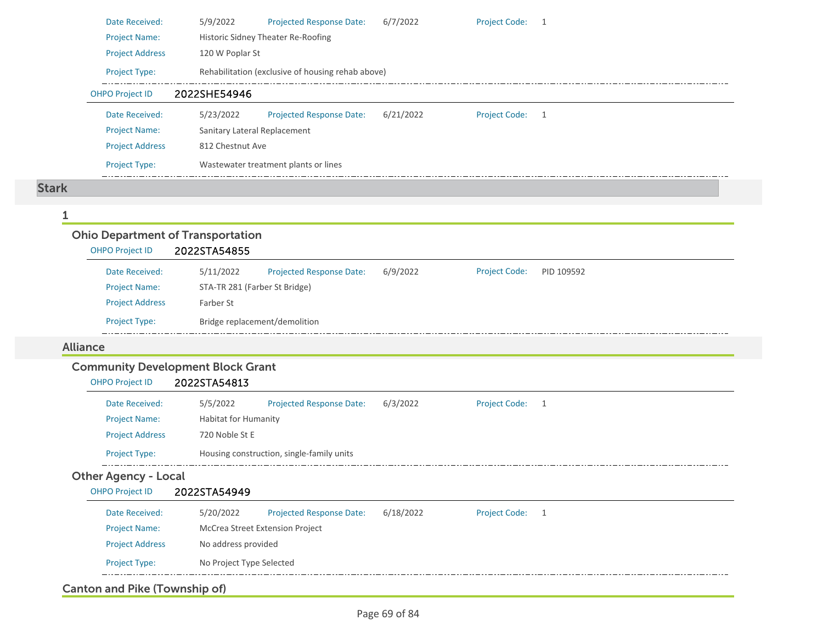| Date Received:         | 5/9/2022                                 | <b>Projected Response Date:</b>                   | 6/7/2022  | <b>Project Code:</b> | -1 |  |  |  |
|------------------------|------------------------------------------|---------------------------------------------------|-----------|----------------------|----|--|--|--|
| <b>Project Name:</b>   |                                          | Historic Sidney Theater Re-Roofing                |           |                      |    |  |  |  |
| <b>Project Address</b> | 120 W Poplar St                          |                                                   |           |                      |    |  |  |  |
| Project Type:          |                                          | Rehabilitation (exclusive of housing rehab above) |           |                      |    |  |  |  |
| <b>OHPO Project ID</b> | 2022SHE54946                             |                                                   |           |                      |    |  |  |  |
| Date Received:         | 5/23/2022                                | <b>Projected Response Date:</b>                   | 6/21/2022 | <b>Project Code:</b> | -1 |  |  |  |
| <b>Project Name:</b>   |                                          | Sanitary Lateral Replacement                      |           |                      |    |  |  |  |
| <b>Project Address</b> | 812 Chestnut Ave                         |                                                   |           |                      |    |  |  |  |
| <b>Project Type:</b>   |                                          | Wastewater treatment plants or lines              |           |                      |    |  |  |  |
|                        |                                          |                                                   |           |                      |    |  |  |  |
|                        |                                          |                                                   |           |                      |    |  |  |  |
|                        |                                          |                                                   |           |                      |    |  |  |  |
|                        | <b>Ohio Department of Transportation</b> |                                                   |           |                      |    |  |  |  |

#### OHPO Project ID 2022STA54855 Projected Response Date: 6/9/2022 Date Received: 5/11/2022 Project Code: PID 109592 Project Name: STA‐TR 281 (Farber St Bridge) Project Address Farber St Project Type: Bridge replacement/demolition

### Alliance

Stark

1

## Community Development Block Grant

| OHPO Project ID | 2022STA54813 |
|-----------------|--------------|
|                 |              |

| Date Received:         | 5/5/2022             | <b>Projected Response Date:</b>           | 6/3/2022 | <b>Project Code:</b> |  |
|------------------------|----------------------|-------------------------------------------|----------|----------------------|--|
| <b>Project Name:</b>   | Habitat for Humanity |                                           |          |                      |  |
| <b>Project Address</b> | 720 Noble St E       |                                           |          |                      |  |
| <b>Project Type:</b>   |                      | Housing construction, single-family units |          |                      |  |

### Other Agency - Local

| OHPO Project ID        | 2022STA54949             |                                        |           |                      |  |
|------------------------|--------------------------|----------------------------------------|-----------|----------------------|--|
| Date Received:         | 5/20/2022                | <b>Projected Response Date:</b>        | 6/18/2022 | <b>Project Code:</b> |  |
| <b>Project Name:</b>   |                          | <b>McCrea Street Extension Project</b> |           |                      |  |
| <b>Project Address</b> | No address provided      |                                        |           |                      |  |
| <b>Project Type:</b>   | No Project Type Selected |                                        |           |                      |  |

## Canton and Pike (Township of)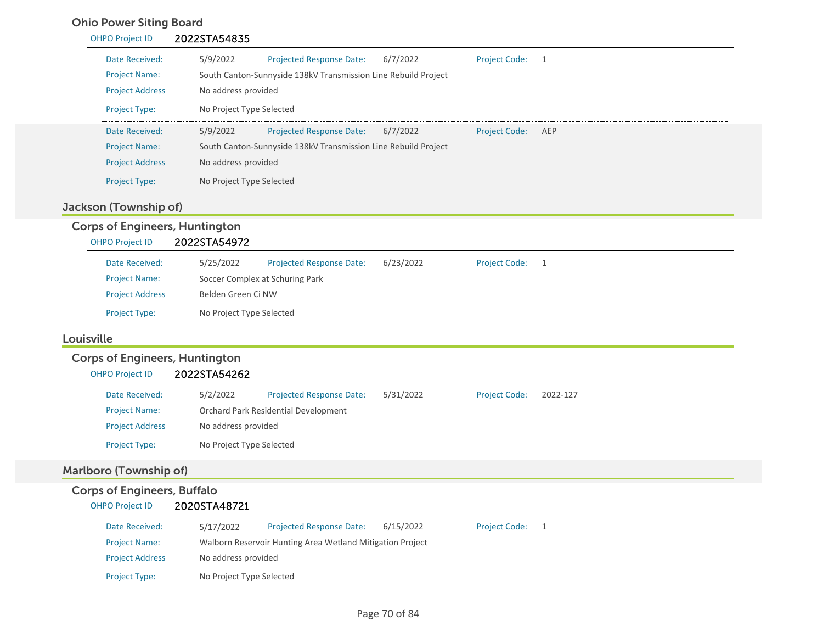## Ohio Power Siting Board

| <b>OHPO Project ID</b> | 2022STA54835                                                                           |
|------------------------|----------------------------------------------------------------------------------------|
| Date Received:         | 5/9/2022<br>6/7/2022<br><b>Projected Response Date:</b><br><b>Project Code:</b>        |
| <b>Project Name:</b>   | South Canton-Sunnyside 138kV Transmission Line Rebuild Project                         |
| <b>Project Address</b> | No address provided                                                                    |
| <b>Project Type:</b>   | No Project Type Selected                                                               |
| Date Received:         | 5/9/2022<br>6/7/2022<br><b>Projected Response Date:</b><br><b>Project Code:</b><br>AEP |
| <b>Project Name:</b>   | South Canton-Sunnyside 138kV Transmission Line Rebuild Project                         |
| <b>Project Address</b> | No address provided                                                                    |
| <b>Project Type:</b>   | No Project Type Selected                                                               |

## Jackson (Township of)

# Corps of Engineers, Huntington

OHPO Project ID 2022STA54972

| Date Received:         | 5/25/2022                | <b>Projected Response Date:</b> | 6/23/2022 | Project Code: 1 |  |
|------------------------|--------------------------|---------------------------------|-----------|-----------------|--|
| <b>Project Name:</b>   |                          | Soccer Complex at Schuring Park |           |                 |  |
| <b>Project Address</b> | Belden Green Ci NW       |                                 |           |                 |  |
| <b>Project Type:</b>   | No Project Type Selected |                                 |           |                 |  |
|                        |                          |                                 |           |                 |  |

#### Louisville

# Corps of Engineers, Huntington

| <b>OHPO Project ID</b> | 2022STA54262             |                                      |           |                      |          |
|------------------------|--------------------------|--------------------------------------|-----------|----------------------|----------|
| Date Received:         | 5/2/2022                 | <b>Projected Response Date:</b>      | 5/31/2022 | <b>Project Code:</b> | 2022-127 |
| <b>Project Name:</b>   |                          | Orchard Park Residential Development |           |                      |          |
| <b>Project Address</b> | No address provided      |                                      |           |                      |          |
| <b>Project Type:</b>   | No Project Type Selected |                                      |           |                      |          |

# Marlboro (Township of)

## Corps of Engineers, Buffalo OHPO Project ID 2020STA48721

| Date Received:         | 5/17/2022                | <b>Projected Response Date:</b>                           | 6/15/2022 | <b>Project Code:</b> |  |
|------------------------|--------------------------|-----------------------------------------------------------|-----------|----------------------|--|
| <b>Project Name:</b>   |                          | Walborn Reservoir Hunting Area Wetland Mitigation Project |           |                      |  |
| <b>Project Address</b> | No address provided      |                                                           |           |                      |  |
| <b>Project Type:</b>   | No Project Type Selected |                                                           |           |                      |  |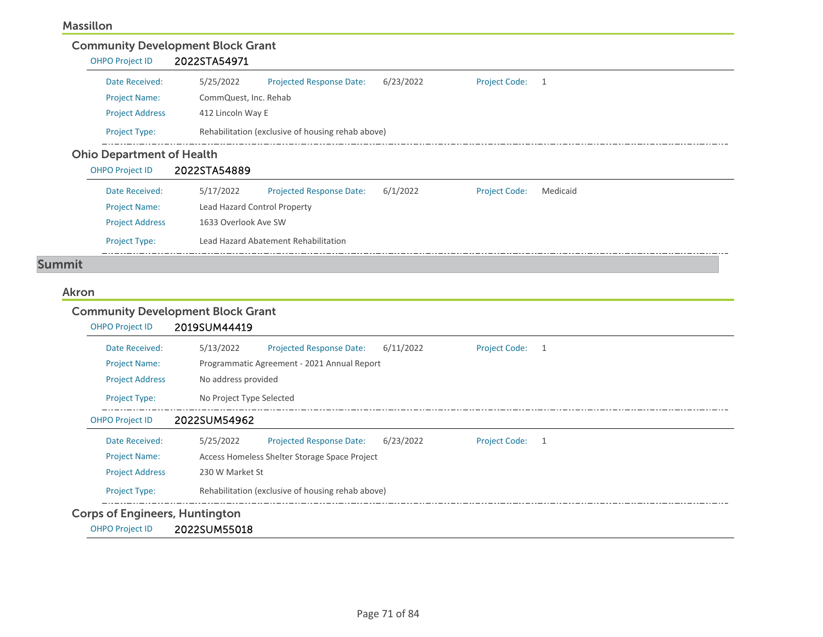## Massillon

# Community Development Block Grant

| <b>OHPO Project ID</b> | 2022STA54971 |
|------------------------|--------------|
|------------------------|--------------|

| Date Received:         | 5/25/2022             | <b>Projected Response Date:</b>                   | 6/23/2022 | <b>Project Code:</b> |  |  |
|------------------------|-----------------------|---------------------------------------------------|-----------|----------------------|--|--|
| <b>Project Name:</b>   | CommQuest, Inc. Rehab |                                                   |           |                      |  |  |
| <b>Project Address</b> | 412 Lincoln Way E     |                                                   |           |                      |  |  |
| <b>Project Type:</b>   |                       | Rehabilitation (exclusive of housing rehab above) |           |                      |  |  |

## Ohio Department of Health

| <b>OHPO Project ID</b> | 2022STA54889                 |                                      |          |                      |          |
|------------------------|------------------------------|--------------------------------------|----------|----------------------|----------|
| Date Received:         | 5/17/2022                    | <b>Projected Response Date:</b>      | 6/1/2022 | <b>Project Code:</b> | Medicaid |
| <b>Project Name:</b>   | Lead Hazard Control Property |                                      |          |                      |          |
| <b>Project Address</b> | 1633 Overlook Ave SW         |                                      |          |                      |          |
| <b>Project Type:</b>   |                              | Lead Hazard Abatement Rehabilitation |          |                      |          |

 $\Box$ 

# Summit

#### Akron

# Community Development Block Grant

| <b>OHPO Project ID</b>                | 2019SUM44419                                                                           |
|---------------------------------------|----------------------------------------------------------------------------------------|
| Date Received:                        | 5/13/2022<br><b>Projected Response Date:</b><br>6/11/2022<br><b>Project Code:</b><br>1 |
| <b>Project Name:</b>                  | Programmatic Agreement - 2021 Annual Report                                            |
| <b>Project Address</b>                | No address provided                                                                    |
| <b>Project Type:</b>                  | No Project Type Selected                                                               |
| <b>OHPO Project ID</b>                | 2022SUM54962                                                                           |
| Date Received:                        | <b>Project Code:</b><br>5/25/2022<br>Projected Response Date:<br>6/23/2022<br>1        |
| <b>Project Name:</b>                  | Access Homeless Shelter Storage Space Project                                          |
| <b>Project Address</b>                | 230 W Market St                                                                        |
| <b>Project Type:</b>                  | Rehabilitation (exclusive of housing rehab above)                                      |
| <b>Corps of Engineers, Huntington</b> |                                                                                        |
| <b>OHPO Project ID</b>                | 2022SUM55018                                                                           |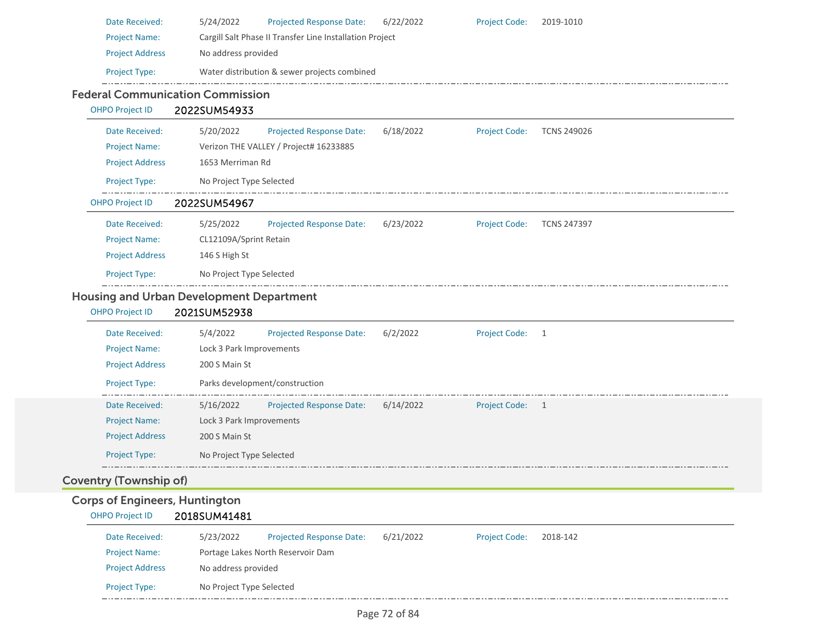| Date Received:                                                  | 5/24/2022<br>Projected Response Date:<br><b>Project Code:</b><br>2019-1010<br>6/22/2022                 |
|-----------------------------------------------------------------|---------------------------------------------------------------------------------------------------------|
| <b>Project Name:</b>                                            | Cargill Salt Phase II Transfer Line Installation Project                                                |
| <b>Project Address</b>                                          | No address provided                                                                                     |
| Project Type:                                                   | Water distribution & sewer projects combined                                                            |
|                                                                 | <b>Federal Communication Commission</b>                                                                 |
| <b>OHPO Project ID</b>                                          | 2022SUM54933                                                                                            |
| Date Received:                                                  | 5/20/2022<br>6/18/2022<br><b>TCNS 249026</b><br><b>Projected Response Date:</b><br><b>Project Code:</b> |
| <b>Project Name:</b>                                            | Verizon THE VALLEY / Project# 16233885                                                                  |
| <b>Project Address</b>                                          | 1653 Merriman Rd                                                                                        |
| Project Type:                                                   | No Project Type Selected                                                                                |
| <b>OHPO Project ID</b>                                          | 2022SUM54967                                                                                            |
| Date Received:                                                  | 5/25/2022<br><b>Projected Response Date:</b><br>6/23/2022<br><b>Project Code:</b><br><b>TCNS 247397</b> |
| <b>Project Name:</b>                                            | CL12109A/Sprint Retain                                                                                  |
| <b>Project Address</b>                                          | 146 S High St                                                                                           |
| Project Type:                                                   | No Project Type Selected                                                                                |
|                                                                 | <b>Housing and Urban Development Department</b>                                                         |
| <b>OHPO Project ID</b>                                          | 2021SUM52938                                                                                            |
| Date Received:                                                  | 5/4/2022<br><b>Projected Response Date:</b><br>6/2/2022<br><b>Project Code:</b><br>1                    |
| <b>Project Name:</b>                                            | Lock 3 Park Improvements                                                                                |
| <b>Project Address</b>                                          | 200 S Main St                                                                                           |
| Project Type:                                                   | Parks development/construction                                                                          |
| Date Received:                                                  | 5/16/2022<br><b>Projected Response Date:</b><br>6/14/2022<br><b>Project Code:</b><br>1                  |
| <b>Project Name:</b>                                            | Lock 3 Park Improvements                                                                                |
| <b>Project Address</b>                                          | 200 S Main St                                                                                           |
| Project Type:                                                   |                                                                                                         |
|                                                                 | No Project Type Selected                                                                                |
|                                                                 |                                                                                                         |
| Coventry (Township of)                                          |                                                                                                         |
| <b>Corps of Engineers, Huntington</b><br><b>OHPO Project ID</b> | 2018SUM41481                                                                                            |
| Date Received:                                                  | Projected Response Date:<br>6/21/2022<br>5/23/2022<br><b>Project Code:</b><br>2018-142                  |
| <b>Project Name:</b>                                            | Portage Lakes North Reservoir Dam                                                                       |
| <b>Project Address</b>                                          | No address provided                                                                                     |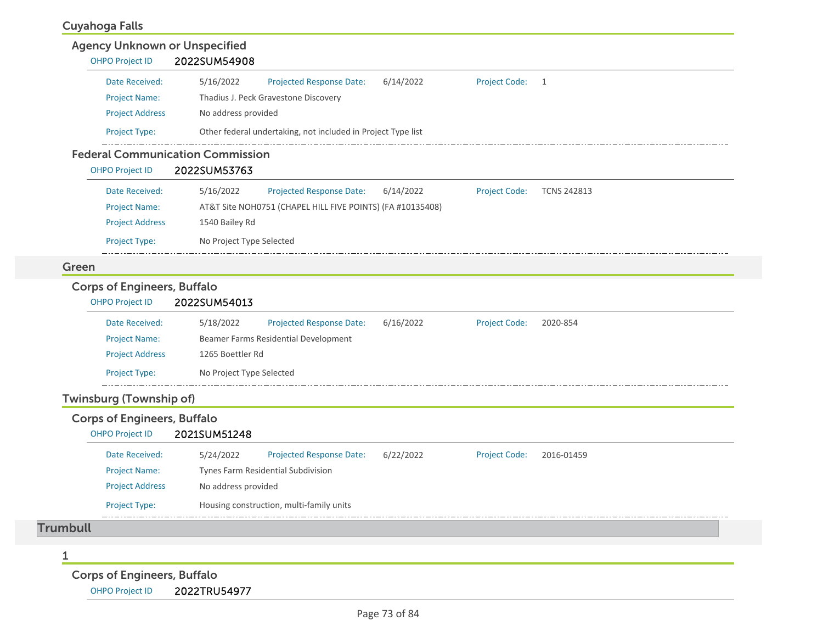## Cuyahoga Falls

|                 | <b>OHPO Project ID</b>                                       | <b>Agency Unknown or Unspecified</b><br>2022SUM54908    |                                                              |           |                      |                    |
|-----------------|--------------------------------------------------------------|---------------------------------------------------------|--------------------------------------------------------------|-----------|----------------------|--------------------|
|                 | Date Received:                                               | 5/16/2022                                               | <b>Projected Response Date:</b>                              | 6/14/2022 | <b>Project Code:</b> | $\overline{1}$     |
|                 | <b>Project Name:</b>                                         |                                                         | Thadius J. Peck Gravestone Discovery                         |           |                      |                    |
|                 | <b>Project Address</b>                                       | No address provided                                     |                                                              |           |                      |                    |
|                 | Project Type:                                                |                                                         | Other federal undertaking, not included in Project Type list |           |                      |                    |
|                 | <b>OHPO Project ID</b>                                       | <b>Federal Communication Commission</b><br>2022SUM53763 |                                                              |           |                      |                    |
|                 | Date Received:                                               | 5/16/2022                                               | <b>Projected Response Date:</b>                              | 6/14/2022 | <b>Project Code:</b> | <b>TCNS 242813</b> |
|                 | <b>Project Name:</b>                                         |                                                         | AT&T Site NOH0751 (CHAPEL HILL FIVE POINTS) (FA #10135408)   |           |                      |                    |
|                 | <b>Project Address</b>                                       | 1540 Bailey Rd                                          |                                                              |           |                      |                    |
|                 | Project Type:                                                | No Project Type Selected                                |                                                              |           |                      |                    |
| Green           |                                                              |                                                         |                                                              |           |                      |                    |
|                 | <b>Corps of Engineers, Buffalo</b><br><b>OHPO Project ID</b> | 2022SUM54013                                            |                                                              |           |                      |                    |
|                 | Date Received:                                               | 5/18/2022                                               | <b>Projected Response Date:</b>                              | 6/16/2022 | <b>Project Code:</b> | 2020-854           |
|                 | <b>Project Name:</b>                                         |                                                         | Beamer Farms Residential Development                         |           |                      |                    |
|                 | <b>Project Address</b>                                       | 1265 Boettler Rd                                        |                                                              |           |                      |                    |
|                 | Project Type:                                                | No Project Type Selected                                |                                                              |           |                      |                    |
|                 | <b>Twinsburg (Township of)</b>                               |                                                         |                                                              |           |                      |                    |
|                 | <b>Corps of Engineers, Buffalo</b><br><b>OHPO Project ID</b> | 2021SUM51248                                            |                                                              |           |                      |                    |
|                 |                                                              | 5/24/2022                                               | <b>Projected Response Date:</b>                              | 6/22/2022 | Project Code:        | 2016-01459         |
|                 | Date Received:                                               |                                                         |                                                              |           |                      |                    |
|                 | <b>Project Name:</b>                                         |                                                         | Tynes Farm Residential Subdivision                           |           |                      |                    |
|                 | <b>Project Address</b>                                       | No address provided                                     |                                                              |           |                      |                    |
|                 | <b>Project Type:</b>                                         |                                                         | Housing construction, multi-family units                     |           |                      |                    |
| <b>Trumbull</b> |                                                              |                                                         |                                                              |           |                      |                    |

Corps of Engineers, Buffalo

OHPO Project ID 2022TRU54977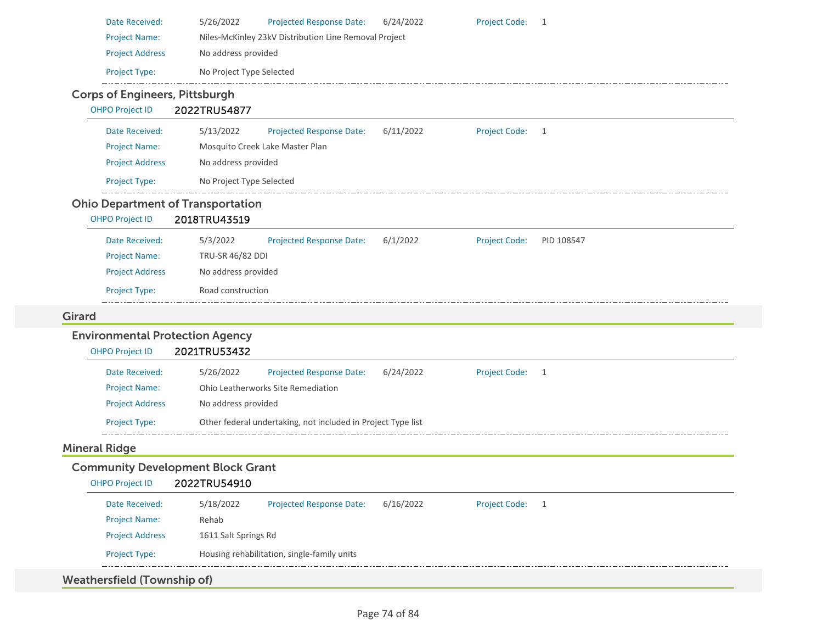| Date Received:                           | 5/26/2022<br>Projected Response Date:                        | 6/24/2022 | <b>Project Code:</b> | $\overline{1}$ |
|------------------------------------------|--------------------------------------------------------------|-----------|----------------------|----------------|
| <b>Project Name:</b>                     | Niles-McKinley 23kV Distribution Line Removal Project        |           |                      |                |
| <b>Project Address</b>                   | No address provided                                          |           |                      |                |
| Project Type:                            | No Project Type Selected                                     |           |                      |                |
| <b>Corps of Engineers, Pittsburgh</b>    |                                                              |           |                      |                |
| <b>OHPO Project ID</b>                   | 2022TRU54877                                                 |           |                      |                |
| Date Received:                           | 5/13/2022<br><b>Projected Response Date:</b>                 | 6/11/2022 | <b>Project Code:</b> | $\overline{1}$ |
| <b>Project Name:</b>                     | Mosquito Creek Lake Master Plan                              |           |                      |                |
| <b>Project Address</b>                   | No address provided                                          |           |                      |                |
| Project Type:                            | No Project Type Selected                                     |           |                      |                |
| <b>Ohio Department of Transportation</b> |                                                              |           |                      |                |
| <b>OHPO Project ID</b>                   | 2018TRU43519                                                 |           |                      |                |
| Date Received:                           | 5/3/2022<br>Projected Response Date:                         | 6/1/2022  | <b>Project Code:</b> | PID 108547     |
| <b>Project Name:</b>                     | TRU-SR 46/82 DDI                                             |           |                      |                |
| <b>Project Address</b>                   | No address provided                                          |           |                      |                |
| Project Type:                            | Road construction                                            |           |                      |                |
| <b>Girard</b>                            |                                                              |           |                      |                |
| <b>Environmental Protection Agency</b>   |                                                              |           |                      |                |
| <b>OHPO Project ID</b>                   | 2021TRU53432                                                 |           |                      |                |
| Date Received:                           | 5/26/2022<br><b>Projected Response Date:</b>                 | 6/24/2022 | <b>Project Code:</b> | $\overline{1}$ |
| <b>Project Name:</b>                     | Ohio Leatherworks Site Remediation                           |           |                      |                |
| <b>Project Address</b>                   | No address provided                                          |           |                      |                |
| Project Type:                            | Other federal undertaking, not included in Project Type list |           |                      |                |
| <b>Mineral Ridge</b>                     |                                                              |           |                      |                |
| <b>Community Development Block Grant</b> |                                                              |           |                      |                |
|                                          |                                                              |           |                      |                |
| OHPO Project ID 2022TRU54910             |                                                              |           |                      |                |
| Date Received:                           | 5/18/2022<br>Projected Response Date:                        | 6/16/2022 | <b>Project Code:</b> | $\overline{1}$ |
| <b>Project Name:</b>                     | Rehab                                                        |           |                      |                |
| <b>Project Address</b>                   | 1611 Salt Springs Rd                                         |           |                      |                |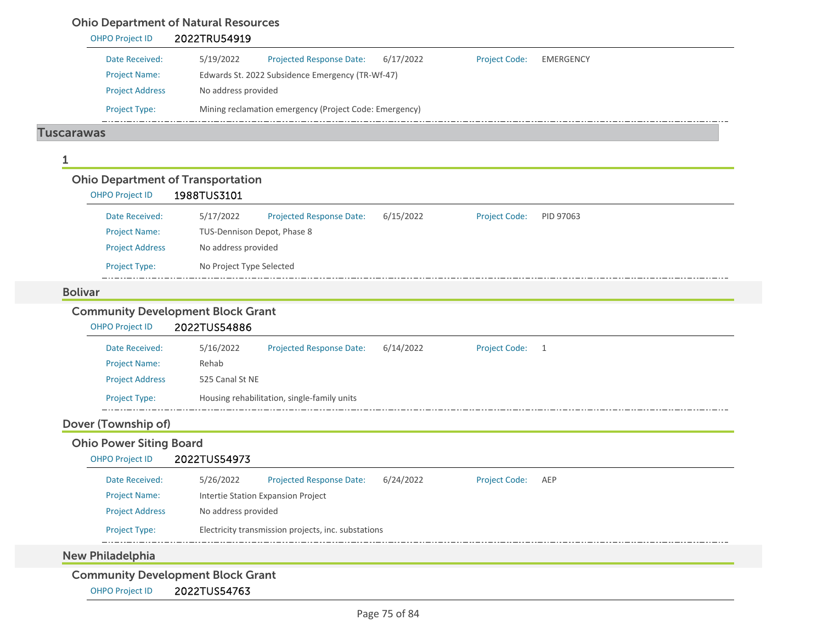|                                                                    | 2022TRU54919                                                                                          |  |
|--------------------------------------------------------------------|-------------------------------------------------------------------------------------------------------|--|
| Date Received:                                                     | 5/19/2022<br><b>Projected Response Date:</b><br>6/17/2022<br><b>Project Code:</b><br><b>EMERGENCY</b> |  |
| <b>Project Name:</b>                                               | Edwards St. 2022 Subsidence Emergency (TR-Wf-47)                                                      |  |
| <b>Project Address</b>                                             | No address provided                                                                                   |  |
| Project Type:                                                      | Mining reclamation emergency (Project Code: Emergency)                                                |  |
| <b>Tuscarawas</b>                                                  |                                                                                                       |  |
| 1                                                                  |                                                                                                       |  |
| <b>Ohio Department of Transportation</b>                           |                                                                                                       |  |
| <b>OHPO Project ID</b>                                             | 1988TUS3101                                                                                           |  |
| Date Received:                                                     | 5/17/2022<br><b>Projected Response Date:</b><br>6/15/2022<br><b>Project Code:</b><br>PID 97063        |  |
| <b>Project Name:</b>                                               | TUS-Dennison Depot, Phase 8                                                                           |  |
| <b>Project Address</b>                                             | No address provided                                                                                   |  |
| Project Type:                                                      | No Project Type Selected                                                                              |  |
|                                                                    |                                                                                                       |  |
| <b>Bolivar</b>                                                     |                                                                                                       |  |
| <b>Community Development Block Grant</b><br><b>OHPO Project ID</b> | 2022TUS54886                                                                                          |  |
| Date Received:                                                     | <b>Projected Response Date:</b><br>5/16/2022<br>6/14/2022<br><b>Project Code:</b><br>1                |  |
| <b>Project Name:</b>                                               | Rehab                                                                                                 |  |
| <b>Project Address</b>                                             | 525 Canal St NE                                                                                       |  |
| Project Type:                                                      | Housing rehabilitation, single-family units                                                           |  |
| Dover (Township of)                                                |                                                                                                       |  |
| <b>Ohio Power Siting Board</b>                                     |                                                                                                       |  |
| <b>OHPO Project ID</b>                                             | 2022TUS54973                                                                                          |  |
| Date Received:                                                     | <b>Projected Response Date:</b><br><b>Project Code:</b><br>5/26/2022<br>6/24/2022<br>AEP              |  |
| <b>Project Name:</b>                                               | Intertie Station Expansion Project                                                                    |  |
| <b>Project Address</b>                                             | No address provided                                                                                   |  |
| <b>Project Type:</b>                                               | Electricity transmission projects, inc. substations                                                   |  |

OHPO Project ID 2022TUS54763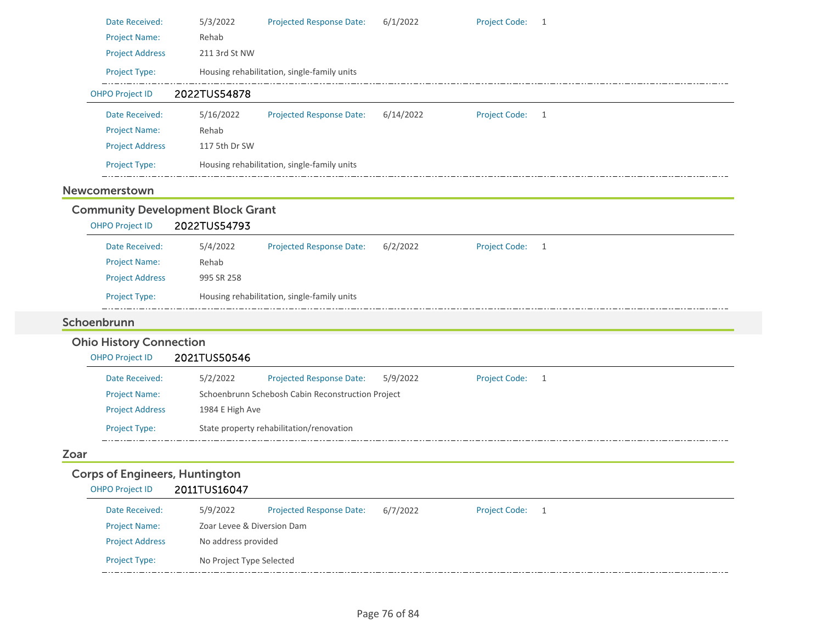| Date Received:                                                  | 5/3/2022                   | <b>Projected Response Date:</b>                   | 6/1/2022  | Project Code: 1      |                |
|-----------------------------------------------------------------|----------------------------|---------------------------------------------------|-----------|----------------------|----------------|
| <b>Project Name:</b>                                            | Rehab                      |                                                   |           |                      |                |
| <b>Project Address</b>                                          | 211 3rd St NW              |                                                   |           |                      |                |
| Project Type:                                                   |                            | Housing rehabilitation, single-family units       |           |                      |                |
| <b>OHPO Project ID</b>                                          | 2022TUS54878               |                                                   |           |                      |                |
| Date Received:                                                  | 5/16/2022                  | <b>Projected Response Date:</b>                   | 6/14/2022 | Project Code: 1      |                |
| <b>Project Name:</b>                                            | Rehab                      |                                                   |           |                      |                |
| <b>Project Address</b>                                          | 117 5th Dr SW              |                                                   |           |                      |                |
| Project Type:                                                   |                            | Housing rehabilitation, single-family units       |           |                      |                |
| Newcomerstown                                                   |                            |                                                   |           |                      |                |
| <b>Community Development Block Grant</b>                        |                            |                                                   |           |                      |                |
| <b>OHPO Project ID</b>                                          | 2022TUS54793               |                                                   |           |                      |                |
| Date Received:                                                  | 5/4/2022                   | <b>Projected Response Date:</b>                   | 6/2/2022  | <b>Project Code:</b> | $\overline{1}$ |
| <b>Project Name:</b>                                            | Rehab                      |                                                   |           |                      |                |
| <b>Project Address</b>                                          | 995 SR 258                 |                                                   |           |                      |                |
| Project Type:                                                   |                            | Housing rehabilitation, single-family units       |           |                      |                |
| Schoenbrunn                                                     |                            |                                                   |           |                      |                |
| <b>Ohio History Connection</b>                                  |                            |                                                   |           |                      |                |
| <b>OHPO Project ID</b>                                          | 2021TUS50546               |                                                   |           |                      |                |
| Date Received:                                                  | 5/2/2022                   | <b>Projected Response Date:</b>                   | 5/9/2022  | Project Code: 1      |                |
| <b>Project Name:</b>                                            |                            | Schoenbrunn Schebosh Cabin Reconstruction Project |           |                      |                |
|                                                                 |                            |                                                   |           |                      |                |
| <b>Project Address</b>                                          | 1984 E High Ave            |                                                   |           |                      |                |
| <b>Project Type:</b>                                            |                            | State property rehabilitation/renovation          |           |                      |                |
| Zoar                                                            |                            |                                                   |           |                      |                |
|                                                                 |                            |                                                   |           |                      |                |
| <b>Corps of Engineers, Huntington</b><br><b>OHPO Project ID</b> | 2011TUS16047               |                                                   |           |                      |                |
| Date Received:                                                  | 5/9/2022                   | <b>Projected Response Date:</b>                   | 6/7/2022  | <b>Project Code:</b> | -1             |
| <b>Project Name:</b>                                            | Zoar Levee & Diversion Dam |                                                   |           |                      |                |
| <b>Project Address</b>                                          | No address provided        |                                                   |           |                      |                |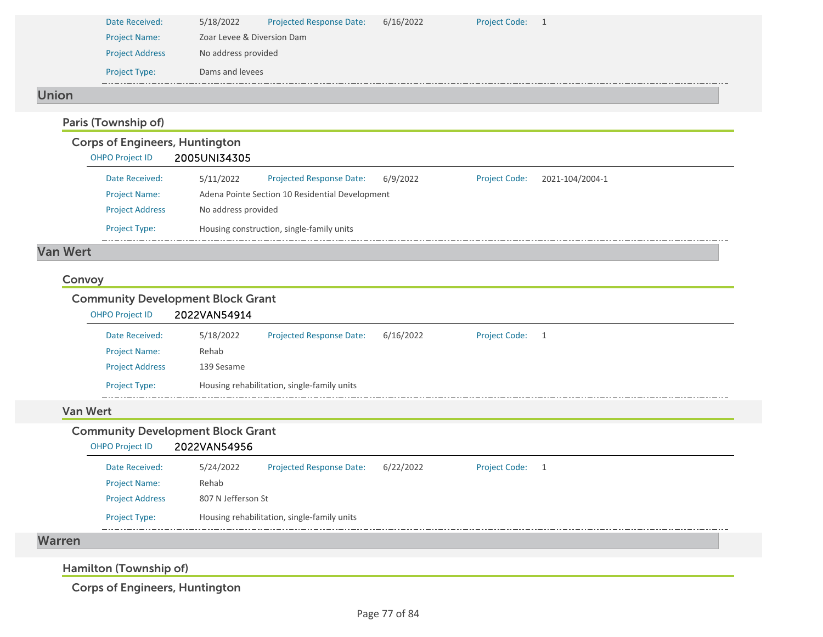| Date Received:         | 5/18/2022       | <b>Projected Response Date:</b> | 6/16/2022 | <b>Project Code:</b> |  |  |  |
|------------------------|-----------------|---------------------------------|-----------|----------------------|--|--|--|
| <b>Project Name:</b>   |                 | Zoar Levee & Diversion Dam      |           |                      |  |  |  |
| <b>Project Address</b> |                 | No address provided             |           |                      |  |  |  |
| <b>Project Type:</b>   | Dams and levees |                                 |           |                      |  |  |  |
|                        |                 |                                 |           |                      |  |  |  |

## Union

### Paris (Township of) Corps of Engineers, Huntington OHPO Project ID 2005UNI34305 Date Received: 5/11/2022 Project Name: Adena Pointe Section 10 Residential Development Projected Response Date: 6/9/2022 Project Address No address provided Project Type: Housing construction, single-family units Project Code: 2021‐104/2004‐1

## Van Wert

#### Convoy

## Community Development Block Grant

| <b>OHPO Project ID</b> | 2022VAN54914 |                                             |           |                      |     |  |  |
|------------------------|--------------|---------------------------------------------|-----------|----------------------|-----|--|--|
| Date Received:         | 5/18/2022    | <b>Projected Response Date:</b>             | 6/16/2022 | <b>Project Code:</b> | - 1 |  |  |
| <b>Project Name:</b>   | Rehab        |                                             |           |                      |     |  |  |
| <b>Project Address</b> | 139 Sesame   |                                             |           |                      |     |  |  |
| <b>Project Type:</b>   |              | Housing rehabilitation, single-family units |           |                      |     |  |  |

#### Van Wert

War

| <b>OHPO Project ID</b> | 2022VAN54956       |                                             |           |                 |  |
|------------------------|--------------------|---------------------------------------------|-----------|-----------------|--|
| Date Received:         | 5/24/2022          | <b>Projected Response Date:</b>             | 6/22/2022 | Project Code: 1 |  |
| <b>Project Name:</b>   | Rehab              |                                             |           |                 |  |
| <b>Project Address</b> | 807 N Jefferson St |                                             |           |                 |  |
| <b>Project Type:</b>   |                    | Housing rehabilitation, single-family units |           |                 |  |

Hamilton (Township of)

Corps of Engineers, Huntington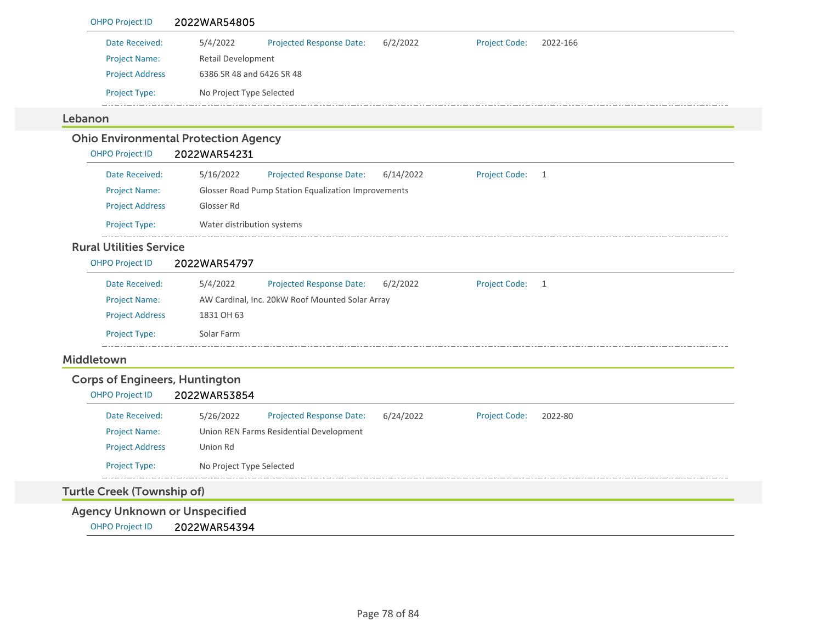| <b>OHPO Project ID</b>                | 2022WAR54805                                                                                 |
|---------------------------------------|----------------------------------------------------------------------------------------------|
| Date Received:                        | 5/4/2022<br>6/2/2022<br>2022-166<br><b>Projected Response Date:</b><br><b>Project Code:</b>  |
| <b>Project Name:</b>                  | Retail Development                                                                           |
| <b>Project Address</b>                | 6386 SR 48 and 6426 SR 48                                                                    |
| <b>Project Type:</b>                  | No Project Type Selected                                                                     |
| Lebanon                               |                                                                                              |
|                                       | <b>Ohio Environmental Protection Agency</b>                                                  |
| <b>OHPO Project ID</b>                | 2022WAR54231                                                                                 |
| Date Received:                        | 5/16/2022<br><b>Projected Response Date:</b><br>6/14/2022<br><b>Project Code:</b><br>1       |
| <b>Project Name:</b>                  | Glosser Road Pump Station Equalization Improvements                                          |
| <b>Project Address</b>                | Glosser Rd                                                                                   |
| Project Type:                         | Water distribution systems                                                                   |
| <b>Rural Utilities Service</b>        |                                                                                              |
| OHPO Project ID                       | 2022WAR54797                                                                                 |
| Date Received:                        | 5/4/2022<br>Projected Response Date:<br>6/2/2022<br><b>Project Code:</b><br>$\overline{1}$   |
| <b>Project Name:</b>                  | AW Cardinal, Inc. 20kW Roof Mounted Solar Array                                              |
| <b>Project Address</b>                | 1831 OH 63                                                                                   |
| Project Type:                         | Solar Farm                                                                                   |
| Middletown                            |                                                                                              |
| <b>Corps of Engineers, Huntington</b> |                                                                                              |
| <b>OHPO Project ID</b>                | 2022WAR53854                                                                                 |
| Date Received:                        | <b>Projected Response Date:</b><br><b>Project Code:</b><br>5/26/2022<br>6/24/2022<br>2022-80 |
| <b>Project Name:</b>                  | Union REN Farms Residential Development                                                      |
| <b>Project Address</b>                | Union Rd                                                                                     |
| Project Type:                         | No Project Type Selected                                                                     |
| <b>Turtle Creek (Township of)</b>     |                                                                                              |
| <b>Agency Unknown or Unspecified</b>  |                                                                                              |
| <b>OHPO Project ID</b>                | 2022WAR54394                                                                                 |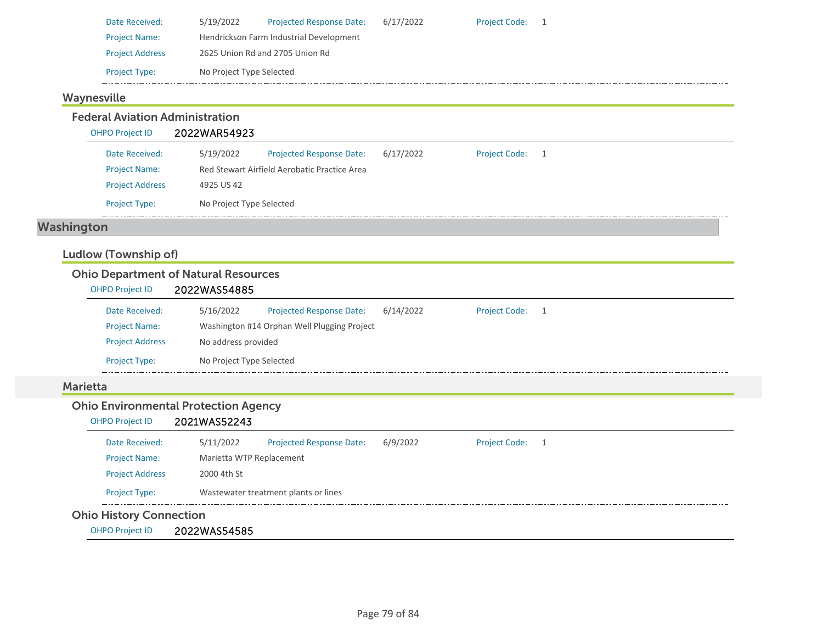| Date Received:         | 5/19/2022                               | <b>Projected Response Date:</b> | 6/17/2022 | <b>Project Code:</b> |  |  |
|------------------------|-----------------------------------------|---------------------------------|-----------|----------------------|--|--|
| <b>Project Name:</b>   | Hendrickson Farm Industrial Development |                                 |           |                      |  |  |
| <b>Project Address</b> | 2625 Union Rd and 2705 Union Rd         |                                 |           |                      |  |  |
| <b>Project Type:</b>   | No Project Type Selected                |                                 |           |                      |  |  |

## Waynesville

Federal Aviation Administration

| <b>OHPO Project ID</b> | 2022WAR54923 |
|------------------------|--------------|
|------------------------|--------------|

| <b>Project Type:</b>   | No Project Type Selected                     |                                 |           |                 |  |  |
|------------------------|----------------------------------------------|---------------------------------|-----------|-----------------|--|--|
| <b>Project Address</b> | 4925 US 42                                   |                                 |           |                 |  |  |
| <b>Project Name:</b>   | Red Stewart Airfield Aerobatic Practice Area |                                 |           |                 |  |  |
| Date Received:         | 5/19/2022                                    | <b>Projected Response Date:</b> | 6/17/2022 | Project Code: 1 |  |  |

# Washington

## Ludlow (Township of)

## Ohio Department of Natural Resources

| <b>OHPO Project ID</b> | 2022WAS54885             |                                             |           |                      |  |  |  |
|------------------------|--------------------------|---------------------------------------------|-----------|----------------------|--|--|--|
| Date Received:         | 5/16/2022                | <b>Projected Response Date:</b>             | 6/14/2022 | <b>Project Code:</b> |  |  |  |
| <b>Project Name:</b>   |                          | Washington #14 Orphan Well Plugging Project |           |                      |  |  |  |
| <b>Project Address</b> |                          | No address provided                         |           |                      |  |  |  |
| <b>Project Type:</b>   | No Project Type Selected |                                             |           |                      |  |  |  |

## Marietta

## Ohio Environmental Protection Agency

#### OHPO Project ID 2021WAS52243

| Date Received:         | 5/11/2022                | <b>Projected Response Date:</b>      | 6/9/2022 | <b>Project Code:</b> |  |
|------------------------|--------------------------|--------------------------------------|----------|----------------------|--|
| <b>Project Name:</b>   | Marietta WTP Replacement |                                      |          |                      |  |
| <b>Project Address</b> | 2000 4th St              |                                      |          |                      |  |
| <b>Project Type:</b>   |                          | Wastewater treatment plants or lines |          |                      |  |

## Ohio History Connection

OHPO Project ID 2022WAS54585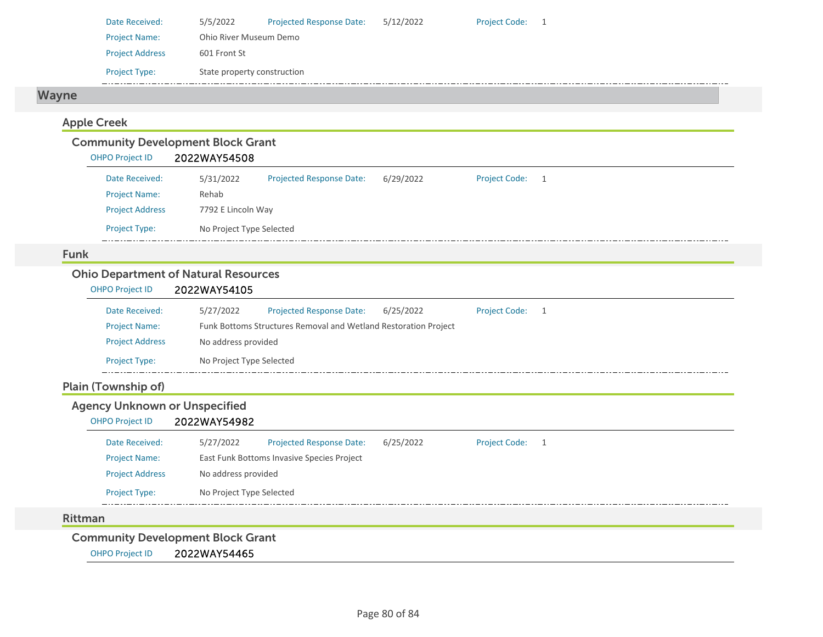| Date Received:         | 5/5/2022                    | <b>Projected Response Date:</b> | 5/12/2022 | <b>Project Code:</b> |  |
|------------------------|-----------------------------|---------------------------------|-----------|----------------------|--|
| <b>Project Name:</b>   | Ohio River Museum Demo      |                                 |           |                      |  |
| <b>Project Address</b> | 601 Front St                |                                 |           |                      |  |
| <b>Project Type:</b>   | State property construction |                                 |           |                      |  |

## Wayne

## Apple Creek

|                        | <b>Community Development Block Grant</b> |                                 |           |                 |  |
|------------------------|------------------------------------------|---------------------------------|-----------|-----------------|--|
| <b>OHPO Project ID</b> | 2022WAY54508                             |                                 |           |                 |  |
| Date Received:         | 5/31/2022                                | <b>Projected Response Date:</b> | 6/29/2022 | Project Code: 1 |  |
| <b>Project Name:</b>   | Rehab                                    |                                 |           |                 |  |
| <b>Project Address</b> | 7792 E Lincoln Way                       |                                 |           |                 |  |
| <b>Project Type:</b>   | No Project Type Selected                 |                                 |           |                 |  |

#### Funk

## Ohio Department of Natural Resources

| OHPO Project ID        | 2022WAY54105             |                                                                 |           |                      |  |
|------------------------|--------------------------|-----------------------------------------------------------------|-----------|----------------------|--|
| Date Received:         | 5/27/2022                | <b>Projected Response Date:</b>                                 | 6/25/2022 | <b>Project Code:</b> |  |
| <b>Project Name:</b>   |                          | Funk Bottoms Structures Removal and Wetland Restoration Project |           |                      |  |
| <b>Project Address</b> | No address provided      |                                                                 |           |                      |  |
| <b>Project Type:</b>   | No Project Type Selected |                                                                 |           |                      |  |

## Plain (Township of)

## Agency Unknown or Unspecified

## OHPO Project ID 2022WAY54982

| Date Received:         | 5/27/2022                | <b>Projected Response Date:</b>            | 6/25/2022 | <b>Project Code:</b> |  |
|------------------------|--------------------------|--------------------------------------------|-----------|----------------------|--|
| <b>Project Name:</b>   |                          | East Funk Bottoms Invasive Species Project |           |                      |  |
| <b>Project Address</b> | No address provided      |                                            |           |                      |  |
| <b>Project Type:</b>   | No Project Type Selected |                                            |           |                      |  |

#### Rittman

Community Development Block Grant

OHPO Project ID 2022WAY54465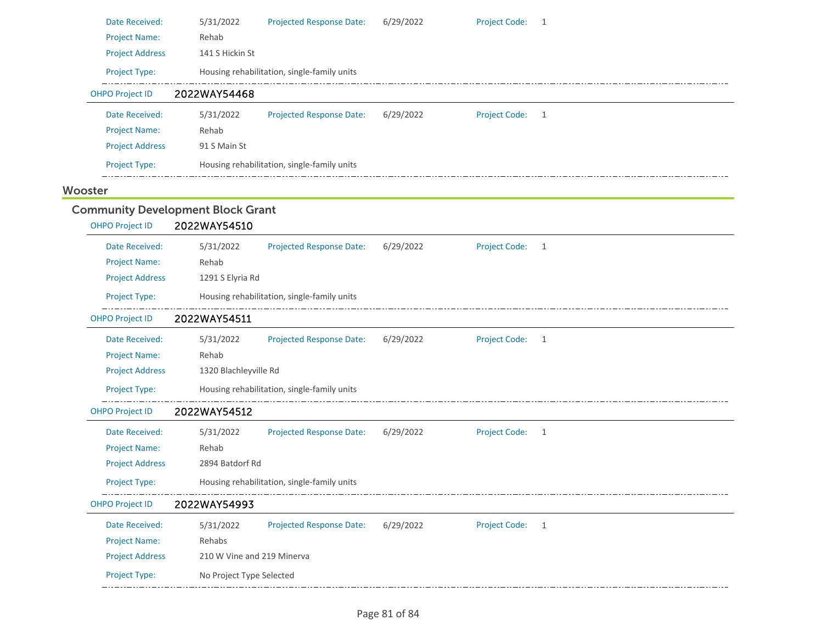| Date Received:                           | 5/31/2022                  | Projected Response Date:                    | 6/29/2022 | <b>Project Code:</b> | 1            |
|------------------------------------------|----------------------------|---------------------------------------------|-----------|----------------------|--------------|
| <b>Project Name:</b>                     | Rehab                      |                                             |           |                      |              |
| <b>Project Address</b>                   | 141 S Hickin St            |                                             |           |                      |              |
| Project Type:                            |                            | Housing rehabilitation, single-family units |           |                      |              |
| <b>OHPO Project ID</b>                   | 2022WAY54468               |                                             |           |                      |              |
| Date Received:                           | 5/31/2022                  | Projected Response Date:                    | 6/29/2022 | <b>Project Code:</b> | 1            |
| <b>Project Name:</b>                     | Rehab                      |                                             |           |                      |              |
| <b>Project Address</b>                   | 91 S Main St               |                                             |           |                      |              |
| Project Type:                            |                            | Housing rehabilitation, single-family units |           |                      |              |
| Wooster                                  |                            |                                             |           |                      |              |
| <b>Community Development Block Grant</b> |                            |                                             |           |                      |              |
| <b>OHPO Project ID</b>                   | 2022WAY54510               |                                             |           |                      |              |
| Date Received:                           | 5/31/2022                  | <b>Projected Response Date:</b>             | 6/29/2022 | <b>Project Code:</b> | 1            |
| <b>Project Name:</b>                     | Rehab                      |                                             |           |                      |              |
| <b>Project Address</b>                   | 1291 S Elyria Rd           |                                             |           |                      |              |
| Project Type:                            |                            | Housing rehabilitation, single-family units |           |                      |              |
| <b>OHPO Project ID</b>                   | 2022WAY54511               |                                             |           |                      |              |
| Date Received:                           | 5/31/2022                  | Projected Response Date:                    | 6/29/2022 | <b>Project Code:</b> | $\mathbf{1}$ |
| <b>Project Name:</b>                     | Rehab                      |                                             |           |                      |              |
| <b>Project Address</b>                   | 1320 Blachleyville Rd      |                                             |           |                      |              |
| Project Type:                            |                            | Housing rehabilitation, single-family units |           |                      |              |
| <b>OHPO Project ID</b>                   | 2022WAY54512               |                                             |           |                      |              |
| Date Received:                           | 5/31/2022                  | Projected Response Date:                    | 6/29/2022 | <b>Project Code:</b> | 1            |
| <b>Project Name:</b>                     | Rehab                      |                                             |           |                      |              |
| <b>Project Address</b>                   | 2894 Batdorf Rd            |                                             |           |                      |              |
| Project Type:                            |                            | Housing rehabilitation, single-family units |           |                      |              |
|                                          |                            |                                             |           |                      |              |
| <b>OHPO Project ID</b>                   | 2022WAY54993               |                                             |           |                      |              |
| Date Received:                           | 5/31/2022                  | <b>Projected Response Date:</b>             | 6/29/2022 | <b>Project Code:</b> | 1            |
| <b>Project Name:</b>                     | Rehabs                     |                                             |           |                      |              |
| <b>Project Address</b>                   | 210 W Vine and 219 Minerva |                                             |           |                      |              |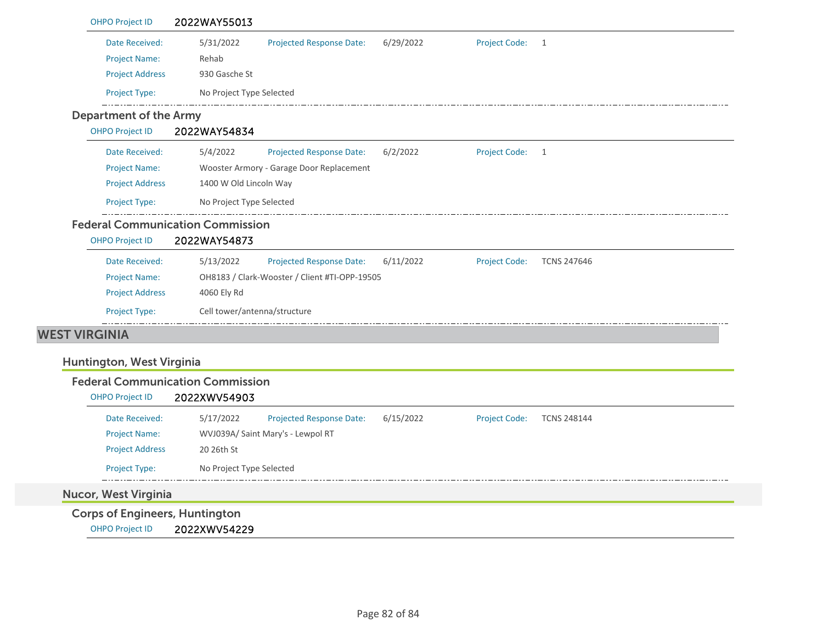| Date Received:                | 5/31/2022<br>6/29/2022<br><b>Project Code:</b><br>Projected Response Date:<br>$\overline{1}$<br>Rehab   |
|-------------------------------|---------------------------------------------------------------------------------------------------------|
| <b>Project Name:</b>          |                                                                                                         |
| <b>Project Address</b>        | 930 Gasche St                                                                                           |
| Project Type:                 | No Project Type Selected                                                                                |
| <b>Department of the Army</b> |                                                                                                         |
| <b>OHPO Project ID</b>        | 2022WAY54834                                                                                            |
| Date Received:                | 5/4/2022<br>Project Code: 1<br><b>Projected Response Date:</b><br>6/2/2022                              |
| <b>Project Name:</b>          | Wooster Armory - Garage Door Replacement                                                                |
| <b>Project Address</b>        | 1400 W Old Lincoln Way                                                                                  |
| Project Type:                 | No Project Type Selected                                                                                |
|                               | <b>Federal Communication Commission</b>                                                                 |
| <b>OHPO Project ID</b>        | 2022WAY54873                                                                                            |
| Date Received:                | 5/13/2022<br><b>Projected Response Date:</b><br>6/11/2022<br><b>Project Code:</b><br><b>TCNS 247646</b> |
| <b>Project Name:</b>          | OH8183 / Clark-Wooster / Client #TI-OPP-19505                                                           |
| <b>Project Address</b>        | 4060 Ely Rd                                                                                             |
| <b>Project Type:</b>          | Cell tower/antenna/structure                                                                            |
| <b>WEST VIRGINIA</b>          |                                                                                                         |
|                               |                                                                                                         |
| Huntington, West Virginia     |                                                                                                         |
|                               | <b>Federal Communication Commission</b>                                                                 |
| <b>OHPO Project ID</b>        | 2022XWV54903                                                                                            |
| Date Received:                | <b>Projected Response Date:</b><br><b>Project Code:</b><br>5/17/2022<br>6/15/2022<br><b>TCNS 248144</b> |
| <b>Project Name:</b>          | WVJ039A/ Saint Mary's - Lewpol RT                                                                       |
| <b>Project Address</b>        | 20 26th St                                                                                              |
| Project Type:                 | No Project Type Selected                                                                                |
| <b>Nucor, West Virginia</b>   |                                                                                                         |
|                               |                                                                                                         |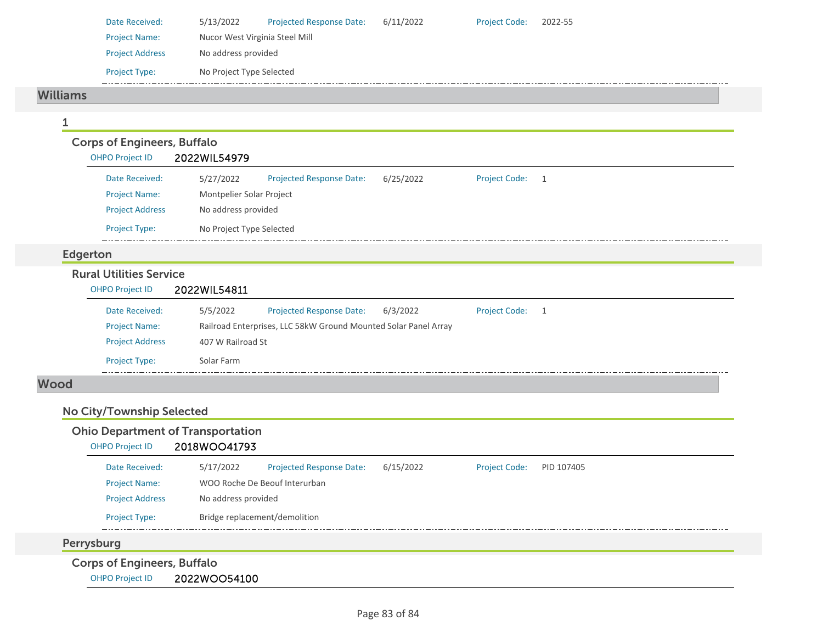| Date Received:         | 5/13/2022                      | <b>Projected Response Date:</b> | 6/11/2022 | <b>Project Code:</b> | 2022-55 |
|------------------------|--------------------------------|---------------------------------|-----------|----------------------|---------|
| <b>Project Name:</b>   | Nucor West Virginia Steel Mill |                                 |           |                      |         |
| <b>Project Address</b> | No address provided            |                                 |           |                      |         |
| <b>Project Type:</b>   | No Project Type Selected       |                                 |           |                      |         |

#### Williams

| <b>OHPO Project ID</b>                         | 2022WIL54979             |                                                                 |           |                      |   |  |
|------------------------------------------------|--------------------------|-----------------------------------------------------------------|-----------|----------------------|---|--|
| Date Received:                                 | 5/27/2022                | Projected Response Date:                                        | 6/25/2022 | <b>Project Code:</b> | 1 |  |
| <b>Project Name:</b>                           | Montpelier Solar Project |                                                                 |           |                      |   |  |
| <b>Project Address</b>                         | No address provided      |                                                                 |           |                      |   |  |
| Project Type:                                  | No Project Type Selected |                                                                 |           |                      |   |  |
| Edgerton                                       |                          |                                                                 |           |                      |   |  |
| <b>Rural Utilities Service</b>                 |                          |                                                                 |           |                      |   |  |
| <b>OHPO Project ID</b>                         | 2022WIL54811             |                                                                 |           |                      |   |  |
| Date Received:                                 | 5/5/2022                 | <b>Projected Response Date:</b>                                 | 6/3/2022  | <b>Project Code:</b> | 1 |  |
| <b>Project Name:</b><br><b>Project Address</b> | 407 W Railroad St        | Railroad Enterprises, LLC 58kW Ground Mounted Solar Panel Array |           |                      |   |  |

# No City/Township Selected

|                                    | <b>Ohio Department of Transportation</b> |                          |           |                      |            |
|------------------------------------|------------------------------------------|--------------------------|-----------|----------------------|------------|
| <b>OHPO Project ID</b>             | 2018WOO41793                             |                          |           |                      |            |
| Date Received:                     | 5/17/2022                                | Projected Response Date: | 6/15/2022 | <b>Project Code:</b> | PID 107405 |
| <b>Project Name:</b>               | WOO Roche De Beouf Interurban            |                          |           |                      |            |
| <b>Project Address</b>             | No address provided                      |                          |           |                      |            |
| <b>Project Type:</b>               | Bridge replacement/demolition            |                          |           |                      |            |
| Perrysburg                         |                                          |                          |           |                      |            |
| <b>Corps of Engineers, Buffalo</b> |                                          |                          |           |                      |            |
| <b>OHPO Project ID</b>             | 2022WOO54100                             |                          |           |                      |            |